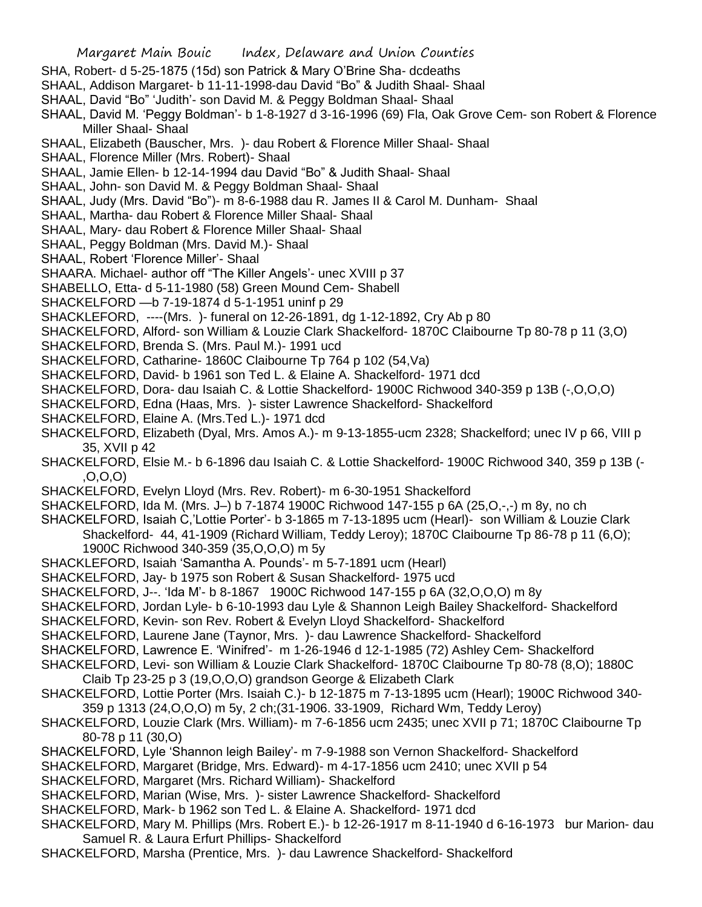- SHA, Robert- d 5-25-1875 (15d) son Patrick & Mary O'Brine Sha- dcdeaths
- SHAAL, Addison Margaret- b 11-11-1998-dau David "Bo" & Judith Shaal- Shaal
- SHAAL, David "Bo" 'Judith'- son David M. & Peggy Boldman Shaal- Shaal
- SHAAL, David M. 'Peggy Boldman'- b 1-8-1927 d 3-16-1996 (69) Fla, Oak Grove Cem- son Robert & Florence Miller Shaal- Shaal
- SHAAL, Elizabeth (Bauscher, Mrs. )- dau Robert & Florence Miller Shaal- Shaal
- SHAAL, Florence Miller (Mrs. Robert)- Shaal
- SHAAL, Jamie Ellen- b 12-14-1994 dau David "Bo" & Judith Shaal- Shaal
- SHAAL, John- son David M. & Peggy Boldman Shaal- Shaal
- SHAAL, Judy (Mrs. David "Bo")- m 8-6-1988 dau R. James II & Carol M. Dunham- Shaal
- SHAAL, Martha- dau Robert & Florence Miller Shaal- Shaal
- SHAAL, Mary- dau Robert & Florence Miller Shaal- Shaal
- SHAAL, Peggy Boldman (Mrs. David M.)- Shaal
- SHAAL, Robert 'Florence Miller'- Shaal
- SHAARA. Michael- author off "The Killer Angels'- unec XVIII p 37
- SHABELLO, Etta- d 5-11-1980 (58) Green Mound Cem- Shabell
- SHACKELFORD —b 7-19-1874 d 5-1-1951 uninf p 29
- SHACKLEFORD, ----(Mrs. )- funeral on 12-26-1891, dg 1-12-1892, Cry Ab p 80
- SHACKELFORD, Alford- son William & Louzie Clark Shackelford- 1870C Claibourne Tp 80-78 p 11 (3,O)
- SHACKELFORD, Brenda S. (Mrs. Paul M.)- 1991 ucd
- SHACKELFORD, Catharine- 1860C Claibourne Tp 764 p 102 (54,Va)
- SHACKELFORD, David- b 1961 son Ted L. & Elaine A. Shackelford- 1971 dcd
- SHACKELFORD, Dora- dau Isaiah C. & Lottie Shackelford- 1900C Richwood 340-359 p 13B (-,O,O,O)
- SHACKELFORD, Edna (Haas, Mrs. )- sister Lawrence Shackelford- Shackelford
- SHACKELFORD, Elaine A. (Mrs.Ted L.)- 1971 dcd
- SHACKELFORD, Elizabeth (Dyal, Mrs. Amos A.)- m 9-13-1855-ucm 2328; Shackelford; unec IV p 66, VIII p 35, XVII p 42
- SHACKELFORD, Elsie M.- b 6-1896 dau Isaiah C. & Lottie Shackelford- 1900C Richwood 340, 359 p 13B (- ,O,O,O)
- SHACKELFORD, Evelyn Lloyd (Mrs. Rev. Robert)- m 6-30-1951 Shackelford
- SHACKELFORD, Ida M. (Mrs. J–) b 7-1874 1900C Richwood 147-155 p 6A (25,O,-,-) m 8y, no ch
- SHACKELFORD, Isaiah C,'Lottie Porter'- b 3-1865 m 7-13-1895 ucm (Hearl)- son William & Louzie Clark Shackelford- 44, 41-1909 (Richard William, Teddy Leroy); 1870C Claibourne Tp 86-78 p 11 (6,O); 1900C Richwood 340-359 (35,O,O,O) m 5y
- SHACKLEFORD, Isaiah 'Samantha A. Pounds'- m 5-7-1891 ucm (Hearl)
- SHACKELFORD, Jay- b 1975 son Robert & Susan Shackelford- 1975 ucd
- SHACKELFORD, J--. 'Ida M'- b 8-1867 1900C Richwood 147-155 p 6A (32,O,O,O) m 8y
- SHACKELFORD, Jordan Lyle- b 6-10-1993 dau Lyle & Shannon Leigh Bailey Shackelford- Shackelford
- SHACKELFORD, Kevin- son Rev. Robert & Evelyn Lloyd Shackelford- Shackelford
- SHACKELFORD, Laurene Jane (Taynor, Mrs. )- dau Lawrence Shackelford- Shackelford
- SHACKELFORD, Lawrence E. 'Winifred'- m 1-26-1946 d 12-1-1985 (72) Ashley Cem- Shackelford
- SHACKELFORD, Levi- son William & Louzie Clark Shackelford- 1870C Claibourne Tp 80-78 (8,O); 1880C Claib Tp 23-25 p 3 (19,O,O,O) grandson George & Elizabeth Clark
- SHACKELFORD, Lottie Porter (Mrs. Isaiah C.)- b 12-1875 m 7-13-1895 ucm (Hearl); 1900C Richwood 340- 359 p 1313 (24,O,O,O) m 5y, 2 ch;(31-1906. 33-1909, Richard Wm, Teddy Leroy)
- SHACKELFORD, Louzie Clark (Mrs. William)- m 7-6-1856 ucm 2435; unec XVII p 71; 1870C Claibourne Tp 80-78 p 11 (30,O)
- SHACKELFORD, Lyle 'Shannon leigh Bailey'- m 7-9-1988 son Vernon Shackelford- Shackelford
- SHACKELFORD, Margaret (Bridge, Mrs. Edward)- m 4-17-1856 ucm 2410; unec XVII p 54
- SHACKELFORD, Margaret (Mrs. Richard William)- Shackelford
- SHACKELFORD, Marian (Wise, Mrs. )- sister Lawrence Shackelford- Shackelford
- SHACKELFORD, Mark- b 1962 son Ted L. & Elaine A. Shackelford- 1971 dcd
- SHACKELFORD, Mary M. Phillips (Mrs. Robert E.)- b 12-26-1917 m 8-11-1940 d 6-16-1973 bur Marion- dau Samuel R. & Laura Erfurt Phillips- Shackelford
- SHACKELFORD, Marsha (Prentice, Mrs. )- dau Lawrence Shackelford- Shackelford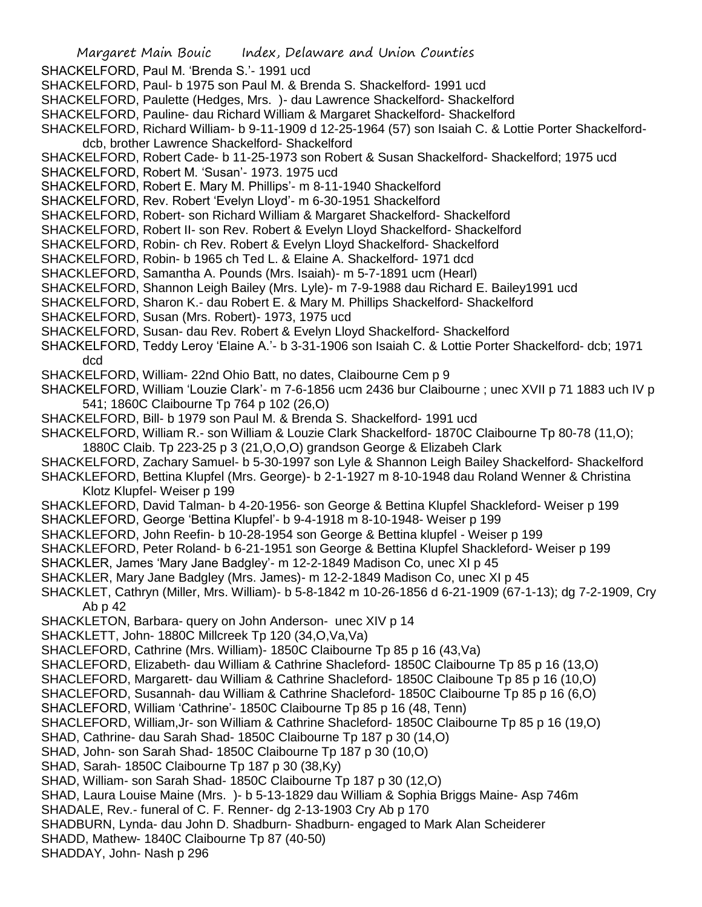Margaret Main Bouic Index, Delaware and Union Counties SHACKELFORD, Paul M. 'Brenda S.'- 1991 ucd SHACKELFORD, Paul- b 1975 son Paul M. & Brenda S. Shackelford- 1991 ucd SHACKELFORD, Paulette (Hedges, Mrs. )- dau Lawrence Shackelford- Shackelford SHACKELFORD, Pauline- dau Richard William & Margaret Shackelford- Shackelford SHACKELFORD, Richard William- b 9-11-1909 d 12-25-1964 (57) son Isaiah C. & Lottie Porter Shackelforddcb, brother Lawrence Shackelford- Shackelford SHACKELFORD, Robert Cade- b 11-25-1973 son Robert & Susan Shackelford- Shackelford; 1975 ucd SHACKELFORD, Robert M. 'Susan'- 1973. 1975 ucd SHACKELFORD, Robert E. Mary M. Phillips'- m 8-11-1940 Shackelford SHACKELFORD, Rev. Robert 'Evelyn Lloyd'- m 6-30-1951 Shackelford SHACKELFORD, Robert- son Richard William & Margaret Shackelford- Shackelford SHACKELFORD, Robert II- son Rev. Robert & Evelyn Lloyd Shackelford- Shackelford SHACKELFORD, Robin- ch Rev. Robert & Evelyn Lloyd Shackelford- Shackelford SHACKELFORD, Robin- b 1965 ch Ted L. & Elaine A. Shackelford- 1971 dcd SHACKLEFORD, Samantha A. Pounds (Mrs. Isaiah)- m 5-7-1891 ucm (Hearl) SHACKELFORD, Shannon Leigh Bailey (Mrs. Lyle)- m 7-9-1988 dau Richard E. Bailey1991 ucd SHACKELFORD, Sharon K.- dau Robert E. & Mary M. Phillips Shackelford- Shackelford SHACKELFORD, Susan (Mrs. Robert)- 1973, 1975 ucd SHACKELFORD, Susan- dau Rev. Robert & Evelyn Lloyd Shackelford- Shackelford SHACKELFORD, Teddy Leroy 'Elaine A.'- b 3-31-1906 son Isaiah C. & Lottie Porter Shackelford- dcb; 1971 dcd SHACKELFORD, William- 22nd Ohio Batt, no dates, Claibourne Cem p 9 SHACKELFORD, William 'Louzie Clark'- m 7-6-1856 ucm 2436 bur Claibourne ; unec XVII p 71 1883 uch IV p 541; 1860C Claibourne Tp 764 p 102 (26,O) SHACKELFORD, Bill- b 1979 son Paul M. & Brenda S. Shackelford- 1991 ucd SHACKELFORD, William R.- son William & Louzie Clark Shackelford- 1870C Claibourne Tp 80-78 (11,O); 1880C Claib. Tp 223-25 p 3 (21,O,O,O) grandson George & Elizabeh Clark SHACKELFORD, Zachary Samuel- b 5-30-1997 son Lyle & Shannon Leigh Bailey Shackelford- Shackelford SHACKLEFORD, Bettina Klupfel (Mrs. George)- b 2-1-1927 m 8-10-1948 dau Roland Wenner & Christina Klotz Klupfel- Weiser p 199 SHACKLEFORD, David Talman- b 4-20-1956- son George & Bettina Klupfel Shackleford- Weiser p 199 SHACKLEFORD, George 'Bettina Klupfel'- b 9-4-1918 m 8-10-1948- Weiser p 199 SHACKLEFORD, John Reefin- b 10-28-1954 son George & Bettina klupfel - Weiser p 199 SHACKLEFORD, Peter Roland- b 6-21-1951 son George & Bettina Klupfel Shackleford- Weiser p 199 SHACKLER, James 'Mary Jane Badgley'- m 12-2-1849 Madison Co, unec XI p 45 SHACKLER, Mary Jane Badgley (Mrs. James)- m 12-2-1849 Madison Co, unec XI p 45 SHACKLET, Cathryn (Miller, Mrs. William)- b 5-8-1842 m 10-26-1856 d 6-21-1909 (67-1-13); dg 7-2-1909, Cry Ab p 42 SHACKLETON, Barbara- query on John Anderson- unec XIV p 14 SHACKLETT, John- 1880C Millcreek Tp 120 (34,O,Va,Va) SHACLEFORD, Cathrine (Mrs. William)- 1850C Claibourne Tp 85 p 16 (43,Va) SHACLEFORD, Elizabeth- dau William & Cathrine Shacleford- 1850C Claibourne Tp 85 p 16 (13,O) SHACLEFORD, Margarett- dau William & Cathrine Shacleford- 1850C Claiboune Tp 85 p 16 (10,O) SHACLEFORD, Susannah- dau William & Cathrine Shacleford- 1850C Claibourne Tp 85 p 16 (6,O) SHACLEFORD, William 'Cathrine'- 1850C Claibourne Tp 85 p 16 (48, Tenn) SHACLEFORD, William,Jr- son William & Cathrine Shacleford- 1850C Claibourne Tp 85 p 16 (19,O) SHAD, Cathrine- dau Sarah Shad- 1850C Claibourne Tp 187 p 30 (14,O) SHAD, John- son Sarah Shad- 1850C Claibourne Tp 187 p 30 (10,O) SHAD, Sarah- 1850C Claibourne Tp 187 p 30 (38,Ky) SHAD, William- son Sarah Shad- 1850C Claibourne Tp 187 p 30 (12,O) SHAD, Laura Louise Maine (Mrs. )- b 5-13-1829 dau William & Sophia Briggs Maine- Asp 746m SHADALE, Rev.- funeral of C. F. Renner- dg 2-13-1903 Cry Ab p 170 SHADBURN, Lynda- dau John D. Shadburn- Shadburn- engaged to Mark Alan Scheiderer SHADD, Mathew- 1840C Claibourne Tp 87 (40-50) SHADDAY, John- Nash p 296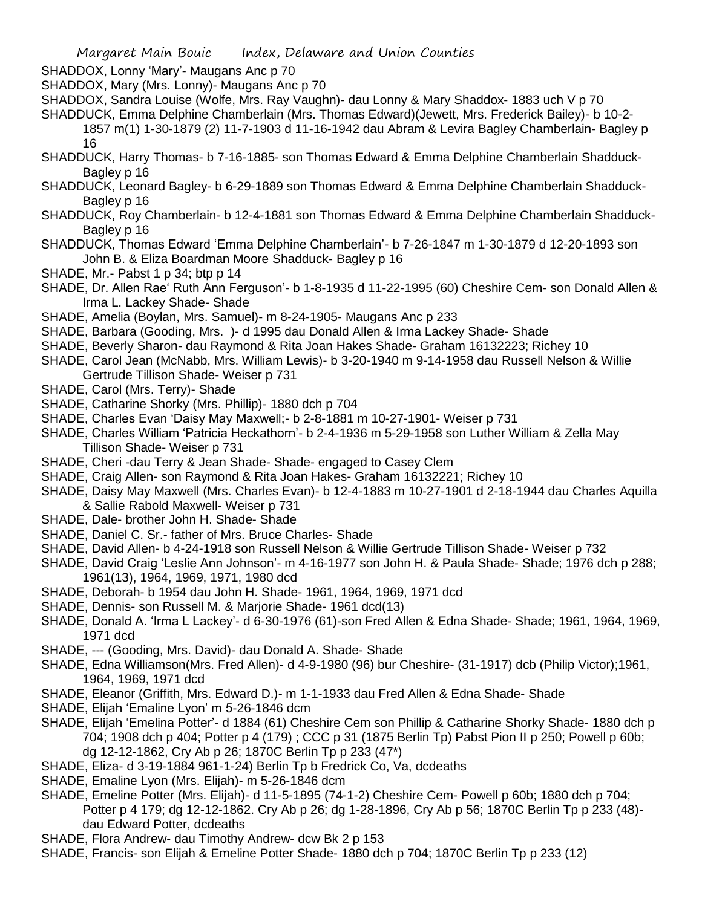- SHADDOX, Lonny 'Mary'- Maugans Anc p 70
- SHADDOX, Mary (Mrs. Lonny)- Maugans Anc p 70
- SHADDOX, Sandra Louise (Wolfe, Mrs. Ray Vaughn)- dau Lonny & Mary Shaddox- 1883 uch V p 70
- SHADDUCK, Emma Delphine Chamberlain (Mrs. Thomas Edward)(Jewett, Mrs. Frederick Bailey)- b 10-2-
	- 1857 m(1) 1-30-1879 (2) 11-7-1903 d 11-16-1942 dau Abram & Levira Bagley Chamberlain- Bagley p 16
- SHADDUCK, Harry Thomas- b 7-16-1885- son Thomas Edward & Emma Delphine Chamberlain Shadduck-Bagley p 16
- SHADDUCK, Leonard Bagley- b 6-29-1889 son Thomas Edward & Emma Delphine Chamberlain Shadduck-Bagley p 16
- SHADDUCK, Roy Chamberlain- b 12-4-1881 son Thomas Edward & Emma Delphine Chamberlain Shadduck-Bagley p 16
- SHADDUCK, Thomas Edward 'Emma Delphine Chamberlain'- b 7-26-1847 m 1-30-1879 d 12-20-1893 son John B. & Eliza Boardman Moore Shadduck- Bagley p 16
- SHADE, Mr.- Pabst 1 p 34; btp p 14
- SHADE, Dr. Allen Rae' Ruth Ann Ferguson'- b 1-8-1935 d 11-22-1995 (60) Cheshire Cem- son Donald Allen & Irma L. Lackey Shade- Shade
- SHADE, Amelia (Boylan, Mrs. Samuel)- m 8-24-1905- Maugans Anc p 233
- SHADE, Barbara (Gooding, Mrs. )- d 1995 dau Donald Allen & Irma Lackey Shade- Shade
- SHADE, Beverly Sharon- dau Raymond & Rita Joan Hakes Shade- Graham 16132223; Richey 10
- SHADE, Carol Jean (McNabb, Mrs. William Lewis)- b 3-20-1940 m 9-14-1958 dau Russell Nelson & Willie Gertrude Tillison Shade- Weiser p 731
- SHADE, Carol (Mrs. Terry)- Shade
- SHADE, Catharine Shorky (Mrs. Phillip)- 1880 dch p 704
- SHADE, Charles Evan 'Daisy May Maxwell;- b 2-8-1881 m 10-27-1901- Weiser p 731
- SHADE, Charles William 'Patricia Heckathorn'- b 2-4-1936 m 5-29-1958 son Luther William & Zella May Tillison Shade- Weiser p 731
- SHADE, Cheri -dau Terry & Jean Shade- Shade- engaged to Casey Clem
- SHADE, Craig Allen- son Raymond & Rita Joan Hakes- Graham 16132221; Richey 10
- SHADE, Daisy May Maxwell (Mrs. Charles Evan)- b 12-4-1883 m 10-27-1901 d 2-18-1944 dau Charles Aquilla & Sallie Rabold Maxwell- Weiser p 731
- SHADE, Dale- brother John H. Shade- Shade
- SHADE, Daniel C. Sr.- father of Mrs. Bruce Charles- Shade
- SHADE, David Allen- b 4-24-1918 son Russell Nelson & Willie Gertrude Tillison Shade- Weiser p 732
- SHADE, David Craig 'Leslie Ann Johnson'- m 4-16-1977 son John H. & Paula Shade- Shade; 1976 dch p 288; 1961(13), 1964, 1969, 1971, 1980 dcd
- SHADE, Deborah- b 1954 dau John H. Shade- 1961, 1964, 1969, 1971 dcd
- SHADE, Dennis- son Russell M. & Marjorie Shade- 1961 dcd(13)
- SHADE, Donald A. 'Irma L Lackey'- d 6-30-1976 (61)-son Fred Allen & Edna Shade- Shade; 1961, 1964, 1969, 1971 dcd
- SHADE, --- (Gooding, Mrs. David)- dau Donald A. Shade- Shade
- SHADE, Edna Williamson(Mrs. Fred Allen)- d 4-9-1980 (96) bur Cheshire- (31-1917) dcb (Philip Victor);1961, 1964, 1969, 1971 dcd

SHADE, Eleanor (Griffith, Mrs. Edward D.)- m 1-1-1933 dau Fred Allen & Edna Shade- Shade

- SHADE, Elijah 'Emaline Lyon' m 5-26-1846 dcm
- SHADE, Elijah 'Emelina Potter'- d 1884 (61) Cheshire Cem son Phillip & Catharine Shorky Shade- 1880 dch p 704; 1908 dch p 404; Potter p 4 (179) ; CCC p 31 (1875 Berlin Tp) Pabst Pion II p 250; Powell p 60b; dg 12-12-1862, Cry Ab p 26; 1870C Berlin Tp p 233 (47\*)
- SHADE, Eliza- d 3-19-1884 961-1-24) Berlin Tp b Fredrick Co, Va, dcdeaths
- SHADE, Emaline Lyon (Mrs. Elijah)- m 5-26-1846 dcm
- SHADE, Emeline Potter (Mrs. Elijah)- d 11-5-1895 (74-1-2) Cheshire Cem- Powell p 60b; 1880 dch p 704; Potter p 4 179; dg 12-12-1862. Cry Ab p 26; dg 1-28-1896, Cry Ab p 56; 1870C Berlin Tp p 233 (48) dau Edward Potter, dcdeaths
- SHADE, Flora Andrew- dau Timothy Andrew- dcw Bk 2 p 153
- SHADE, Francis- son Elijah & Emeline Potter Shade- 1880 dch p 704; 1870C Berlin Tp p 233 (12)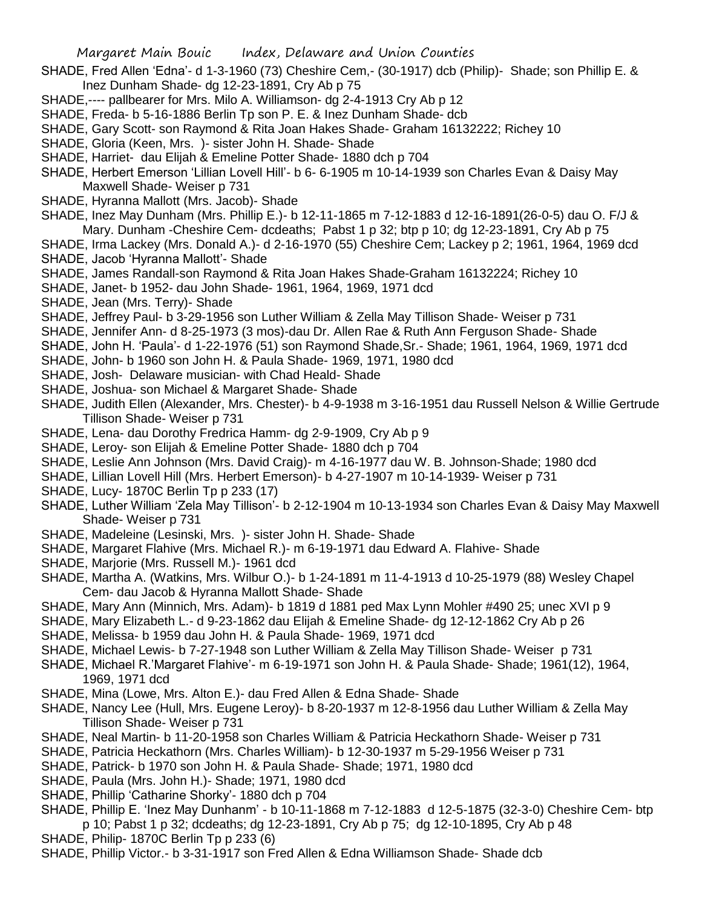- SHADE, Fred Allen 'Edna'- d 1-3-1960 (73) Cheshire Cem,- (30-1917) dcb (Philip)- Shade; son Phillip E. & Inez Dunham Shade- dg 12-23-1891, Cry Ab p 75
- SHADE,---- pallbearer for Mrs. Milo A. Williamson- dg 2-4-1913 Cry Ab p 12
- SHADE, Freda- b 5-16-1886 Berlin Tp son P. E. & Inez Dunham Shade- dcb
- SHADE, Gary Scott- son Raymond & Rita Joan Hakes Shade- Graham 16132222; Richey 10
- SHADE, Gloria (Keen, Mrs. )- sister John H. Shade- Shade
- SHADE, Harriet- dau Elijah & Emeline Potter Shade- 1880 dch p 704
- SHADE, Herbert Emerson 'Lillian Lovell Hill'- b 6- 6-1905 m 10-14-1939 son Charles Evan & Daisy May Maxwell Shade- Weiser p 731
- SHADE, Hyranna Mallott (Mrs. Jacob)- Shade
- SHADE, Inez May Dunham (Mrs. Phillip E.)- b 12-11-1865 m 7-12-1883 d 12-16-1891(26-0-5) dau O. F/J & Mary. Dunham -Cheshire Cem- dcdeaths; Pabst 1 p 32; btp p 10; dg 12-23-1891, Cry Ab p 75
- SHADE, Irma Lackey (Mrs. Donald A.)- d 2-16-1970 (55) Cheshire Cem; Lackey p 2; 1961, 1964, 1969 dcd SHADE, Jacob 'Hyranna Mallott'- Shade
- SHADE, James Randall-son Raymond & Rita Joan Hakes Shade-Graham 16132224; Richey 10
- SHADE, Janet- b 1952- dau John Shade- 1961, 1964, 1969, 1971 dcd
- SHADE, Jean (Mrs. Terry)- Shade
- SHADE, Jeffrey Paul- b 3-29-1956 son Luther William & Zella May Tillison Shade- Weiser p 731
- SHADE, Jennifer Ann- d 8-25-1973 (3 mos)-dau Dr. Allen Rae & Ruth Ann Ferguson Shade- Shade
- SHADE, John H. 'Paula'- d 1-22-1976 (51) son Raymond Shade,Sr.- Shade; 1961, 1964, 1969, 1971 dcd
- SHADE, John- b 1960 son John H. & Paula Shade- 1969, 1971, 1980 dcd
- SHADE, Josh- Delaware musician- with Chad Heald- Shade
- SHADE, Joshua- son Michael & Margaret Shade- Shade
- SHADE, Judith Ellen (Alexander, Mrs. Chester)- b 4-9-1938 m 3-16-1951 dau Russell Nelson & Willie Gertrude Tillison Shade- Weiser p 731
- SHADE, Lena- dau Dorothy Fredrica Hamm- dg 2-9-1909, Cry Ab p 9
- SHADE, Leroy- son Elijah & Emeline Potter Shade- 1880 dch p 704
- SHADE, Leslie Ann Johnson (Mrs. David Craig)- m 4-16-1977 dau W. B. Johnson-Shade; 1980 dcd
- SHADE, Lillian Lovell Hill (Mrs. Herbert Emerson)- b 4-27-1907 m 10-14-1939- Weiser p 731
- SHADE, Lucy- 1870C Berlin Tp p 233 (17)
- SHADE, Luther William 'Zela May Tillison'- b 2-12-1904 m 10-13-1934 son Charles Evan & Daisy May Maxwell Shade- Weiser p 731
- SHADE, Madeleine (Lesinski, Mrs. )- sister John H. Shade- Shade
- SHADE, Margaret Flahive (Mrs. Michael R.)- m 6-19-1971 dau Edward A. Flahive- Shade
- SHADE, Marjorie (Mrs. Russell M.)- 1961 dcd
- SHADE, Martha A. (Watkins, Mrs. Wilbur O.)- b 1-24-1891 m 11-4-1913 d 10-25-1979 (88) Wesley Chapel Cem- dau Jacob & Hyranna Mallott Shade- Shade
- SHADE, Mary Ann (Minnich, Mrs. Adam)- b 1819 d 1881 ped Max Lynn Mohler #490 25; unec XVI p 9
- SHADE, Mary Elizabeth L.- d 9-23-1862 dau Elijah & Emeline Shade- dg 12-12-1862 Cry Ab p 26
- SHADE, Melissa- b 1959 dau John H. & Paula Shade- 1969, 1971 dcd
- SHADE, Michael Lewis- b 7-27-1948 son Luther William & Zella May Tillison Shade- Weiser p 731
- SHADE, Michael R.'Margaret Flahive'- m 6-19-1971 son John H. & Paula Shade- Shade; 1961(12), 1964, 1969, 1971 dcd
- SHADE, Mina (Lowe, Mrs. Alton E.)- dau Fred Allen & Edna Shade- Shade
- SHADE, Nancy Lee (Hull, Mrs. Eugene Leroy)- b 8-20-1937 m 12-8-1956 dau Luther William & Zella May Tillison Shade- Weiser p 731
- SHADE, Neal Martin- b 11-20-1958 son Charles William & Patricia Heckathorn Shade- Weiser p 731
- SHADE, Patricia Heckathorn (Mrs. Charles William)- b 12-30-1937 m 5-29-1956 Weiser p 731
- SHADE, Patrick- b 1970 son John H. & Paula Shade- Shade; 1971, 1980 dcd
- SHADE, Paula (Mrs. John H.)- Shade; 1971, 1980 dcd
- SHADE, Phillip 'Catharine Shorky'- 1880 dch p 704
- SHADE, Phillip E. 'Inez May Dunhanm' b 10-11-1868 m 7-12-1883 d 12-5-1875 (32-3-0) Cheshire Cem- btp p 10; Pabst 1 p 32; dcdeaths; dg 12-23-1891, Cry Ab p 75; dg 12-10-1895, Cry Ab p 48
- SHADE, Philip- 1870C Berlin Tp p 233 (6)
- SHADE, Phillip Victor.- b 3-31-1917 son Fred Allen & Edna Williamson Shade- Shade dcb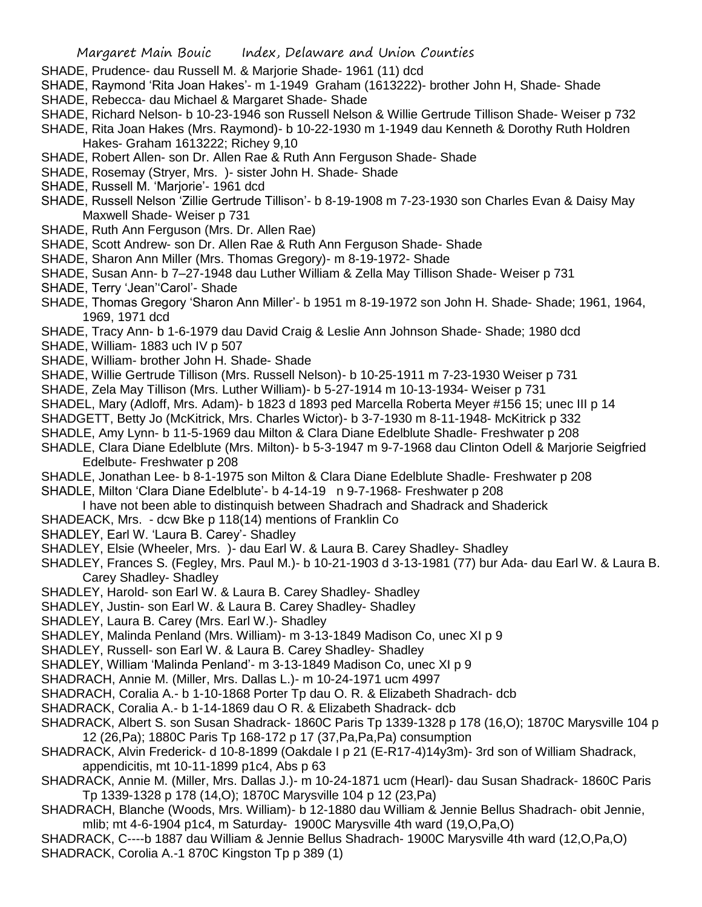- SHADE, Prudence- dau Russell M. & Marjorie Shade- 1961 (11) dcd
- SHADE, Raymond 'Rita Joan Hakes'- m 1-1949 Graham (1613222)- brother John H, Shade- Shade
- SHADE, Rebecca- dau Michael & Margaret Shade- Shade
- SHADE, Richard Nelson- b 10-23-1946 son Russell Nelson & Willie Gertrude Tillison Shade- Weiser p 732
- SHADE, Rita Joan Hakes (Mrs. Raymond)- b 10-22-1930 m 1-1949 dau Kenneth & Dorothy Ruth Holdren Hakes- Graham 1613222; Richey 9,10
- SHADE, Robert Allen- son Dr. Allen Rae & Ruth Ann Ferguson Shade- Shade
- SHADE, Rosemay (Stryer, Mrs. )- sister John H. Shade- Shade
- SHADE, Russell M. 'Marjorie'- 1961 dcd
- SHADE, Russell Nelson 'Zillie Gertrude Tillison'- b 8-19-1908 m 7-23-1930 son Charles Evan & Daisy May Maxwell Shade- Weiser p 731
- SHADE, Ruth Ann Ferguson (Mrs. Dr. Allen Rae)
- SHADE, Scott Andrew- son Dr. Allen Rae & Ruth Ann Ferguson Shade- Shade
- SHADE, Sharon Ann Miller (Mrs. Thomas Gregory)- m 8-19-1972- Shade
- SHADE, Susan Ann- b 7–27-1948 dau Luther William & Zella May Tillison Shade- Weiser p 731
- SHADE, Terry 'Jean''Carol'- Shade
- SHADE, Thomas Gregory 'Sharon Ann Miller'- b 1951 m 8-19-1972 son John H. Shade- Shade; 1961, 1964, 1969, 1971 dcd
- SHADE, Tracy Ann- b 1-6-1979 dau David Craig & Leslie Ann Johnson Shade- Shade; 1980 dcd
- SHADE, William- 1883 uch IV p 507
- SHADE, William- brother John H. Shade- Shade
- SHADE, Willie Gertrude Tillison (Mrs. Russell Nelson)- b 10-25-1911 m 7-23-1930 Weiser p 731
- SHADE, Zela May Tillison (Mrs. Luther William)- b 5-27-1914 m 10-13-1934- Weiser p 731
- SHADEL, Mary (Adloff, Mrs. Adam)- b 1823 d 1893 ped Marcella Roberta Meyer #156 15; unec III p 14
- SHADGETT, Betty Jo (McKitrick, Mrs. Charles Wictor)- b 3-7-1930 m 8-11-1948- McKitrick p 332
- SHADLE, Amy Lynn- b 11-5-1969 dau Milton & Clara Diane Edelblute Shadle- Freshwater p 208
- SHADLE, Clara Diane Edelblute (Mrs. Milton)- b 5-3-1947 m 9-7-1968 dau Clinton Odell & Marjorie Seigfried Edelbute- Freshwater p 208
- SHADLE, Jonathan Lee- b 8-1-1975 son Milton & Clara Diane Edelblute Shadle- Freshwater p 208 SHADLE, Milton 'Clara Diane Edelblute'- b 4-14-19 n 9-7-1968- Freshwater p 208
- I have not been able to distinquish between Shadrach and Shadrack and Shaderick
- SHADEACK, Mrs. dcw Bke p 118(14) mentions of Franklin Co
- SHADLEY, Earl W. 'Laura B. Carey'- Shadley
- SHADLEY, Elsie (Wheeler, Mrs. )- dau Earl W. & Laura B. Carey Shadley- Shadley
- SHADLEY, Frances S. (Fegley, Mrs. Paul M.)- b 10-21-1903 d 3-13-1981 (77) bur Ada- dau Earl W. & Laura B. Carey Shadley- Shadley
- SHADLEY, Harold- son Earl W. & Laura B. Carey Shadley- Shadley
- SHADLEY, Justin- son Earl W. & Laura B. Carey Shadley- Shadley
- SHADLEY, Laura B. Carey (Mrs. Earl W.)- Shadley
- SHADLEY, Malinda Penland (Mrs. William)- m 3-13-1849 Madison Co, unec XI p 9
- SHADLEY, Russell- son Earl W. & Laura B. Carey Shadley- Shadley
- SHADLEY, William 'Malinda Penland'- m 3-13-1849 Madison Co, unec XI p 9
- SHADRACH, Annie M. (Miller, Mrs. Dallas L.)- m 10-24-1971 ucm 4997
- SHADRACH, Coralia A.- b 1-10-1868 Porter Tp dau O. R. & Elizabeth Shadrach- dcb
- SHADRACK, Coralia A.- b 1-14-1869 dau O R. & Elizabeth Shadrack- dcb
- SHADRACK, Albert S. son Susan Shadrack- 1860C Paris Tp 1339-1328 p 178 (16,O); 1870C Marysville 104 p 12 (26,Pa); 1880C Paris Tp 168-172 p 17 (37,Pa,Pa,Pa) consumption
- SHADRACK, Alvin Frederick- d 10-8-1899 (Oakdale I p 21 (E-R17-4)14y3m)- 3rd son of William Shadrack, appendicitis, mt 10-11-1899 p1c4, Abs p 63
- SHADRACK, Annie M. (Miller, Mrs. Dallas J.)- m 10-24-1871 ucm (Hearl)- dau Susan Shadrack- 1860C Paris Tp 1339-1328 p 178 (14,O); 1870C Marysville 104 p 12 (23,Pa)
- SHADRACH, Blanche (Woods, Mrs. William)- b 12-1880 dau William & Jennie Bellus Shadrach- obit Jennie, mlib; mt 4-6-1904 p1c4, m Saturday- 1900C Marysville 4th ward (19,O,Pa,O)
- SHADRACK, C----b 1887 dau William & Jennie Bellus Shadrach- 1900C Marysville 4th ward (12,O,Pa,O) SHADRACK, Corolia A.-1 870C Kingston Tp p 389 (1)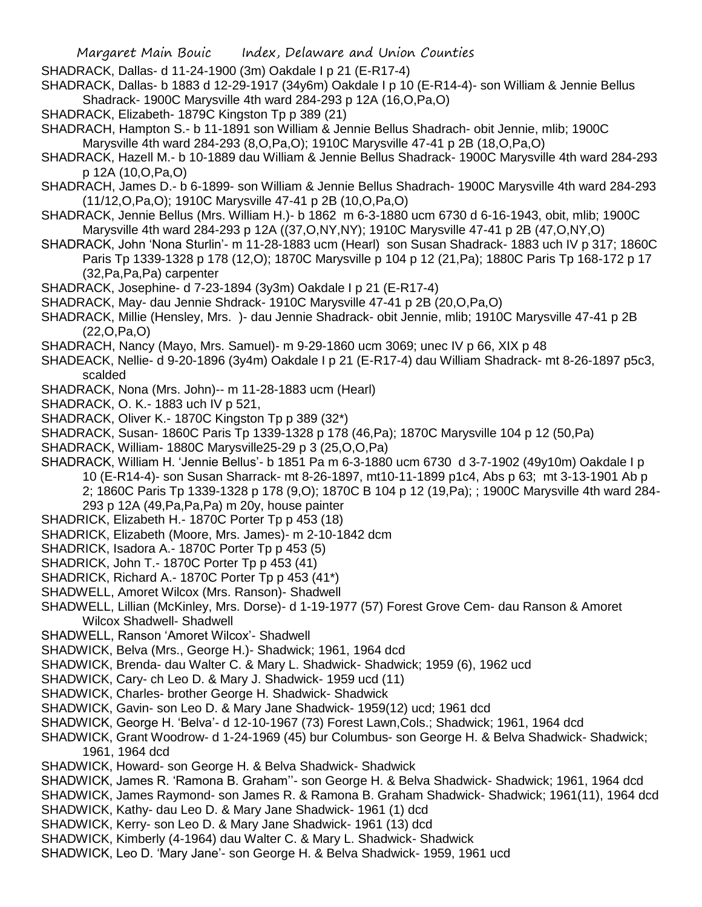SHADRACK, Dallas- d 11-24-1900 (3m) Oakdale I p 21 (E-R17-4)

SHADRACK, Dallas- b 1883 d 12-29-1917 (34y6m) Oakdale I p 10 (E-R14-4)- son William & Jennie Bellus Shadrack- 1900C Marysville 4th ward 284-293 p 12A (16,O,Pa,O)

SHADRACK, Elizabeth- 1879C Kingston Tp p 389 (21)

SHADRACH, Hampton S.- b 11-1891 son William & Jennie Bellus Shadrach- obit Jennie, mlib; 1900C Marysville 4th ward 284-293 (8,O,Pa,O); 1910C Marysville 47-41 p 2B (18,O,Pa,O)

SHADRACK, Hazell M.- b 10-1889 dau William & Jennie Bellus Shadrack- 1900C Marysville 4th ward 284-293 p 12A (10,O,Pa,O)

SHADRACH, James D.- b 6-1899- son William & Jennie Bellus Shadrach- 1900C Marysville 4th ward 284-293 (11/12,O,Pa,O); 1910C Marysville 47-41 p 2B (10,O,Pa,O)

- SHADRACK, Jennie Bellus (Mrs. William H.)- b 1862 m 6-3-1880 ucm 6730 d 6-16-1943, obit, mlib; 1900C Marysville 4th ward 284-293 p 12A ((37,O,NY,NY); 1910C Marysville 47-41 p 2B (47,O,NY,O)
- SHADRACK, John 'Nona Sturlin'- m 11-28-1883 ucm (Hearl) son Susan Shadrack- 1883 uch IV p 317; 1860C Paris Tp 1339-1328 p 178 (12,O); 1870C Marysville p 104 p 12 (21,Pa); 1880C Paris Tp 168-172 p 17 (32,Pa,Pa,Pa) carpenter
- SHADRACK, Josephine- d 7-23-1894 (3y3m) Oakdale I p 21 (E-R17-4)
- SHADRACK, May- dau Jennie Shdrack- 1910C Marysville 47-41 p 2B (20,O,Pa,O)
- SHADRACK, Millie (Hensley, Mrs. )- dau Jennie Shadrack- obit Jennie, mlib; 1910C Marysville 47-41 p 2B (22,O,Pa,O)

SHADRACH, Nancy (Mayo, Mrs. Samuel)- m 9-29-1860 ucm 3069; unec IV p 66, XIX p 48

SHADEACK, Nellie- d 9-20-1896 (3y4m) Oakdale I p 21 (E-R17-4) dau William Shadrack- mt 8-26-1897 p5c3, scalded

SHADRACK, Nona (Mrs. John)-- m 11-28-1883 ucm (Hearl)

SHADRACK, O. K.- 1883 uch IV p 521,

- SHADRACK, Oliver K.-1870C Kingston Tp p 389 (32\*)
- SHADRACK, Susan- 1860C Paris Tp 1339-1328 p 178 (46,Pa); 1870C Marysville 104 p 12 (50,Pa)
- SHADRACK, William- 1880C Marysville25-29 p 3 (25,O,O,Pa)

SHADRACK, William H. 'Jennie Bellus'- b 1851 Pa m 6-3-1880 ucm 6730 d 3-7-1902 (49y10m) Oakdale I p 10 (E-R14-4)- son Susan Sharrack- mt 8-26-1897, mt10-11-1899 p1c4, Abs p 63; mt 3-13-1901 Ab p 2; 1860C Paris Tp 1339-1328 p 178 (9,O); 1870C B 104 p 12 (19,Pa); ; 1900C Marysville 4th ward 284- 293 p 12A (49,Pa,Pa,Pa) m 20y, house painter

- SHADRICK, Elizabeth H.- 1870C Porter Tp p 453 (18)
- SHADRICK, Elizabeth (Moore, Mrs. James)- m 2-10-1842 dcm
- SHADRICK, Isadora A.-1870C Porter Tp p 453 (5)
- SHADRICK, John T.- 1870C Porter Tp p 453 (41)
- SHADRICK, Richard A.- 1870C Porter Tp p 453 (41\*)
- SHADWELL, Amoret Wilcox (Mrs. Ranson)- Shadwell
- SHADWELL, Lillian (McKinley, Mrs. Dorse)- d 1-19-1977 (57) Forest Grove Cem- dau Ranson & Amoret Wilcox Shadwell- Shadwell
- SHADWELL, Ranson 'Amoret Wilcox'- Shadwell
- SHADWICK, Belva (Mrs., George H.)- Shadwick; 1961, 1964 dcd
- SHADWICK, Brenda- dau Walter C. & Mary L. Shadwick- Shadwick; 1959 (6), 1962 ucd
- SHADWICK, Cary- ch Leo D. & Mary J. Shadwick- 1959 ucd (11)
- SHADWICK, Charles- brother George H. Shadwick- Shadwick
- SHADWICK, Gavin- son Leo D. & Mary Jane Shadwick- 1959(12) ucd; 1961 dcd
- SHADWICK, George H. 'Belva'- d 12-10-1967 (73) Forest Lawn,Cols.; Shadwick; 1961, 1964 dcd
- SHADWICK, Grant Woodrow- d 1-24-1969 (45) bur Columbus- son George H. & Belva Shadwick- Shadwick; 1961, 1964 dcd
- SHADWICK, Howard- son George H. & Belva Shadwick- Shadwick
- SHADWICK, James R. 'Ramona B. Graham''- son George H. & Belva Shadwick- Shadwick; 1961, 1964 dcd
- SHADWICK, James Raymond- son James R. & Ramona B. Graham Shadwick- Shadwick; 1961(11), 1964 dcd
- SHADWICK, Kathy- dau Leo D. & Mary Jane Shadwick- 1961 (1) dcd
- SHADWICK, Kerry- son Leo D. & Mary Jane Shadwick- 1961 (13) dcd
- SHADWICK, Kimberly (4-1964) dau Walter C. & Mary L. Shadwick- Shadwick
- SHADWICK, Leo D. 'Mary Jane'- son George H. & Belva Shadwick- 1959, 1961 ucd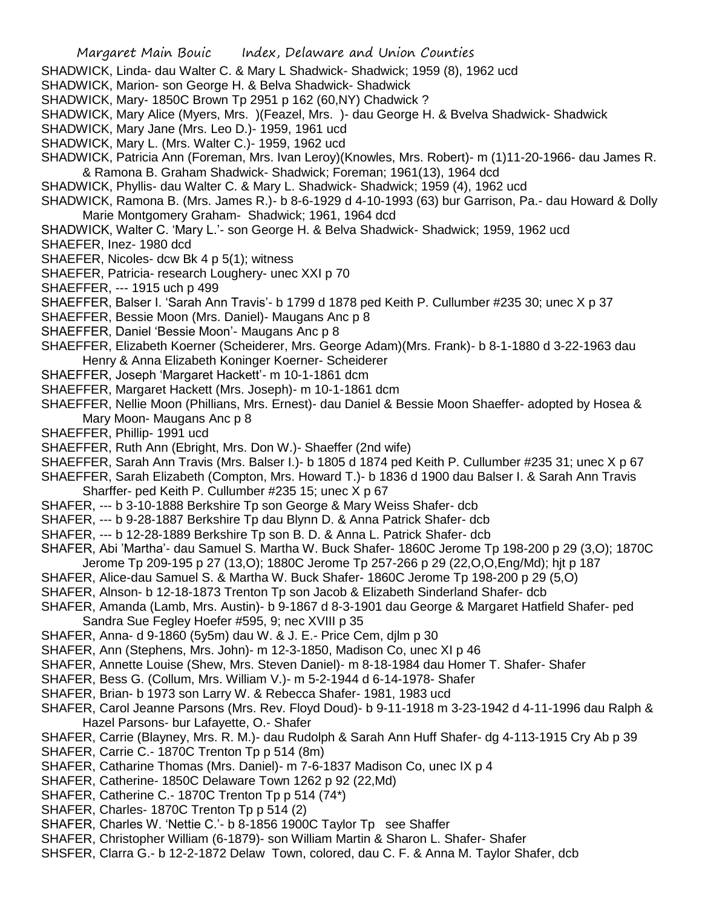- SHADWICK, Linda- dau Walter C. & Mary L Shadwick- Shadwick; 1959 (8), 1962 ucd
- SHADWICK, Marion- son George H. & Belva Shadwick- Shadwick
- SHADWICK, Mary- 1850C Brown Tp 2951 p 162 (60,NY) Chadwick ?
- SHADWICK, Mary Alice (Myers, Mrs. )(Feazel, Mrs. )- dau George H. & Bvelva Shadwick- Shadwick
- SHADWICK, Mary Jane (Mrs. Leo D.)- 1959, 1961 ucd
- SHADWICK, Mary L. (Mrs. Walter C.)- 1959, 1962 ucd
- SHADWICK, Patricia Ann (Foreman, Mrs. Ivan Leroy)(Knowles, Mrs. Robert)- m (1)11-20-1966- dau James R. & Ramona B. Graham Shadwick- Shadwick; Foreman; 1961(13), 1964 dcd
- SHADWICK, Phyllis- dau Walter C. & Mary L. Shadwick- Shadwick; 1959 (4), 1962 ucd
- SHADWICK, Ramona B. (Mrs. James R.)- b 8-6-1929 d 4-10-1993 (63) bur Garrison, Pa.- dau Howard & Dolly Marie Montgomery Graham- Shadwick; 1961, 1964 dcd
- SHADWICK, Walter C. 'Mary L.'- son George H. & Belva Shadwick- Shadwick; 1959, 1962 ucd
- SHAEFER, Inez- 1980 dcd
- SHAEFER, Nicoles- dcw Bk 4 p 5(1); witness
- SHAEFER, Patricia- research Loughery- unec XXI p 70
- SHAEFFER, --- 1915 uch p 499
- SHAEFFER, Balser I. 'Sarah Ann Travis'- b 1799 d 1878 ped Keith P. Cullumber #235 30; unec X p 37
- SHAEFFER, Bessie Moon (Mrs. Daniel)- Maugans Anc p 8
- SHAEFFER, Daniel 'Bessie Moon'- Maugans Anc p 8
- SHAEFFER, Elizabeth Koerner (Scheiderer, Mrs. George Adam)(Mrs. Frank)- b 8-1-1880 d 3-22-1963 dau Henry & Anna Elizabeth Koninger Koerner- Scheiderer
- SHAEFFER, Joseph 'Margaret Hackett'- m 10-1-1861 dcm
- SHAEFFER, Margaret Hackett (Mrs. Joseph)- m 10-1-1861 dcm
- SHAEFFER, Nellie Moon (Phillians, Mrs. Ernest)- dau Daniel & Bessie Moon Shaeffer- adopted by Hosea & Mary Moon- Maugans Anc p 8
- SHAEFFER, Phillip- 1991 ucd
- SHAEFFER, Ruth Ann (Ebright, Mrs. Don W.)- Shaeffer (2nd wife)
- SHAEFFER, Sarah Ann Travis (Mrs. Balser I.)- b 1805 d 1874 ped Keith P. Cullumber #235 31; unec X p 67
- SHAEFFER, Sarah Elizabeth (Compton, Mrs. Howard T.)- b 1836 d 1900 dau Balser I. & Sarah Ann Travis Sharffer- ped Keith P. Cullumber #235 15; unec X p 67
- SHAFER, --- b 3-10-1888 Berkshire Tp son George & Mary Weiss Shafer- dcb
- SHAFER, --- b 9-28-1887 Berkshire Tp dau Blynn D. & Anna Patrick Shafer- dcb
- SHAFER, --- b 12-28-1889 Berkshire Tp son B. D. & Anna L. Patrick Shafer- dcb
- SHAFER, Abi 'Martha'- dau Samuel S. Martha W. Buck Shafer- 1860C Jerome Tp 198-200 p 29 (3,O); 1870C Jerome Tp 209-195 p 27 (13,O); 1880C Jerome Tp 257-266 p 29 (22,O,O,Eng/Md); hjt p 187
- SHAFER, Alice-dau Samuel S. & Martha W. Buck Shafer- 1860C Jerome Tp 198-200 p 29 (5,O)
- SHAFER, Alnson- b 12-18-1873 Trenton Tp son Jacob & Elizabeth Sinderland Shafer- dcb
- SHAFER, Amanda (Lamb, Mrs. Austin)- b 9-1867 d 8-3-1901 dau George & Margaret Hatfield Shafer- ped Sandra Sue Fegley Hoefer #595, 9; nec XVIII p 35
- SHAFER, Anna- d 9-1860 (5y5m) dau W. & J. E.- Price Cem, djlm p 30
- SHAFER, Ann (Stephens, Mrs. John)- m 12-3-1850, Madison Co, unec XI p 46
- SHAFER, Annette Louise (Shew, Mrs. Steven Daniel)- m 8-18-1984 dau Homer T. Shafer- Shafer
- SHAFER, Bess G. (Collum, Mrs. William V.)- m 5-2-1944 d 6-14-1978- Shafer
- SHAFER, Brian- b 1973 son Larry W. & Rebecca Shafer- 1981, 1983 ucd
- SHAFER, Carol Jeanne Parsons (Mrs. Rev. Floyd Doud)- b 9-11-1918 m 3-23-1942 d 4-11-1996 dau Ralph & Hazel Parsons- bur Lafayette, O.- Shafer
- SHAFER, Carrie (Blayney, Mrs. R. M.)- dau Rudolph & Sarah Ann Huff Shafer- dg 4-113-1915 Cry Ab p 39
- SHAFER, Carrie C.- 1870C Trenton Tp p 514 (8m)
- SHAFER, Catharine Thomas (Mrs. Daniel)- m 7-6-1837 Madison Co, unec IX p 4
- SHAFER, Catherine- 1850C Delaware Town 1262 p 92 (22,Md)
- SHAFER, Catherine C.-1870C Trenton Tp p 514 (74\*)
- SHAFER, Charles- 1870C Trenton Tp p 514 (2)
- SHAFER, Charles W. 'Nettie C.'- b 8-1856 1900C Taylor Tp see Shaffer
- SHAFER, Christopher William (6-1879)- son William Martin & Sharon L. Shafer- Shafer
- SHSFER, Clarra G.- b 12-2-1872 Delaw Town, colored, dau C. F. & Anna M. Taylor Shafer, dcb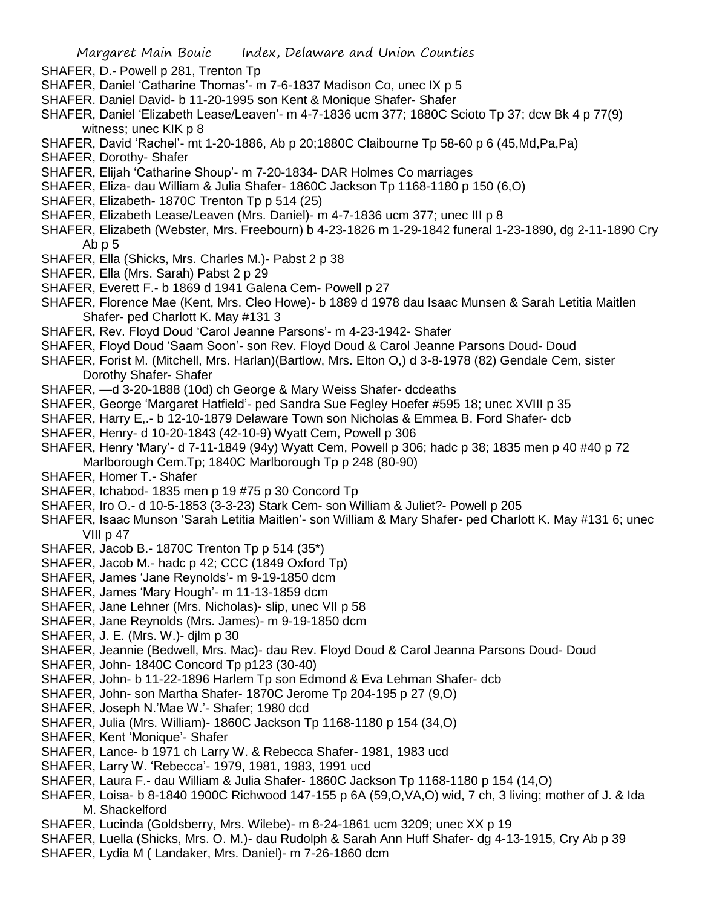- SHAFER, D.- Powell p 281, Trenton Tp
- SHAFER, Daniel 'Catharine Thomas'- m 7-6-1837 Madison Co, unec IX p 5
- SHAFER. Daniel David- b 11-20-1995 son Kent & Monique Shafer- Shafer
- SHAFER, Daniel 'Elizabeth Lease/Leaven'- m 4-7-1836 ucm 377; 1880C Scioto Tp 37; dcw Bk 4 p 77(9) witness; unec KIK p 8
- SHAFER, David 'Rachel'- mt 1-20-1886, Ab p 20;1880C Claibourne Tp 58-60 p 6 (45,Md,Pa,Pa)
- SHAFER, Dorothy- Shafer
- SHAFER, Elijah 'Catharine Shoup'- m 7-20-1834- DAR Holmes Co marriages
- SHAFER, Eliza- dau William & Julia Shafer- 1860C Jackson Tp 1168-1180 p 150 (6,O)
- SHAFER, Elizabeth- 1870C Trenton Tp p 514 (25)
- SHAFER, Elizabeth Lease/Leaven (Mrs. Daniel)- m 4-7-1836 ucm 377; unec III p 8
- SHAFER, Elizabeth (Webster, Mrs. Freebourn) b 4-23-1826 m 1-29-1842 funeral 1-23-1890, dg 2-11-1890 Cry Ab p 5
- SHAFER, Ella (Shicks, Mrs. Charles M.)- Pabst 2 p 38
- SHAFER, Ella (Mrs. Sarah) Pabst 2 p 29
- SHAFER, Everett F.- b 1869 d 1941 Galena Cem- Powell p 27
- SHAFER, Florence Mae (Kent, Mrs. Cleo Howe)- b 1889 d 1978 dau Isaac Munsen & Sarah Letitia Maitlen Shafer- ped Charlott K. May #131 3
- SHAFER, Rev. Floyd Doud 'Carol Jeanne Parsons'- m 4-23-1942- Shafer
- SHAFER, Floyd Doud 'Saam Soon'- son Rev. Floyd Doud & Carol Jeanne Parsons Doud- Doud
- SHAFER, Forist M. (Mitchell, Mrs. Harlan)(Bartlow, Mrs. Elton O,) d 3-8-1978 (82) Gendale Cem, sister Dorothy Shafer- Shafer
- SHAFER, —d 3-20-1888 (10d) ch George & Mary Weiss Shafer- dcdeaths
- SHAFER, George 'Margaret Hatfield'- ped Sandra Sue Fegley Hoefer #595 18; unec XVIII p 35
- SHAFER, Harry E,.- b 12-10-1879 Delaware Town son Nicholas & Emmea B. Ford Shafer- dcb
- SHAFER, Henry- d 10-20-1843 (42-10-9) Wyatt Cem, Powell p 306
- SHAFER, Henry 'Mary'- d 7-11-1849 (94y) Wyatt Cem, Powell p 306; hadc p 38; 1835 men p 40 #40 p 72
- Marlborough Cem.Tp: 1840C Marlborough Tp p 248 (80-90)
- SHAFER, Homer T.- Shafer
- SHAFER, Ichabod- 1835 men p 19 #75 p 30 Concord Tp
- SHAFER, Iro O.- d 10-5-1853 (3-3-23) Stark Cem- son William & Juliet?- Powell p 205
- SHAFER, Isaac Munson 'Sarah Letitia Maitlen'- son William & Mary Shafer- ped Charlott K. May #131 6; unec VIII p 47
- SHAFER, Jacob B.- 1870C Trenton Tp p 514 (35\*)
- SHAFER, Jacob M.- hadc p 42; CCC (1849 Oxford Tp)
- SHAFER, James 'Jane Reynolds'- m 9-19-1850 dcm
- SHAFER, James 'Mary Hough'- m 11-13-1859 dcm
- SHAFER, Jane Lehner (Mrs. Nicholas)- slip, unec VII p 58
- SHAFER, Jane Reynolds (Mrs. James)- m 9-19-1850 dcm
- SHAFER, J. E. (Mrs. W.)- djlm p 30
- SHAFER, Jeannie (Bedwell, Mrs. Mac)- dau Rev. Floyd Doud & Carol Jeanna Parsons Doud- Doud
- SHAFER, John- 1840C Concord Tp p123 (30-40)
- SHAFER, John- b 11-22-1896 Harlem Tp son Edmond & Eva Lehman Shafer- dcb
- SHAFER, John- son Martha Shafer- 1870C Jerome Tp 204-195 p 27 (9,O)
- SHAFER, Joseph N.'Mae W.'- Shafer; 1980 dcd
- SHAFER, Julia (Mrs. William)- 1860C Jackson Tp 1168-1180 p 154 (34,O)
- SHAFER, Kent 'Monique'- Shafer
- SHAFER, Lance- b 1971 ch Larry W. & Rebecca Shafer- 1981, 1983 ucd
- SHAFER, Larry W. 'Rebecca'- 1979, 1981, 1983, 1991 ucd
- SHAFER, Laura F.- dau William & Julia Shafer- 1860C Jackson Tp 1168-1180 p 154 (14,O)
- SHAFER, Loisa- b 8-1840 1900C Richwood 147-155 p 6A (59,O,VA,O) wid, 7 ch, 3 living; mother of J. & Ida M. Shackelford
- SHAFER, Lucinda (Goldsberry, Mrs. Wilebe)- m 8-24-1861 ucm 3209; unec XX p 19
- SHAFER, Luella (Shicks, Mrs. O. M.)- dau Rudolph & Sarah Ann Huff Shafer- dg 4-13-1915, Cry Ab p 39
- SHAFER, Lydia M ( Landaker, Mrs. Daniel)- m 7-26-1860 dcm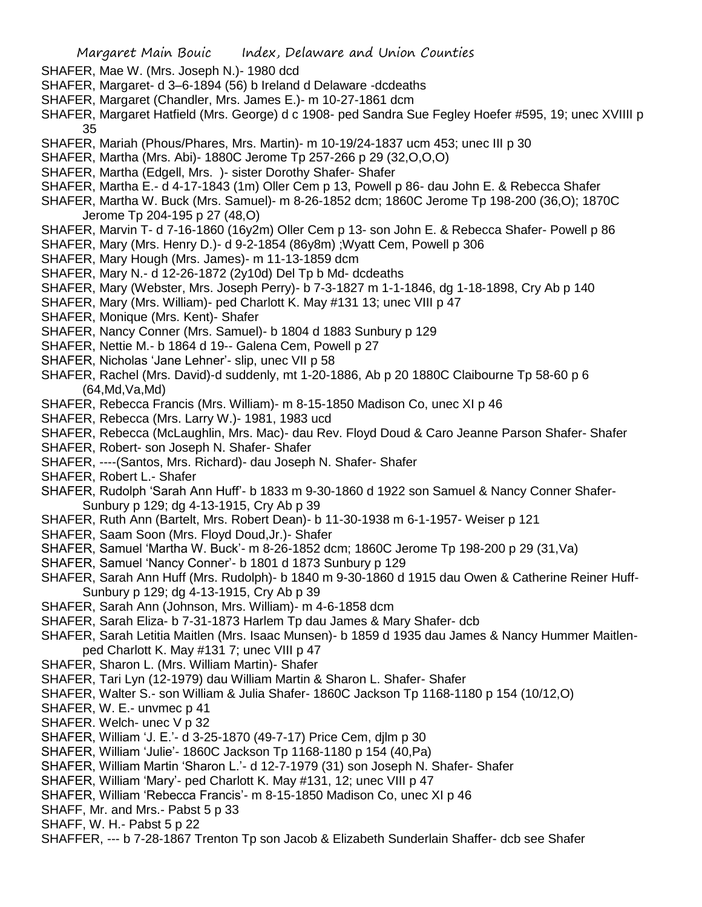- SHAFER, Mae W. (Mrs. Joseph N.)- 1980 dcd
- SHAFER, Margaret- d 3–6-1894 (56) b Ireland d Delaware -dcdeaths
- SHAFER, Margaret (Chandler, Mrs. James E.)- m 10-27-1861 dcm
- SHAFER, Margaret Hatfield (Mrs. George) d c 1908- ped Sandra Sue Fegley Hoefer #595, 19; unec XVIIII p 35
- SHAFER, Mariah (Phous/Phares, Mrs. Martin)- m 10-19/24-1837 ucm 453; unec III p 30
- SHAFER, Martha (Mrs. Abi)- 1880C Jerome Tp 257-266 p 29 (32,O,O,O)
- SHAFER, Martha (Edgell, Mrs. )- sister Dorothy Shafer- Shafer
- SHAFER, Martha E.- d 4-17-1843 (1m) Oller Cem p 13, Powell p 86- dau John E. & Rebecca Shafer
- SHAFER, Martha W. Buck (Mrs. Samuel)- m 8-26-1852 dcm; 1860C Jerome Tp 198-200 (36,O); 1870C Jerome Tp 204-195 p 27 (48,O)
- SHAFER, Marvin T- d 7-16-1860 (16y2m) Oller Cem p 13- son John E. & Rebecca Shafer- Powell p 86
- SHAFER, Mary (Mrs. Henry D.)- d 9-2-1854 (86y8m) ;Wyatt Cem, Powell p 306
- SHAFER, Mary Hough (Mrs. James)- m 11-13-1859 dcm
- SHAFER, Mary N.- d 12-26-1872 (2y10d) Del Tp b Md- dcdeaths
- SHAFER, Mary (Webster, Mrs. Joseph Perry)- b 7-3-1827 m 1-1-1846, dg 1-18-1898, Cry Ab p 140
- SHAFER, Mary (Mrs. William)- ped Charlott K. May #131 13; unec VIII p 47
- SHAFER, Monique (Mrs. Kent)- Shafer
- SHAFER, Nancy Conner (Mrs. Samuel)- b 1804 d 1883 Sunbury p 129
- SHAFER, Nettie M.- b 1864 d 19-- Galena Cem, Powell p 27
- SHAFER, Nicholas 'Jane Lehner'- slip, unec VII p 58
- SHAFER, Rachel (Mrs. David)-d suddenly, mt 1-20-1886, Ab p 20 1880C Claibourne Tp 58-60 p 6 (64,Md,Va,Md)
- SHAFER, Rebecca Francis (Mrs. William)- m 8-15-1850 Madison Co, unec XI p 46
- SHAFER, Rebecca (Mrs. Larry W.)- 1981, 1983 ucd
- SHAFER, Rebecca (McLaughlin, Mrs. Mac)- dau Rev. Floyd Doud & Caro Jeanne Parson Shafer- Shafer
- SHAFER, Robert- son Joseph N. Shafer- Shafer
- SHAFER, ----(Santos, Mrs. Richard)- dau Joseph N. Shafer- Shafer
- SHAFER, Robert L.- Shafer
- SHAFER, Rudolph 'Sarah Ann Huff'- b 1833 m 9-30-1860 d 1922 son Samuel & Nancy Conner Shafer-Sunbury p 129; dg 4-13-1915, Cry Ab p 39
- SHAFER, Ruth Ann (Bartelt, Mrs. Robert Dean)- b 11-30-1938 m 6-1-1957- Weiser p 121
- SHAFER, Saam Soon (Mrs. Floyd Doud,Jr.)- Shafer
- SHAFER, Samuel 'Martha W. Buck'- m 8-26-1852 dcm; 1860C Jerome Tp 198-200 p 29 (31,Va)
- SHAFER, Samuel 'Nancy Conner'- b 1801 d 1873 Sunbury p 129
- SHAFER, Sarah Ann Huff (Mrs. Rudolph)- b 1840 m 9-30-1860 d 1915 dau Owen & Catherine Reiner Huff-Sunbury p 129; dg 4-13-1915, Cry Ab p 39
- SHAFER, Sarah Ann (Johnson, Mrs. William)- m 4-6-1858 dcm
- SHAFER, Sarah Eliza- b 7-31-1873 Harlem Tp dau James & Mary Shafer- dcb
- SHAFER, Sarah Letitia Maitlen (Mrs. Isaac Munsen)- b 1859 d 1935 dau James & Nancy Hummer Maitlenped Charlott K. May #131 7; unec VIII p 47
- SHAFER, Sharon L. (Mrs. William Martin)- Shafer
- SHAFER, Tari Lyn (12-1979) dau William Martin & Sharon L. Shafer- Shafer
- SHAFER, Walter S.- son William & Julia Shafer- 1860C Jackson Tp 1168-1180 p 154 (10/12,O)
- SHAFER, W. E.- unvmec p 41
- SHAFER. Welch- unec V p 32
- SHAFER, William 'J. E.'- d 3-25-1870 (49-7-17) Price Cem, djlm p 30
- SHAFER, William 'Julie'- 1860C Jackson Tp 1168-1180 p 154 (40,Pa)
- SHAFER, William Martin 'Sharon L.'- d 12-7-1979 (31) son Joseph N. Shafer- Shafer
- SHAFER, William 'Mary'- ped Charlott K. May #131, 12; unec VIII p 47
- SHAFER, William 'Rebecca Francis'- m 8-15-1850 Madison Co, unec XI p 46
- SHAFF, Mr. and Mrs. Pabst 5 p 33
- SHAFF, W. H.- Pabst 5 p 22
- SHAFFER, --- b 7-28-1867 Trenton Tp son Jacob & Elizabeth Sunderlain Shaffer- dcb see Shafer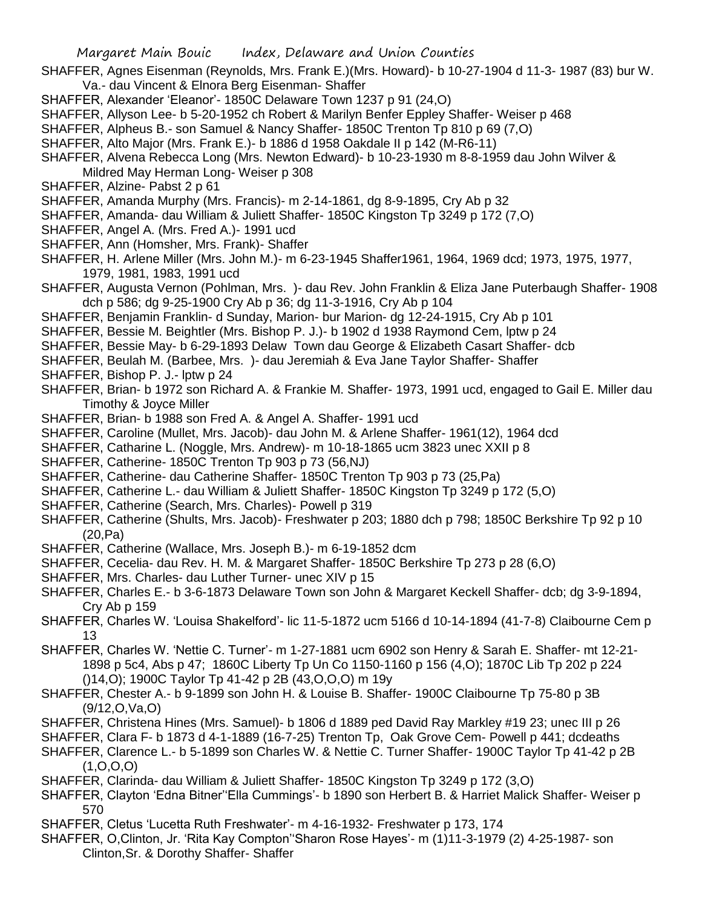- SHAFFER, Agnes Eisenman (Reynolds, Mrs. Frank E.)(Mrs. Howard)- b 10-27-1904 d 11-3- 1987 (83) bur W. Va.- dau Vincent & Elnora Berg Eisenman- Shaffer
- SHAFFER, Alexander 'Eleanor'- 1850C Delaware Town 1237 p 91 (24,O)
- SHAFFER, Allyson Lee- b 5-20-1952 ch Robert & Marilyn Benfer Eppley Shaffer- Weiser p 468
- SHAFFER, Alpheus B.- son Samuel & Nancy Shaffer- 1850C Trenton Tp 810 p 69 (7,O)
- SHAFFER, Alto Major (Mrs. Frank E.)- b 1886 d 1958 Oakdale II p 142 (M-R6-11)
- SHAFFER, Alvena Rebecca Long (Mrs. Newton Edward)- b 10-23-1930 m 8-8-1959 dau John Wilver & Mildred May Herman Long- Weiser p 308
- SHAFFER, Alzine- Pabst 2 p 61
- SHAFFER, Amanda Murphy (Mrs. Francis)- m 2-14-1861, dg 8-9-1895, Cry Ab p 32
- SHAFFER, Amanda- dau William & Juliett Shaffer- 1850C Kingston Tp 3249 p 172 (7,O)
- SHAFFER, Angel A. (Mrs. Fred A.)- 1991 ucd
- SHAFFER, Ann (Homsher, Mrs. Frank)- Shaffer
- SHAFFER, H. Arlene Miller (Mrs. John M.)- m 6-23-1945 Shaffer1961, 1964, 1969 dcd; 1973, 1975, 1977, 1979, 1981, 1983, 1991 ucd
- SHAFFER, Augusta Vernon (Pohlman, Mrs. )- dau Rev. John Franklin & Eliza Jane Puterbaugh Shaffer- 1908 dch p 586; dg 9-25-1900 Cry Ab p 36; dg 11-3-1916, Cry Ab p 104
- SHAFFER, Benjamin Franklin- d Sunday, Marion- bur Marion- dg 12-24-1915, Cry Ab p 101
- SHAFFER, Bessie M. Beightler (Mrs. Bishop P. J.)- b 1902 d 1938 Raymond Cem, lptw p 24
- SHAFFER, Bessie May- b 6-29-1893 Delaw Town dau George & Elizabeth Casart Shaffer- dcb
- SHAFFER, Beulah M. (Barbee, Mrs. )- dau Jeremiah & Eva Jane Taylor Shaffer- Shaffer
- SHAFFER, Bishop P. J.- lptw p 24
- SHAFFER, Brian- b 1972 son Richard A. & Frankie M. Shaffer- 1973, 1991 ucd, engaged to Gail E. Miller dau Timothy & Joyce Miller
- SHAFFER, Brian- b 1988 son Fred A. & Angel A. Shaffer- 1991 ucd
- SHAFFER, Caroline (Mullet, Mrs. Jacob)- dau John M. & Arlene Shaffer- 1961(12), 1964 dcd
- SHAFFER, Catharine L. (Noggle, Mrs. Andrew)- m 10-18-1865 ucm 3823 unec XXII p 8
- SHAFFER, Catherine- 1850C Trenton Tp 903 p 73 (56,NJ)
- SHAFFER, Catherine- dau Catherine Shaffer- 1850C Trenton Tp 903 p 73 (25,Pa)
- SHAFFER, Catherine L.- dau William & Juliett Shaffer- 1850C Kingston Tp 3249 p 172 (5,O)
- SHAFFER, Catherine (Search, Mrs. Charles)- Powell p 319
- SHAFFER, Catherine (Shults, Mrs. Jacob)- Freshwater p 203; 1880 dch p 798; 1850C Berkshire Tp 92 p 10 (20,Pa)
- SHAFFER, Catherine (Wallace, Mrs. Joseph B.)- m 6-19-1852 dcm
- SHAFFER, Cecelia- dau Rev. H. M. & Margaret Shaffer- 1850C Berkshire Tp 273 p 28 (6,O)
- SHAFFER, Mrs. Charles- dau Luther Turner- unec XIV p 15
- SHAFFER, Charles E.- b 3-6-1873 Delaware Town son John & Margaret Keckell Shaffer- dcb; dg 3-9-1894, Cry Ab p 159
- SHAFFER, Charles W. 'Louisa Shakelford'- lic 11-5-1872 ucm 5166 d 10-14-1894 (41-7-8) Claibourne Cem p 13
- SHAFFER, Charles W. 'Nettie C. Turner'- m 1-27-1881 ucm 6902 son Henry & Sarah E. Shaffer- mt 12-21- 1898 p 5c4, Abs p 47; 1860C Liberty Tp Un Co 1150-1160 p 156 (4,O); 1870C Lib Tp 202 p 224 ()14,O); 1900C Taylor Tp 41-42 p 2B (43,O,O,O) m 19y
- SHAFFER, Chester A.- b 9-1899 son John H. & Louise B. Shaffer- 1900C Claibourne Tp 75-80 p 3B (9/12,O,Va,O)
- SHAFFER, Christena Hines (Mrs. Samuel)- b 1806 d 1889 ped David Ray Markley #19 23; unec III p 26
- SHAFFER, Clara F- b 1873 d 4-1-1889 (16-7-25) Trenton Tp, Oak Grove Cem- Powell p 441; dcdeaths
- SHAFFER, Clarence L.- b 5-1899 son Charles W. & Nettie C. Turner Shaffer- 1900C Taylor Tp 41-42 p 2B  $(1, 0, 0, 0)$
- SHAFFER, Clarinda- dau William & Juliett Shaffer- 1850C Kingston Tp 3249 p 172 (3,O)
- SHAFFER, Clayton 'Edna Bitner''Ella Cummings'- b 1890 son Herbert B. & Harriet Malick Shaffer- Weiser p 570
- SHAFFER, Cletus 'Lucetta Ruth Freshwater'- m 4-16-1932- Freshwater p 173, 174
- SHAFFER, O,Clinton, Jr. 'Rita Kay Compton''Sharon Rose Hayes'- m (1)11-3-1979 (2) 4-25-1987- son Clinton,Sr. & Dorothy Shaffer- Shaffer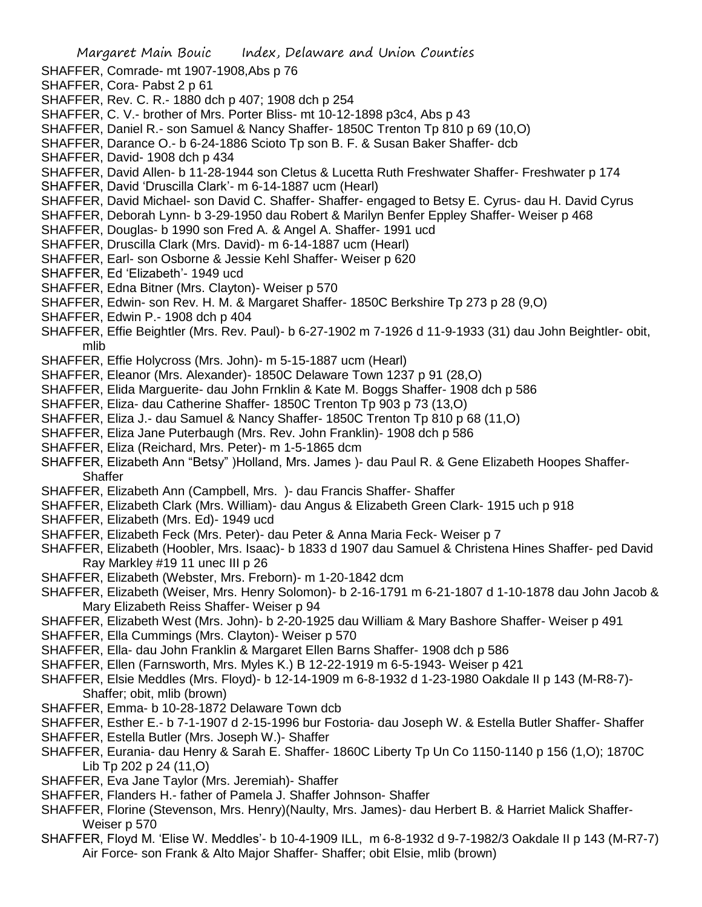- SHAFFER, Comrade- mt 1907-1908,Abs p 76
- SHAFFER, Cora- Pabst 2 p 61
- SHAFFER, Rev. C. R.- 1880 dch p 407; 1908 dch p 254
- SHAFFER, C. V.- brother of Mrs. Porter Bliss- mt 10-12-1898 p3c4, Abs p 43
- SHAFFER, Daniel R.- son Samuel & Nancy Shaffer- 1850C Trenton Tp 810 p 69 (10,O)
- SHAFFER, Darance O.- b 6-24-1886 Scioto Tp son B. F. & Susan Baker Shaffer- dcb
- SHAFFER, David- 1908 dch p 434
- SHAFFER, David Allen- b 11-28-1944 son Cletus & Lucetta Ruth Freshwater Shaffer- Freshwater p 174
- SHAFFER, David 'Druscilla Clark'- m 6-14-1887 ucm (Hearl)
- SHAFFER, David Michael- son David C. Shaffer- Shaffer- engaged to Betsy E. Cyrus- dau H. David Cyrus
- SHAFFER, Deborah Lynn- b 3-29-1950 dau Robert & Marilyn Benfer Eppley Shaffer- Weiser p 468
- SHAFFER, Douglas- b 1990 son Fred A. & Angel A. Shaffer- 1991 ucd
- SHAFFER, Druscilla Clark (Mrs. David)- m 6-14-1887 ucm (Hearl)
- SHAFFER, Earl- son Osborne & Jessie Kehl Shaffer- Weiser p 620
- SHAFFER, Ed 'Elizabeth'- 1949 ucd
- SHAFFER, Edna Bitner (Mrs. Clayton)- Weiser p 570
- SHAFFER, Edwin- son Rev. H. M. & Margaret Shaffer- 1850C Berkshire Tp 273 p 28 (9,O)
- SHAFFER, Edwin P.- 1908 dch p 404
- SHAFFER, Effie Beightler (Mrs. Rev. Paul)- b 6-27-1902 m 7-1926 d 11-9-1933 (31) dau John Beightler- obit, mlib
- SHAFFER, Effie Holycross (Mrs. John)- m 5-15-1887 ucm (Hearl)
- SHAFFER, Eleanor (Mrs. Alexander)- 1850C Delaware Town 1237 p 91 (28,O)
- SHAFFER, Elida Marguerite- dau John Frnklin & Kate M. Boggs Shaffer- 1908 dch p 586
- SHAFFER, Eliza- dau Catherine Shaffer- 1850C Trenton Tp 903 p 73 (13,O)
- SHAFFER, Eliza J.- dau Samuel & Nancy Shaffer- 1850C Trenton Tp 810 p 68 (11,O)
- SHAFFER, Eliza Jane Puterbaugh (Mrs. Rev. John Franklin)- 1908 dch p 586
- SHAFFER, Eliza (Reichard, Mrs. Peter)- m 1-5-1865 dcm
- SHAFFER, Elizabeth Ann "Betsy" )Holland, Mrs. James )- dau Paul R. & Gene Elizabeth Hoopes Shaffer-**Shaffer**
- SHAFFER, Elizabeth Ann (Campbell, Mrs. )- dau Francis Shaffer- Shaffer
- SHAFFER, Elizabeth Clark (Mrs. William)- dau Angus & Elizabeth Green Clark- 1915 uch p 918
- SHAFFER, Elizabeth (Mrs. Ed)- 1949 ucd
- SHAFFER, Elizabeth Feck (Mrs. Peter)- dau Peter & Anna Maria Feck- Weiser p 7
- SHAFFER, Elizabeth (Hoobler, Mrs. Isaac)- b 1833 d 1907 dau Samuel & Christena Hines Shaffer- ped David Ray Markley #19 11 unec III p 26
- SHAFFER, Elizabeth (Webster, Mrs. Freborn)- m 1-20-1842 dcm
- SHAFFER, Elizabeth (Weiser, Mrs. Henry Solomon)- b 2-16-1791 m 6-21-1807 d 1-10-1878 dau John Jacob & Mary Elizabeth Reiss Shaffer- Weiser p 94
- SHAFFER, Elizabeth West (Mrs. John)- b 2-20-1925 dau William & Mary Bashore Shaffer- Weiser p 491
- SHAFFER, Ella Cummings (Mrs. Clayton)- Weiser p 570
- SHAFFER, Ella- dau John Franklin & Margaret Ellen Barns Shaffer- 1908 dch p 586
- SHAFFER, Ellen (Farnsworth, Mrs. Myles K.) B 12-22-1919 m 6-5-1943- Weiser p 421
- SHAFFER, Elsie Meddles (Mrs. Floyd)- b 12-14-1909 m 6-8-1932 d 1-23-1980 Oakdale II p 143 (M-R8-7)- Shaffer; obit, mlib (brown)
- SHAFFER, Emma- b 10-28-1872 Delaware Town dcb
- SHAFFER, Esther E.- b 7-1-1907 d 2-15-1996 bur Fostoria- dau Joseph W. & Estella Butler Shaffer- Shaffer
- SHAFFER, Estella Butler (Mrs. Joseph W.)- Shaffer
- SHAFFER, Eurania- dau Henry & Sarah E. Shaffer- 1860C Liberty Tp Un Co 1150-1140 p 156 (1,O); 1870C Lib Tp 202 p 24 (11,O)
- SHAFFER, Eva Jane Taylor (Mrs. Jeremiah)- Shaffer
- SHAFFER, Flanders H.- father of Pamela J. Shaffer Johnson- Shaffer
- SHAFFER, Florine (Stevenson, Mrs. Henry)(Naulty, Mrs. James)- dau Herbert B. & Harriet Malick Shaffer-Weiser p 570
- SHAFFER, Floyd M. 'Elise W. Meddles'- b 10-4-1909 ILL, m 6-8-1932 d 9-7-1982/3 Oakdale II p 143 (M-R7-7) Air Force- son Frank & Alto Major Shaffer- Shaffer; obit Elsie, mlib (brown)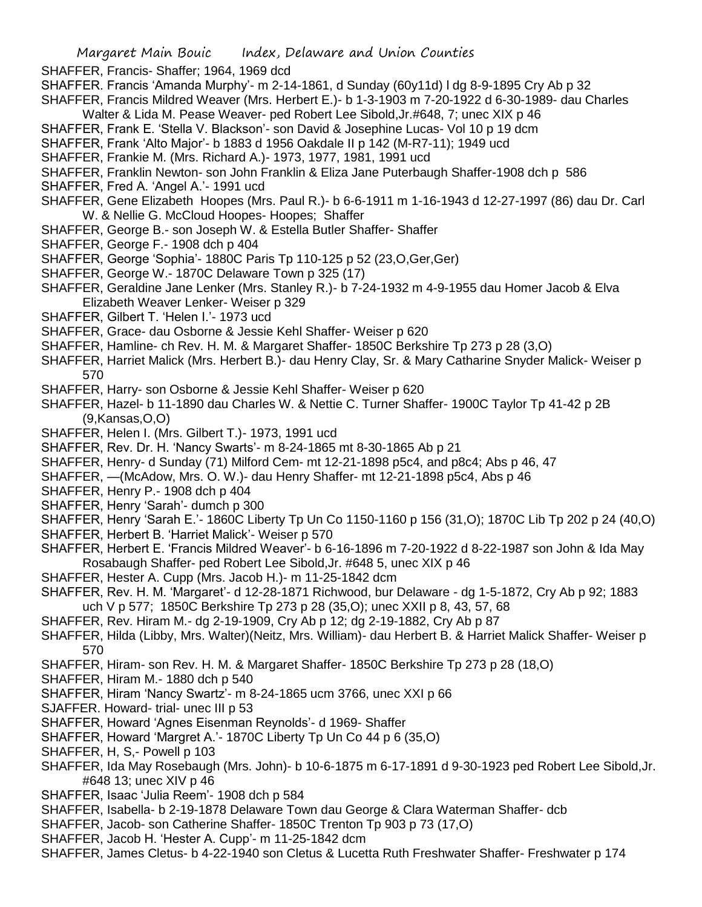- SHAFFER, Francis- Shaffer; 1964, 1969 dcd
- SHAFFER. Francis 'Amanda Murphy'- m 2-14-1861, d Sunday (60y11d) l dg 8-9-1895 Cry Ab p 32
- SHAFFER, Francis Mildred Weaver (Mrs. Herbert E.)- b 1-3-1903 m 7-20-1922 d 6-30-1989- dau Charles Walter & Lida M. Pease Weaver- ped Robert Lee Sibold,Jr.#648, 7; unec XIX p 46
- SHAFFER, Frank E. 'Stella V. Blackson'- son David & Josephine Lucas- Vol 10 p 19 dcm
- SHAFFER, Frank 'Alto Major'- b 1883 d 1956 Oakdale II p 142 (M-R7-11); 1949 ucd
- SHAFFER, Frankie M. (Mrs. Richard A.)- 1973, 1977, 1981, 1991 ucd
- SHAFFER, Franklin Newton- son John Franklin & Eliza Jane Puterbaugh Shaffer-1908 dch p 586
- SHAFFER, Fred A. 'Angel A.'- 1991 ucd
- SHAFFER, Gene Elizabeth Hoopes (Mrs. Paul R.)- b 6-6-1911 m 1-16-1943 d 12-27-1997 (86) dau Dr. Carl W. & Nellie G. McCloud Hoopes- Hoopes; Shaffer
- SHAFFER, George B.- son Joseph W. & Estella Butler Shaffer- Shaffer
- SHAFFER, George F.- 1908 dch p 404
- SHAFFER, George 'Sophia'- 1880C Paris Tp 110-125 p 52 (23,O,Ger,Ger)
- SHAFFER, George W.- 1870C Delaware Town p 325 (17)
- SHAFFER, Geraldine Jane Lenker (Mrs. Stanley R.)- b 7-24-1932 m 4-9-1955 dau Homer Jacob & Elva Elizabeth Weaver Lenker- Weiser p 329
- SHAFFER, Gilbert T. 'Helen I.'- 1973 ucd
- SHAFFER, Grace- dau Osborne & Jessie Kehl Shaffer- Weiser p 620
- SHAFFER, Hamline- ch Rev. H. M. & Margaret Shaffer- 1850C Berkshire Tp 273 p 28 (3,O)
- SHAFFER, Harriet Malick (Mrs. Herbert B.)- dau Henry Clay, Sr. & Mary Catharine Snyder Malick- Weiser p 570
- SHAFFER, Harry- son Osborne & Jessie Kehl Shaffer- Weiser p 620
- SHAFFER, Hazel- b 11-1890 dau Charles W. & Nettie C. Turner Shaffer- 1900C Taylor Tp 41-42 p 2B (9,Kansas,O,O)
- SHAFFER, Helen I. (Mrs. Gilbert T.)- 1973, 1991 ucd
- SHAFFER, Rev. Dr. H. 'Nancy Swarts'- m 8-24-1865 mt 8-30-1865 Ab p 21
- SHAFFER, Henry- d Sunday (71) Milford Cem- mt 12-21-1898 p5c4, and p8c4; Abs p 46, 47
- SHAFFER, —(McAdow, Mrs. O. W.)- dau Henry Shaffer- mt 12-21-1898 p5c4, Abs p 46
- SHAFFER, Henry P.- 1908 dch p 404
- SHAFFER, Henry 'Sarah'- dumch p 300
- SHAFFER, Henry 'Sarah E.'- 1860C Liberty Tp Un Co 1150-1160 p 156 (31,O); 1870C Lib Tp 202 p 24 (40,O)
- SHAFFER, Herbert B. 'Harriet Malick'- Weiser p 570
- SHAFFER, Herbert E. 'Francis Mildred Weaver'- b 6-16-1896 m 7-20-1922 d 8-22-1987 son John & Ida May Rosabaugh Shaffer- ped Robert Lee Sibold,Jr. #648 5, unec XIX p 46
- SHAFFER, Hester A. Cupp (Mrs. Jacob H.)- m 11-25-1842 dcm
- SHAFFER, Rev. H. M. 'Margaret'- d 12-28-1871 Richwood, bur Delaware dg 1-5-1872, Cry Ab p 92; 1883 uch V p 577; 1850C Berkshire Tp 273 p 28 (35,O); unec XXII p 8, 43, 57, 68
- SHAFFER, Rev. Hiram M.- dg 2-19-1909, Cry Ab p 12; dg 2-19-1882, Cry Ab p 87
- SHAFFER, Hilda (Libby, Mrs. Walter)(Neitz, Mrs. William)- dau Herbert B. & Harriet Malick Shaffer- Weiser p 570
- SHAFFER, Hiram- son Rev. H. M. & Margaret Shaffer- 1850C Berkshire Tp 273 p 28 (18,O)
- SHAFFER, Hiram M.- 1880 dch p 540
- SHAFFER, Hiram 'Nancy Swartz'- m 8-24-1865 ucm 3766, unec XXI p 66
- SJAFFER. Howard- trial- unec III p 53
- SHAFFER, Howard 'Agnes Eisenman Reynolds'- d 1969- Shaffer
- SHAFFER, Howard 'Margret A.'- 1870C Liberty Tp Un Co 44 p 6 (35,O)
- SHAFFER, H, S,- Powell p 103
- SHAFFER, Ida May Rosebaugh (Mrs. John)- b 10-6-1875 m 6-17-1891 d 9-30-1923 ped Robert Lee Sibold,Jr. #648 13; unec XIV p 46
- SHAFFER, Isaac 'Julia Reem'- 1908 dch p 584
- SHAFFER, Isabella- b 2-19-1878 Delaware Town dau George & Clara Waterman Shaffer- dcb
- SHAFFER, Jacob- son Catherine Shaffer- 1850C Trenton Tp 903 p 73 (17,O)
- SHAFFER, Jacob H. 'Hester A. Cupp'- m 11-25-1842 dcm
- SHAFFER, James Cletus- b 4-22-1940 son Cletus & Lucetta Ruth Freshwater Shaffer- Freshwater p 174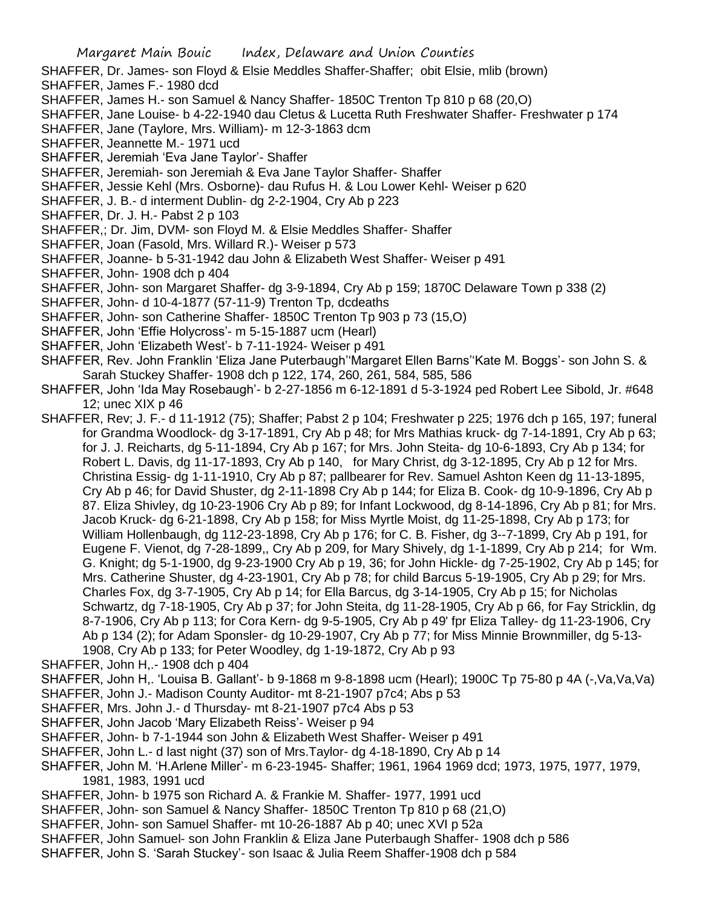- SHAFFER, Dr. James- son Floyd & Elsie Meddles Shaffer-Shaffer; obit Elsie, mlib (brown)
- SHAFFER, James F.- 1980 dcd
- SHAFFER, James H.- son Samuel & Nancy Shaffer- 1850C Trenton Tp 810 p 68 (20,O)
- SHAFFER, Jane Louise- b 4-22-1940 dau Cletus & Lucetta Ruth Freshwater Shaffer- Freshwater p 174
- SHAFFER, Jane (Taylore, Mrs. William)- m 12-3-1863 dcm
- SHAFFER, Jeannette M.- 1971 ucd
- SHAFFER, Jeremiah 'Eva Jane Taylor'- Shaffer
- SHAFFER, Jeremiah- son Jeremiah & Eva Jane Taylor Shaffer- Shaffer
- SHAFFER, Jessie Kehl (Mrs. Osborne)- dau Rufus H. & Lou Lower Kehl- Weiser p 620
- SHAFFER, J. B.- d interment Dublin- dg 2-2-1904, Cry Ab p 223
- SHAFFER, Dr. J. H.- Pabst 2 p 103
- SHAFFER,; Dr. Jim, DVM- son Floyd M. & Elsie Meddles Shaffer- Shaffer
- SHAFFER, Joan (Fasold, Mrs. Willard R.)- Weiser p 573
- SHAFFER, Joanne- b 5-31-1942 dau John & Elizabeth West Shaffer- Weiser p 491
- SHAFFER, John- 1908 dch p 404
- SHAFFER, John- son Margaret Shaffer- dg 3-9-1894, Cry Ab p 159; 1870C Delaware Town p 338 (2)
- SHAFFER, John- d 10-4-1877 (57-11-9) Trenton Tp, dcdeaths
- SHAFFER, John- son Catherine Shaffer- 1850C Trenton Tp 903 p 73 (15,O)
- SHAFFER, John 'Effie Holycross'- m 5-15-1887 ucm (Hearl)
- SHAFFER, John 'Elizabeth West'- b 7-11-1924- Weiser p 491
- SHAFFER, Rev. John Franklin 'Eliza Jane Puterbaugh''Margaret Ellen Barns''Kate M. Boggs'- son John S. & Sarah Stuckey Shaffer- 1908 dch p 122, 174, 260, 261, 584, 585, 586
- SHAFFER, John 'Ida May Rosebaugh'- b 2-27-1856 m 6-12-1891 d 5-3-1924 ped Robert Lee Sibold, Jr. #648 12; unec XIX p 46
- SHAFFER, Rev; J. F.- d 11-1912 (75); Shaffer; Pabst 2 p 104; Freshwater p 225; 1976 dch p 165, 197; funeral for Grandma Woodlock- dg 3-17-1891, Cry Ab p 48; for Mrs Mathias kruck- dg 7-14-1891, Cry Ab p 63; for J. J. Reicharts, dg 5-11-1894, Cry Ab p 167; for Mrs. John Steita- dg 10-6-1893, Cry Ab p 134; for Robert L. Davis, dg 11-17-1893, Cry Ab p 140, for Mary Christ, dg 3-12-1895, Cry Ab p 12 for Mrs. Christina Essig- dg 1-11-1910, Cry Ab p 87; pallbearer for Rev. Samuel Ashton Keen dg 11-13-1895, Cry Ab p 46; for David Shuster, dg 2-11-1898 Cry Ab p 144; for Eliza B. Cook- dg 10-9-1896, Cry Ab p 87. Eliza Shivley, dg 10-23-1906 Cry Ab p 89; for Infant Lockwood, dg 8-14-1896, Cry Ab p 81; for Mrs. Jacob Kruck- dg 6-21-1898, Cry Ab p 158; for Miss Myrtle Moist, dg 11-25-1898, Cry Ab p 173; for William Hollenbaugh, dg 112-23-1898, Cry Ab p 176; for C. B. Fisher, dg 3--7-1899, Cry Ab p 191, for Eugene F. Vienot, dg 7-28-1899,, Cry Ab p 209, for Mary Shively, dg 1-1-1899, Cry Ab p 214; for Wm. G. Knight; dg 5-1-1900, dg 9-23-1900 Cry Ab p 19, 36; for John Hickle- dg 7-25-1902, Cry Ab p 145; for Mrs. Catherine Shuster, dg 4-23-1901, Cry Ab p 78; for child Barcus 5-19-1905, Cry Ab p 29; for Mrs. Charles Fox, dg 3-7-1905, Cry Ab p 14; for Ella Barcus, dg 3-14-1905, Cry Ab p 15; for Nicholas Schwartz, dg 7-18-1905, Cry Ab p 37; for John Steita, dg 11-28-1905, Cry Ab p 66, for Fay Stricklin, dg 8-7-1906, Cry Ab p 113; for Cora Kern- dg 9-5-1905, Cry Ab p 49' fpr Eliza Talley- dg 11-23-1906, Cry Ab p 134 (2); for Adam Sponsler- dg 10-29-1907, Cry Ab p 77; for Miss Minnie Brownmiller, dg 5-13- 1908, Cry Ab p 133; for Peter Woodley, dg 1-19-1872, Cry Ab p 93
- SHAFFER, John H,.- 1908 dch p 404
- SHAFFER, John H,. 'Louisa B. Gallant'- b 9-1868 m 9-8-1898 ucm (Hearl); 1900C Tp 75-80 p 4A (-,Va,Va,Va)
- SHAFFER, John J.- Madison County Auditor- mt 8-21-1907 p7c4; Abs p 53
- SHAFFER, Mrs. John J.- d Thursday- mt 8-21-1907 p7c4 Abs p 53
- SHAFFER, John Jacob 'Mary Elizabeth Reiss'- Weiser p 94
- SHAFFER, John- b 7-1-1944 son John & Elizabeth West Shaffer- Weiser p 491
- SHAFFER, John L.- d last night (37) son of Mrs.Taylor- dg 4-18-1890, Cry Ab p 14
- SHAFFER, John M. 'H.Arlene Miller'- m 6-23-1945- Shaffer; 1961, 1964 1969 dcd; 1973, 1975, 1977, 1979, 1981, 1983, 1991 ucd
- SHAFFER, John- b 1975 son Richard A. & Frankie M. Shaffer- 1977, 1991 ucd
- SHAFFER, John- son Samuel & Nancy Shaffer- 1850C Trenton Tp 810 p 68 (21,O)
- SHAFFER, John- son Samuel Shaffer- mt 10-26-1887 Ab p 40; unec XVI p 52a
- SHAFFER, John Samuel- son John Franklin & Eliza Jane Puterbaugh Shaffer- 1908 dch p 586
- SHAFFER, John S. 'Sarah Stuckey'- son Isaac & Julia Reem Shaffer-1908 dch p 584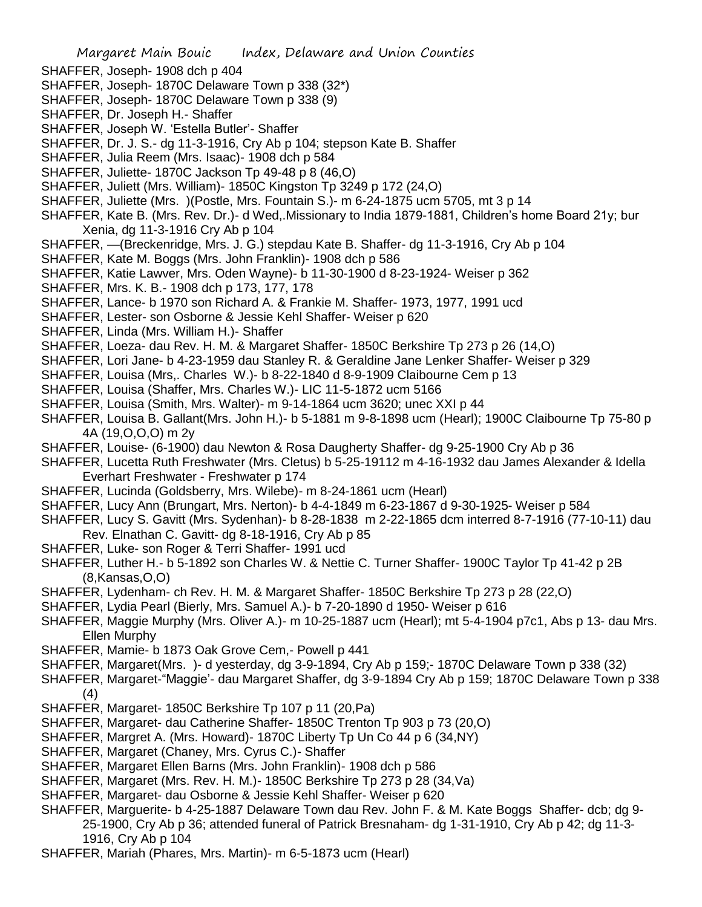- SHAFFER, Joseph- 1908 dch p 404
- SHAFFER, Joseph- 1870C Delaware Town p 338 (32\*)
- SHAFFER, Joseph- 1870C Delaware Town p 338 (9)
- SHAFFER, Dr. Joseph H.- Shaffer
- SHAFFER, Joseph W. 'Estella Butler'- Shaffer
- SHAFFER, Dr. J. S.- dg 11-3-1916, Cry Ab p 104; stepson Kate B. Shaffer
- SHAFFER, Julia Reem (Mrs. Isaac)- 1908 dch p 584
- SHAFFER, Juliette- 1870C Jackson Tp 49-48 p 8 (46,O)
- SHAFFER, Juliett (Mrs. William)- 1850C Kingston Tp 3249 p 172 (24,O)
- SHAFFER, Juliette (Mrs. )(Postle, Mrs. Fountain S.)- m 6-24-1875 ucm 5705, mt 3 p 14
- SHAFFER, Kate B. (Mrs. Rev. Dr.)- d Wed,.Missionary to India 1879-1881, Children's home Board 21y; bur Xenia, dg 11-3-1916 Cry Ab p 104
- SHAFFER, —(Breckenridge, Mrs. J. G.) stepdau Kate B. Shaffer- dg 11-3-1916, Cry Ab p 104
- SHAFFER, Kate M. Boggs (Mrs. John Franklin)- 1908 dch p 586
- SHAFFER, Katie Lawver, Mrs. Oden Wayne)- b 11-30-1900 d 8-23-1924- Weiser p 362
- SHAFFER, Mrs. K. B.- 1908 dch p 173, 177, 178
- SHAFFER, Lance- b 1970 son Richard A. & Frankie M. Shaffer- 1973, 1977, 1991 ucd
- SHAFFER, Lester- son Osborne & Jessie Kehl Shaffer- Weiser p 620
- SHAFFER, Linda (Mrs. William H.)- Shaffer
- SHAFFER, Loeza- dau Rev. H. M. & Margaret Shaffer- 1850C Berkshire Tp 273 p 26 (14,O)
- SHAFFER, Lori Jane- b 4-23-1959 dau Stanley R. & Geraldine Jane Lenker Shaffer- Weiser p 329
- SHAFFER, Louisa (Mrs,. Charles W.)- b 8-22-1840 d 8-9-1909 Claibourne Cem p 13
- SHAFFER, Louisa (Shaffer, Mrs. Charles W.)- LIC 11-5-1872 ucm 5166
- SHAFFER, Louisa (Smith, Mrs. Walter)- m 9-14-1864 ucm 3620; unec XXI p 44
- SHAFFER, Louisa B. Gallant(Mrs. John H.)- b 5-1881 m 9-8-1898 ucm (Hearl); 1900C Claibourne Tp 75-80 p 4A (19,O,O,O) m 2y
- SHAFFER, Louise- (6-1900) dau Newton & Rosa Daugherty Shaffer- dg 9-25-1900 Cry Ab p 36
- SHAFFER, Lucetta Ruth Freshwater (Mrs. Cletus) b 5-25-19112 m 4-16-1932 dau James Alexander & Idella Everhart Freshwater - Freshwater p 174
- SHAFFER, Lucinda (Goldsberry, Mrs. Wilebe)- m 8-24-1861 ucm (Hearl)
- SHAFFER, Lucy Ann (Brungart, Mrs. Nerton)- b 4-4-1849 m 6-23-1867 d 9-30-1925- Weiser p 584
- SHAFFER, Lucy S. Gavitt (Mrs. Sydenhan)- b 8-28-1838 m 2-22-1865 dcm interred 8-7-1916 (77-10-11) dau
- Rev. Elnathan C. Gavitt- dg 8-18-1916, Cry Ab p 85
- SHAFFER, Luke- son Roger & Terri Shaffer- 1991 ucd
- SHAFFER, Luther H.- b 5-1892 son Charles W. & Nettie C. Turner Shaffer- 1900C Taylor Tp 41-42 p 2B (8,Kansas,O,O)
- SHAFFER, Lydenham- ch Rev. H. M. & Margaret Shaffer- 1850C Berkshire Tp 273 p 28 (22,O)
- SHAFFER, Lydia Pearl (Bierly, Mrs. Samuel A.)- b 7-20-1890 d 1950- Weiser p 616
- SHAFFER, Maggie Murphy (Mrs. Oliver A.)- m 10-25-1887 ucm (Hearl); mt 5-4-1904 p7c1, Abs p 13- dau Mrs. Ellen Murphy
- SHAFFER, Mamie- b 1873 Oak Grove Cem,- Powell p 441
- SHAFFER, Margaret(Mrs. )- d yesterday, dg 3-9-1894, Cry Ab p 159;- 1870C Delaware Town p 338 (32)
- SHAFFER, Margaret-"Maggie'- dau Margaret Shaffer, dg 3-9-1894 Cry Ab p 159; 1870C Delaware Town p 338 (4)
- SHAFFER, Margaret- 1850C Berkshire Tp 107 p 11 (20,Pa)
- SHAFFER, Margaret- dau Catherine Shaffer- 1850C Trenton Tp 903 p 73 (20,O)
- SHAFFER, Margret A. (Mrs. Howard)- 1870C Liberty Tp Un Co 44 p 6 (34,NY)
- SHAFFER, Margaret (Chaney, Mrs. Cyrus C.)- Shaffer
- SHAFFER, Margaret Ellen Barns (Mrs. John Franklin)- 1908 dch p 586
- SHAFFER, Margaret (Mrs. Rev. H. M.)- 1850C Berkshire Tp 273 p 28 (34,Va)
- SHAFFER, Margaret- dau Osborne & Jessie Kehl Shaffer- Weiser p 620
- SHAFFER, Marguerite- b 4-25-1887 Delaware Town dau Rev. John F. & M. Kate Boggs Shaffer- dcb; dg 9- 25-1900, Cry Ab p 36; attended funeral of Patrick Bresnaham- dg 1-31-1910, Cry Ab p 42; dg 11-3- 1916, Cry Ab p 104
- SHAFFER, Mariah (Phares, Mrs. Martin)- m 6-5-1873 ucm (Hearl)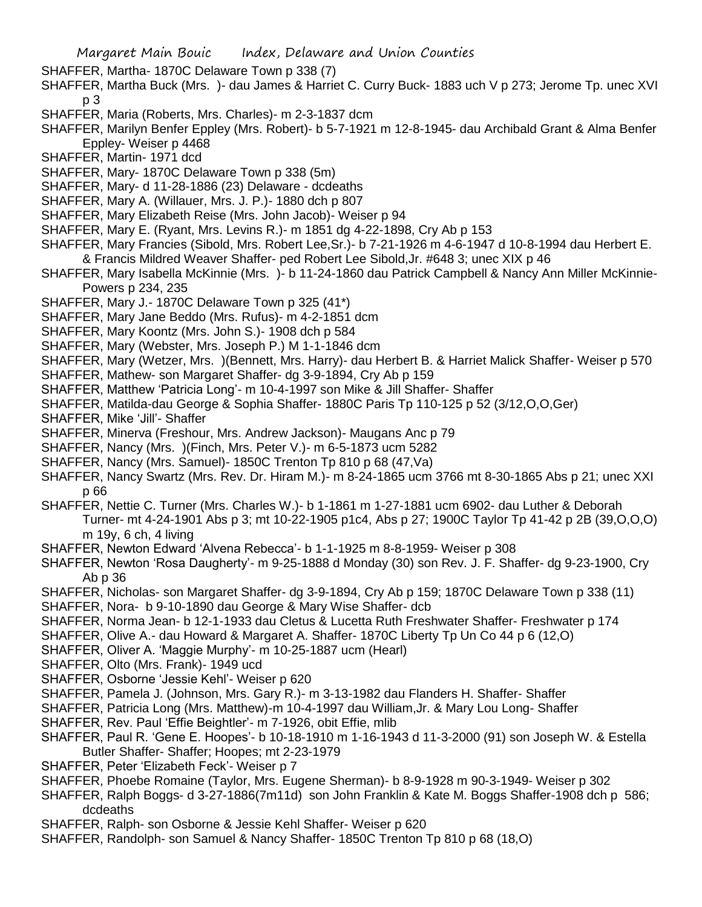- SHAFFER, Martha- 1870C Delaware Town p 338 (7)
- SHAFFER, Martha Buck (Mrs. )- dau James & Harriet C. Curry Buck- 1883 uch V p 273; Jerome Tp. unec XVI p 3
- SHAFFER, Maria (Roberts, Mrs. Charles)- m 2-3-1837 dcm
- SHAFFER, Marilyn Benfer Eppley (Mrs. Robert)- b 5-7-1921 m 12-8-1945- dau Archibald Grant & Alma Benfer Eppley- Weiser p 4468
- SHAFFER, Martin- 1971 dcd
- SHAFFER, Mary- 1870C Delaware Town p 338 (5m)
- SHAFFER, Mary- d 11-28-1886 (23) Delaware dcdeaths
- SHAFFER, Mary A. (Willauer, Mrs. J. P.)- 1880 dch p 807
- SHAFFER, Mary Elizabeth Reise (Mrs. John Jacob)- Weiser p 94
- SHAFFER, Mary E. (Ryant, Mrs. Levins R.)- m 1851 dg 4-22-1898, Cry Ab p 153
- SHAFFER, Mary Francies (Sibold, Mrs. Robert Lee,Sr.)- b 7-21-1926 m 4-6-1947 d 10-8-1994 dau Herbert E. & Francis Mildred Weaver Shaffer- ped Robert Lee Sibold,Jr. #648 3; unec XIX p 46
- SHAFFER, Mary Isabella McKinnie (Mrs. )- b 11-24-1860 dau Patrick Campbell & Nancy Ann Miller McKinnie-Powers p 234, 235
- SHAFFER, Mary J.- 1870C Delaware Town p 325 (41\*)
- SHAFFER, Mary Jane Beddo (Mrs. Rufus)- m 4-2-1851 dcm
- SHAFFER, Mary Koontz (Mrs. John S.)- 1908 dch p 584
- SHAFFER, Mary (Webster, Mrs. Joseph P.) M 1-1-1846 dcm
- SHAFFER, Mary (Wetzer, Mrs. )(Bennett, Mrs. Harry)- dau Herbert B. & Harriet Malick Shaffer- Weiser p 570
- SHAFFER, Mathew- son Margaret Shaffer- dg 3-9-1894, Cry Ab p 159
- SHAFFER, Matthew 'Patricia Long'- m 10-4-1997 son Mike & Jill Shaffer- Shaffer
- SHAFFER, Matilda-dau George & Sophia Shaffer- 1880C Paris Tp 110-125 p 52 (3/12,O,O,Ger)
- SHAFFER, Mike 'Jill'- Shaffer
- SHAFFER, Minerva (Freshour, Mrs. Andrew Jackson)- Maugans Anc p 79
- SHAFFER, Nancy (Mrs. )(Finch, Mrs. Peter V.)- m 6-5-1873 ucm 5282
- SHAFFER, Nancy (Mrs. Samuel)- 1850C Trenton Tp 810 p 68 (47.Va)
- SHAFFER, Nancy Swartz (Mrs. Rev. Dr. Hiram M.)- m 8-24-1865 ucm 3766 mt 8-30-1865 Abs p 21; unec XXI p 66
- SHAFFER, Nettie C. Turner (Mrs. Charles W.)- b 1-1861 m 1-27-1881 ucm 6902- dau Luther & Deborah Turner- mt 4-24-1901 Abs p 3; mt 10-22-1905 p1c4, Abs p 27; 1900C Taylor Tp 41-42 p 2B (39,O,O,O) m 19y, 6 ch, 4 living
- SHAFFER, Newton Edward 'Alvena Rebecca'- b 1-1-1925 m 8-8-1959- Weiser p 308
- SHAFFER, Newton 'Rosa Daugherty'- m 9-25-1888 d Monday (30) son Rev. J. F. Shaffer- dg 9-23-1900, Cry Ab p 36
- SHAFFER, Nicholas- son Margaret Shaffer- dg 3-9-1894, Cry Ab p 159; 1870C Delaware Town p 338 (11)
- SHAFFER, Nora- b 9-10-1890 dau George & Mary Wise Shaffer- dcb
- SHAFFER, Norma Jean- b 12-1-1933 dau Cletus & Lucetta Ruth Freshwater Shaffer- Freshwater p 174
- SHAFFER, Olive A.- dau Howard & Margaret A. Shaffer- 1870C Liberty Tp Un Co 44 p 6 (12,O)
- SHAFFER, Oliver A. 'Maggie Murphy'- m 10-25-1887 ucm (Hearl)
- SHAFFER, Olto (Mrs. Frank)- 1949 ucd
- SHAFFER, Osborne 'Jessie Kehl'- Weiser p 620
- SHAFFER, Pamela J. (Johnson, Mrs. Gary R.)- m 3-13-1982 dau Flanders H. Shaffer- Shaffer
- SHAFFER, Patricia Long (Mrs. Matthew)-m 10-4-1997 dau William,Jr. & Mary Lou Long- Shaffer
- SHAFFER, Rev. Paul 'Effie Beightler'- m 7-1926, obit Effie, mlib
- SHAFFER, Paul R. 'Gene E. Hoopes'- b 10-18-1910 m 1-16-1943 d 11-3-2000 (91) son Joseph W. & Estella Butler Shaffer- Shaffer; Hoopes; mt 2-23-1979
- SHAFFER, Peter 'Elizabeth Feck'- Weiser p 7
- SHAFFER, Phoebe Romaine (Taylor, Mrs. Eugene Sherman)- b 8-9-1928 m 90-3-1949- Weiser p 302
- SHAFFER, Ralph Boggs- d 3-27-1886(7m11d) son John Franklin & Kate M. Boggs Shaffer-1908 dch p 586; dcdeaths
- SHAFFER, Ralph- son Osborne & Jessie Kehl Shaffer- Weiser p 620
- SHAFFER, Randolph- son Samuel & Nancy Shaffer- 1850C Trenton Tp 810 p 68 (18,O)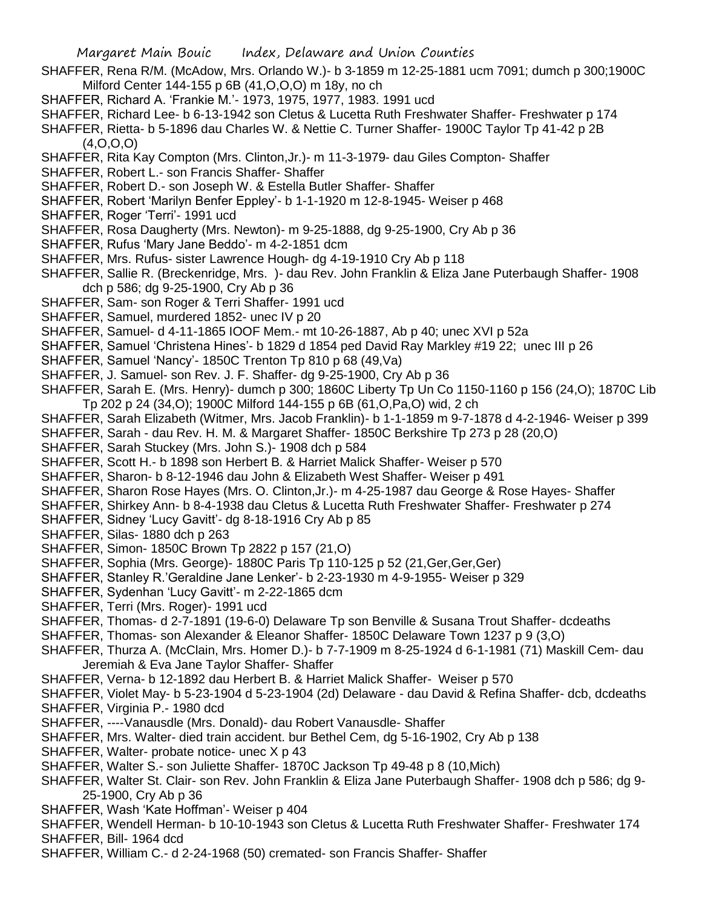- SHAFFER, Rena R/M. (McAdow, Mrs. Orlando W.)- b 3-1859 m 12-25-1881 ucm 7091; dumch p 300;1900C Milford Center 144-155 p 6B (41,O,O,O) m 18y, no ch
- SHAFFER, Richard A. 'Frankie M.'- 1973, 1975, 1977, 1983. 1991 ucd
- SHAFFER, Richard Lee- b 6-13-1942 son Cletus & Lucetta Ruth Freshwater Shaffer- Freshwater p 174
- SHAFFER, Rietta- b 5-1896 dau Charles W. & Nettie C. Turner Shaffer- 1900C Taylor Tp 41-42 p 2B (4,O,O,O)
- SHAFFER, Rita Kay Compton (Mrs. Clinton,Jr.)- m 11-3-1979- dau Giles Compton- Shaffer
- SHAFFER, Robert L.- son Francis Shaffer- Shaffer
- SHAFFER, Robert D.- son Joseph W. & Estella Butler Shaffer- Shaffer
- SHAFFER, Robert 'Marilyn Benfer Eppley'- b 1-1-1920 m 12-8-1945- Weiser p 468
- SHAFFER, Roger 'Terri'- 1991 ucd
- SHAFFER, Rosa Daugherty (Mrs. Newton)- m 9-25-1888, dg 9-25-1900, Cry Ab p 36
- SHAFFER, Rufus 'Mary Jane Beddo'- m 4-2-1851 dcm
- SHAFFER, Mrs. Rufus- sister Lawrence Hough- dg 4-19-1910 Cry Ab p 118
- SHAFFER, Sallie R. (Breckenridge, Mrs. )- dau Rev. John Franklin & Eliza Jane Puterbaugh Shaffer- 1908 dch p 586; dg 9-25-1900, Cry Ab p 36
- SHAFFER, Sam- son Roger & Terri Shaffer- 1991 ucd
- SHAFFER, Samuel, murdered 1852- unec IV p 20
- SHAFFER, Samuel- d 4-11-1865 IOOF Mem.- mt 10-26-1887, Ab p 40; unec XVI p 52a
- SHAFFER, Samuel 'Christena Hines'- b 1829 d 1854 ped David Ray Markley #19 22; unec III p 26
- SHAFFER, Samuel 'Nancy'- 1850C Trenton Tp 810 p 68 (49,Va)
- SHAFFER, J. Samuel- son Rev. J. F. Shaffer- dg 9-25-1900, Cry Ab p 36
- SHAFFER, Sarah E. (Mrs. Henry)- dumch p 300; 1860C Liberty Tp Un Co 1150-1160 p 156 (24,O); 1870C Lib Tp 202 p 24 (34,O); 1900C Milford 144-155 p 6B (61,O,Pa,O) wid, 2 ch
- SHAFFER, Sarah Elizabeth (Witmer, Mrs. Jacob Franklin)- b 1-1-1859 m 9-7-1878 d 4-2-1946- Weiser p 399
- SHAFFER, Sarah dau Rev. H. M. & Margaret Shaffer- 1850C Berkshire Tp 273 p 28 (20,O)
- SHAFFER, Sarah Stuckey (Mrs. John S.)- 1908 dch p 584
- SHAFFER, Scott H.- b 1898 son Herbert B. & Harriet Malick Shaffer- Weiser p 570
- SHAFFER, Sharon- b 8-12-1946 dau John & Elizabeth West Shaffer- Weiser p 491
- SHAFFER, Sharon Rose Hayes (Mrs. O. Clinton,Jr.)- m 4-25-1987 dau George & Rose Hayes- Shaffer
- SHAFFER, Shirkey Ann- b 8-4-1938 dau Cletus & Lucetta Ruth Freshwater Shaffer- Freshwater p 274
- SHAFFER, Sidney 'Lucy Gavitt'- dg 8-18-1916 Cry Ab p 85
- SHAFFER, Silas- 1880 dch p 263
- SHAFFER, Simon- 1850C Brown Tp 2822 p 157 (21,O)
- SHAFFER, Sophia (Mrs. George)- 1880C Paris Tp 110-125 p 52 (21, Ger, Ger, Ger)
- SHAFFER, Stanley R.'Geraldine Jane Lenker'- b 2-23-1930 m 4-9-1955- Weiser p 329
- SHAFFER, Sydenhan 'Lucy Gavitt'- m 2-22-1865 dcm
- SHAFFER, Terri (Mrs. Roger)- 1991 ucd
- SHAFFER, Thomas- d 2-7-1891 (19-6-0) Delaware Tp son Benville & Susana Trout Shaffer- dcdeaths
- SHAFFER, Thomas- son Alexander & Eleanor Shaffer- 1850C Delaware Town 1237 p 9 (3,O)
- SHAFFER, Thurza A. (McClain, Mrs. Homer D.)- b 7-7-1909 m 8-25-1924 d 6-1-1981 (71) Maskill Cem- dau Jeremiah & Eva Jane Taylor Shaffer- Shaffer
- SHAFFER, Verna- b 12-1892 dau Herbert B. & Harriet Malick Shaffer- Weiser p 570
- SHAFFER, Violet May- b 5-23-1904 d 5-23-1904 (2d) Delaware dau David & Refina Shaffer- dcb, dcdeaths SHAFFER, Virginia P.- 1980 dcd
- SHAFFER, ----Vanausdle (Mrs. Donald)- dau Robert Vanausdle- Shaffer
- SHAFFER, Mrs. Walter- died train accident. bur Bethel Cem, dg 5-16-1902, Cry Ab p 138
- SHAFFER, Walter- probate notice- unec X p 43
- SHAFFER, Walter S.- son Juliette Shaffer- 1870C Jackson Tp 49-48 p 8 (10,Mich)
- SHAFFER, Walter St. Clair- son Rev. John Franklin & Eliza Jane Puterbaugh Shaffer- 1908 dch p 586; dg 9- 25-1900, Cry Ab p 36
- SHAFFER, Wash 'Kate Hoffman'- Weiser p 404
- SHAFFER, Wendell Herman- b 10-10-1943 son Cletus & Lucetta Ruth Freshwater Shaffer- Freshwater 174 SHAFFER, Bill- 1964 dcd
- SHAFFER, William C.- d 2-24-1968 (50) cremated- son Francis Shaffer- Shaffer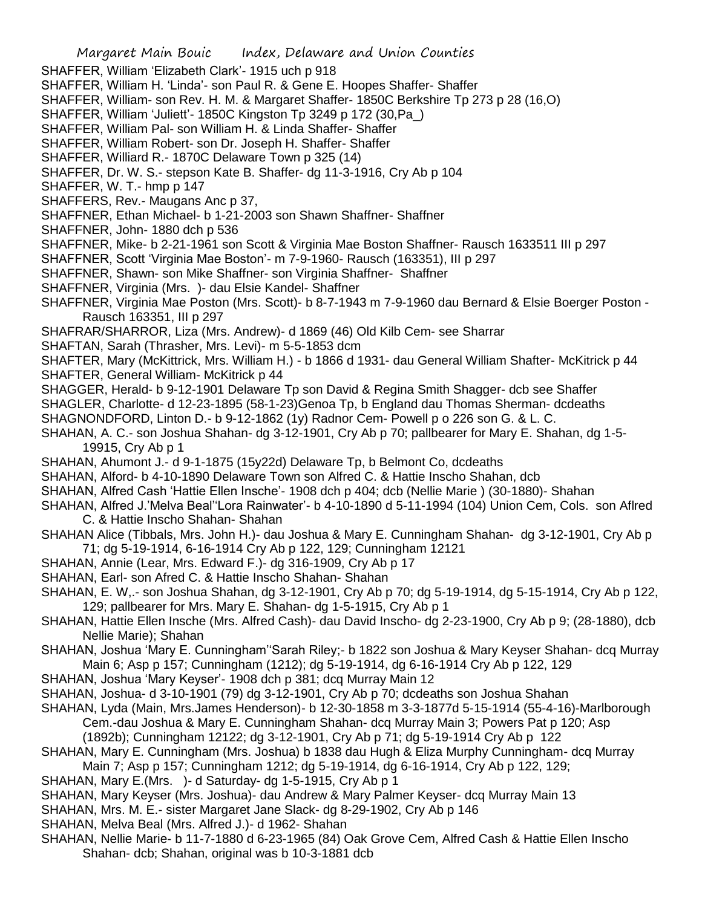SHAFFER, William 'Elizabeth Clark'- 1915 uch p 918

- SHAFFER, William H. 'Linda'- son Paul R. & Gene E. Hoopes Shaffer- Shaffer
- SHAFFER, William- son Rev. H. M. & Margaret Shaffer- 1850C Berkshire Tp 273 p 28 (16,O)
- SHAFFER, William 'Juliett'- 1850C Kingston Tp 3249 p 172 (30,Pa\_)
- SHAFFER, William Pal- son William H. & Linda Shaffer- Shaffer
- SHAFFER, William Robert- son Dr. Joseph H. Shaffer- Shaffer
- SHAFFER, Williard R.- 1870C Delaware Town p 325 (14)
- SHAFFER, Dr. W. S.- stepson Kate B. Shaffer- dg 11-3-1916, Cry Ab p 104
- SHAFFER, W. T.- hmp p 147
- SHAFFERS, Rev.- Maugans Anc p 37,
- SHAFFNER, Ethan Michael- b 1-21-2003 son Shawn Shaffner- Shaffner
- SHAFFNER, John- 1880 dch p 536
- SHAFFNER, Mike- b 2-21-1961 son Scott & Virginia Mae Boston Shaffner- Rausch 1633511 III p 297
- SHAFFNER, Scott 'Virginia Mae Boston'- m 7-9-1960- Rausch (163351), III p 297
- SHAFFNER, Shawn- son Mike Shaffner- son Virginia Shaffner- Shaffner
- SHAFFNER, Virginia (Mrs. )- dau Elsie Kandel- Shaffner
- SHAFFNER, Virginia Mae Poston (Mrs. Scott)- b 8-7-1943 m 7-9-1960 dau Bernard & Elsie Boerger Poston Rausch 163351, III p 297
- SHAFRAR/SHARROR, Liza (Mrs. Andrew)- d 1869 (46) Old Kilb Cem- see Sharrar
- SHAFTAN, Sarah (Thrasher, Mrs. Levi)- m 5-5-1853 dcm
- SHAFTER, Mary (McKittrick, Mrs. William H.) b 1866 d 1931- dau General William Shafter- McKitrick p 44 SHAFTER, General William- McKitrick p 44
- SHAGGER, Herald- b 9-12-1901 Delaware Tp son David & Regina Smith Shagger- dcb see Shaffer
- SHAGLER, Charlotte- d 12-23-1895 (58-1-23)Genoa Tp, b England dau Thomas Sherman- dcdeaths
- SHAGNONDFORD, Linton D.- b 9-12-1862 (1y) Radnor Cem- Powell p o 226 son G. & L. C.
- SHAHAN, A. C.- son Joshua Shahan- dg 3-12-1901, Cry Ab p 70; pallbearer for Mary E. Shahan, dg 1-5- 19915, Cry Ab p 1
- SHAHAN, Ahumont J.- d 9-1-1875 (15y22d) Delaware Tp, b Belmont Co, dcdeaths
- SHAHAN, Alford- b 4-10-1890 Delaware Town son Alfred C. & Hattie Inscho Shahan, dcb
- SHAHAN, Alfred Cash 'Hattie Ellen Insche'- 1908 dch p 404; dcb (Nellie Marie ) (30-1880)- Shahan
- SHAHAN, Alfred J.'Melva Beal''Lora Rainwater'- b 4-10-1890 d 5-11-1994 (104) Union Cem, Cols. son Aflred C. & Hattie Inscho Shahan- Shahan
- SHAHAN Alice (Tibbals, Mrs. John H.)- dau Joshua & Mary E. Cunningham Shahan- dg 3-12-1901, Cry Ab p 71; dg 5-19-1914, 6-16-1914 Cry Ab p 122, 129; Cunningham 12121
- SHAHAN, Annie (Lear, Mrs. Edward F.)- dg 316-1909, Cry Ab p 17
- SHAHAN, Earl- son Afred C. & Hattie Inscho Shahan- Shahan
- SHAHAN, E. W,.- son Joshua Shahan, dg 3-12-1901, Cry Ab p 70; dg 5-19-1914, dg 5-15-1914, Cry Ab p 122, 129; pallbearer for Mrs. Mary E. Shahan- dg 1-5-1915, Cry Ab p 1
- SHAHAN, Hattie Ellen Insche (Mrs. Alfred Cash)- dau David Inscho- dg 2-23-1900, Cry Ab p 9; (28-1880), dcb Nellie Marie); Shahan
- SHAHAN, Joshua 'Mary E. Cunningham''Sarah Riley;- b 1822 son Joshua & Mary Keyser Shahan- dcq Murray Main 6; Asp p 157; Cunningham (1212); dg 5-19-1914, dg 6-16-1914 Cry Ab p 122, 129
- SHAHAN, Joshua 'Mary Keyser'- 1908 dch p 381; dcq Murray Main 12
- SHAHAN, Joshua- d 3-10-1901 (79) dg 3-12-1901, Cry Ab p 70; dcdeaths son Joshua Shahan
- SHAHAN, Lyda (Main, Mrs.James Henderson)- b 12-30-1858 m 3-3-1877d 5-15-1914 (55-4-16)-Marlborough Cem.-dau Joshua & Mary E. Cunningham Shahan- dcq Murray Main 3; Powers Pat p 120; Asp (1892b); Cunningham 12122; dg 3-12-1901, Cry Ab p 71; dg 5-19-1914 Cry Ab p 122
- SHAHAN, Mary E. Cunningham (Mrs. Joshua) b 1838 dau Hugh & Eliza Murphy Cunningham- dcq Murray
- Main 7; Asp p 157; Cunningham 1212; dg 5-19-1914, dg 6-16-1914, Cry Ab p 122, 129;
- SHAHAN, Mary E.(Mrs. )- d Saturday- dg 1-5-1915, Cry Ab p 1
- SHAHAN, Mary Keyser (Mrs. Joshua)- dau Andrew & Mary Palmer Keyser- dcq Murray Main 13
- SHAHAN, Mrs. M. E.- sister Margaret Jane Slack- dg 8-29-1902, Cry Ab p 146
- SHAHAN, Melva Beal (Mrs. Alfred J.)- d 1962- Shahan
- SHAHAN, Nellie Marie- b 11-7-1880 d 6-23-1965 (84) Oak Grove Cem, Alfred Cash & Hattie Ellen Inscho Shahan- dcb; Shahan, original was b 10-3-1881 dcb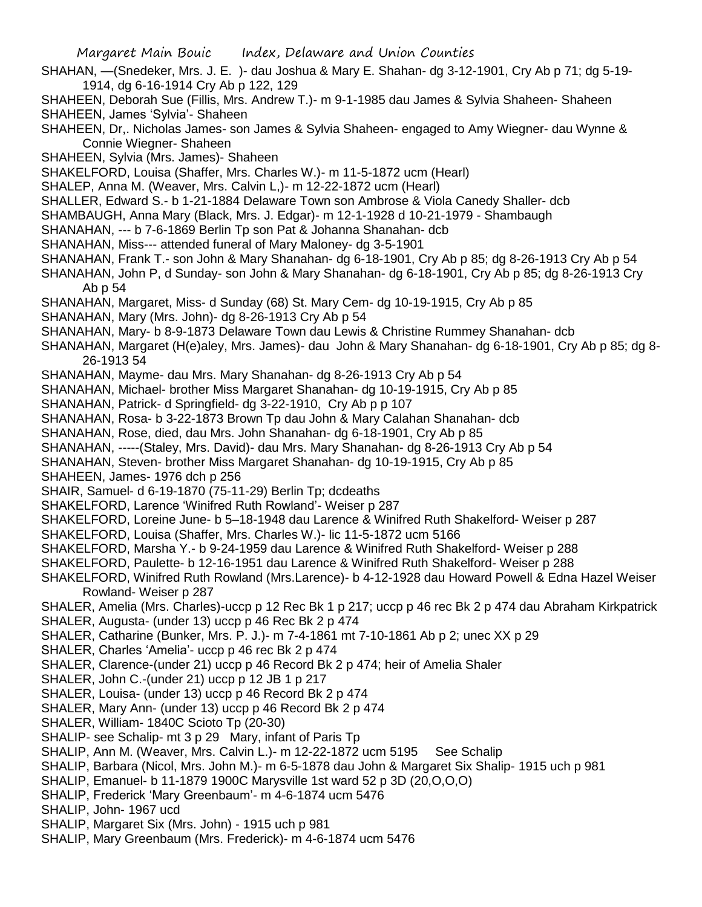- SHAHAN, —(Snedeker, Mrs. J. E. )- dau Joshua & Mary E. Shahan- dg 3-12-1901, Cry Ab p 71; dg 5-19- 1914, dg 6-16-1914 Cry Ab p 122, 129
- SHAHEEN, Deborah Sue (Fillis, Mrs. Andrew T.)- m 9-1-1985 dau James & Sylvia Shaheen- Shaheen SHAHEEN, James 'Sylvia'- Shaheen
- SHAHEEN, Dr,. Nicholas James- son James & Sylvia Shaheen- engaged to Amy Wiegner- dau Wynne & Connie Wiegner- Shaheen
- SHAHEEN, Sylvia (Mrs. James)- Shaheen
- SHAKELFORD, Louisa (Shaffer, Mrs. Charles W.)- m 11-5-1872 ucm (Hearl)
- SHALEP, Anna M. (Weaver, Mrs. Calvin L,)- m 12-22-1872 ucm (Hearl)
- SHALLER, Edward S.- b 1-21-1884 Delaware Town son Ambrose & Viola Canedy Shaller- dcb
- SHAMBAUGH, Anna Mary (Black, Mrs. J. Edgar)- m 12-1-1928 d 10-21-1979 Shambaugh
- SHANAHAN, --- b 7-6-1869 Berlin Tp son Pat & Johanna Shanahan- dcb
- SHANAHAN, Miss--- attended funeral of Mary Maloney- dg 3-5-1901
- SHANAHAN, Frank T.- son John & Mary Shanahan- dg 6-18-1901, Cry Ab p 85; dg 8-26-1913 Cry Ab p 54
- SHANAHAN, John P, d Sunday- son John & Mary Shanahan- dg 6-18-1901, Cry Ab p 85; dg 8-26-1913 Cry Ab p 54
- SHANAHAN, Margaret, Miss- d Sunday (68) St. Mary Cem- dg 10-19-1915, Cry Ab p 85
- SHANAHAN, Mary (Mrs. John)- dg 8-26-1913 Cry Ab p 54
- SHANAHAN, Mary- b 8-9-1873 Delaware Town dau Lewis & Christine Rummey Shanahan- dcb
- SHANAHAN, Margaret (H(e)aley, Mrs. James)- dau John & Mary Shanahan- dg 6-18-1901, Cry Ab p 85; dg 8- 26-1913 54
- SHANAHAN, Mayme- dau Mrs. Mary Shanahan- dg 8-26-1913 Cry Ab p 54
- SHANAHAN, Michael- brother Miss Margaret Shanahan- dg 10-19-1915, Cry Ab p 85
- SHANAHAN, Patrick- d Springfield- dg 3-22-1910, Cry Ab p p 107
- SHANAHAN, Rosa- b 3-22-1873 Brown Tp dau John & Mary Calahan Shanahan- dcb
- SHANAHAN, Rose, died, dau Mrs. John Shanahan- dg 6-18-1901, Cry Ab p 85
- SHANAHAN, -----(Staley, Mrs. David)- dau Mrs. Mary Shanahan- dg 8-26-1913 Cry Ab p 54
- SHANAHAN, Steven- brother Miss Margaret Shanahan- dg 10-19-1915, Cry Ab p 85
- SHAHEEN, James- 1976 dch p 256
- SHAIR, Samuel- d 6-19-1870 (75-11-29) Berlin Tp; dcdeaths
- SHAKELFORD, Larence 'Winifred Ruth Rowland'- Weiser p 287
- SHAKELFORD, Loreine June- b 5–18-1948 dau Larence & Winifred Ruth Shakelford- Weiser p 287
- SHAKELFORD, Louisa (Shaffer, Mrs. Charles W.)- lic 11-5-1872 ucm 5166
- SHAKELFORD, Marsha Y.- b 9-24-1959 dau Larence & Winifred Ruth Shakelford- Weiser p 288
- SHAKELFORD, Paulette- b 12-16-1951 dau Larence & Winifred Ruth Shakelford- Weiser p 288
- SHAKELFORD, Winifred Ruth Rowland (Mrs.Larence)- b 4-12-1928 dau Howard Powell & Edna Hazel Weiser Rowland- Weiser p 287
- SHALER, Amelia (Mrs. Charles)-uccp p 12 Rec Bk 1 p 217; uccp p 46 rec Bk 2 p 474 dau Abraham Kirkpatrick SHALER, Augusta- (under 13) uccp p 46 Rec Bk 2 p 474
- SHALER, Catharine (Bunker, Mrs. P. J.)- m 7-4-1861 mt 7-10-1861 Ab p 2; unec XX p 29
- SHALER, Charles 'Amelia'- uccp p 46 rec Bk 2 p 474
- SHALER, Clarence-(under 21) uccp p 46 Record Bk 2 p 474; heir of Amelia Shaler
- SHALER, John C.-(under 21) uccp p 12 JB 1 p 217
- SHALER, Louisa- (under 13) uccp p 46 Record Bk 2 p 474
- SHALER, Mary Ann- (under 13) uccp p 46 Record Bk 2 p 474
- SHALER, William- 1840C Scioto Tp (20-30)
- SHALIP- see Schalip- mt 3 p 29 Mary, infant of Paris Tp
- SHALIP, Ann M. (Weaver, Mrs. Calvin L.)- m 12-22-1872 ucm 5195 See Schalip
- SHALIP, Barbara (Nicol, Mrs. John M.)- m 6-5-1878 dau John & Margaret Six Shalip- 1915 uch p 981
- SHALIP, Emanuel- b 11-1879 1900C Marysville 1st ward 52 p 3D (20,O,O,O)
- SHALIP, Frederick 'Mary Greenbaum'- m 4-6-1874 ucm 5476
- SHALIP, John- 1967 ucd
- SHALIP, Margaret Six (Mrs. John) 1915 uch p 981
- SHALIP, Mary Greenbaum (Mrs. Frederick)- m 4-6-1874 ucm 5476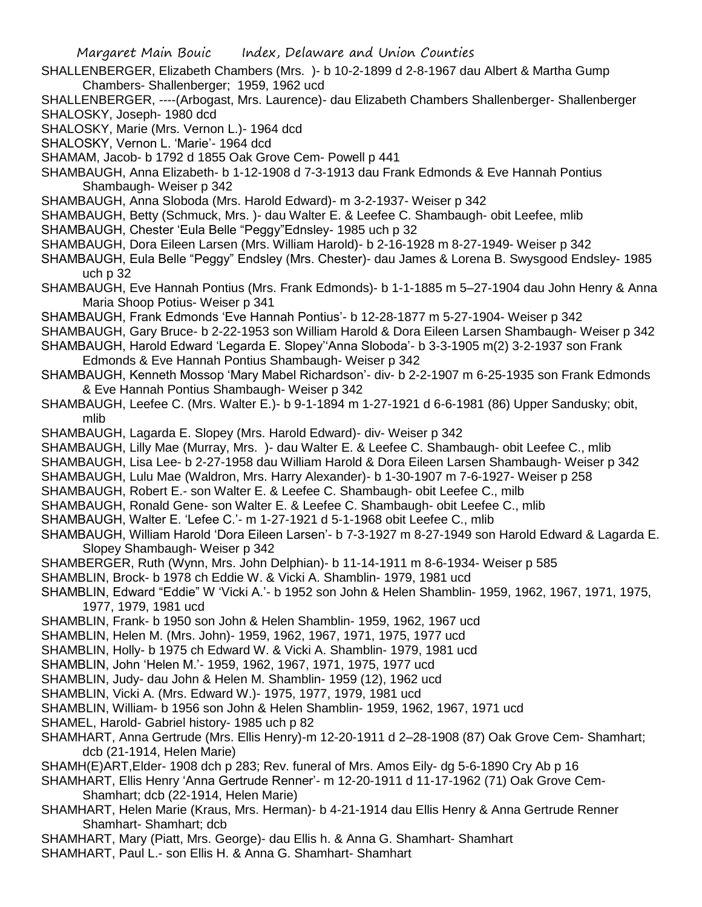- SHALLENBERGER, Elizabeth Chambers (Mrs. )- b 10-2-1899 d 2-8-1967 dau Albert & Martha Gump Chambers- Shallenberger; 1959, 1962 ucd
- SHALLENBERGER, ----(Arbogast, Mrs. Laurence)- dau Elizabeth Chambers Shallenberger- Shallenberger SHALOSKY, Joseph- 1980 dcd

SHALOSKY, Marie (Mrs. Vernon L.)- 1964 dcd

SHALOSKY, Vernon L. 'Marie'- 1964 dcd

SHAMAM, Jacob- b 1792 d 1855 Oak Grove Cem- Powell p 441

SHAMBAUGH, Anna Elizabeth- b 1-12-1908 d 7-3-1913 dau Frank Edmonds & Eve Hannah Pontius Shambaugh- Weiser p 342

SHAMBAUGH, Anna Sloboda (Mrs. Harold Edward)- m 3-2-1937- Weiser p 342

- SHAMBAUGH, Betty (Schmuck, Mrs. )- dau Walter E. & Leefee C. Shambaugh- obit Leefee, mlib
- SHAMBAUGH, Chester 'Eula Belle "Peggy"Ednsley- 1985 uch p 32
- SHAMBAUGH, Dora Eileen Larsen (Mrs. William Harold)- b 2-16-1928 m 8-27-1949- Weiser p 342
- SHAMBAUGH, Eula Belle "Peggy" Endsley (Mrs. Chester)- dau James & Lorena B. Swysgood Endsley- 1985 uch p 32
- SHAMBAUGH, Eve Hannah Pontius (Mrs. Frank Edmonds)- b 1-1-1885 m 5–27-1904 dau John Henry & Anna Maria Shoop Potius- Weiser p 341
- SHAMBAUGH, Frank Edmonds 'Eve Hannah Pontius'- b 12-28-1877 m 5-27-1904- Weiser p 342
- SHAMBAUGH, Gary Bruce- b 2-22-1953 son William Harold & Dora Eileen Larsen Shambaugh- Weiser p 342
- SHAMBAUGH, Harold Edward 'Legarda E. Slopey''Anna Sloboda'- b 3-3-1905 m(2) 3-2-1937 son Frank Edmonds & Eve Hannah Pontius Shambaugh- Weiser p 342
- SHAMBAUGH, Kenneth Mossop 'Mary Mabel Richardson'- div- b 2-2-1907 m 6-25-1935 son Frank Edmonds & Eve Hannah Pontius Shambaugh- Weiser p 342
- SHAMBAUGH, Leefee C. (Mrs. Walter E.)- b 9-1-1894 m 1-27-1921 d 6-6-1981 (86) Upper Sandusky; obit, mlib
- SHAMBAUGH, Lagarda E. Slopey (Mrs. Harold Edward)- div- Weiser p 342
- SHAMBAUGH, Lilly Mae (Murray, Mrs. )- dau Walter E. & Leefee C. Shambaugh- obit Leefee C., mlib
- SHAMBAUGH, Lisa Lee- b 2-27-1958 dau William Harold & Dora Eileen Larsen Shambaugh- Weiser p 342
- SHAMBAUGH, Lulu Mae (Waldron, Mrs. Harry Alexander)- b 1-30-1907 m 7-6-1927- Weiser p 258
- SHAMBAUGH, Robert E.- son Walter E. & Leefee C. Shambaugh- obit Leefee C., milb
- SHAMBAUGH, Ronald Gene- son Walter E. & Leefee C. Shambaugh- obit Leefee C., mlib
- SHAMBAUGH, Walter E. 'Lefee C.'- m 1-27-1921 d 5-1-1968 obit Leefee C., mlib
- SHAMBAUGH, William Harold 'Dora Eileen Larsen'- b 7-3-1927 m 8-27-1949 son Harold Edward & Lagarda E. Slopey Shambaugh- Weiser p 342
- SHAMBERGER, Ruth (Wynn, Mrs. John Delphian)- b 11-14-1911 m 8-6-1934- Weiser p 585
- SHAMBLIN, Brock- b 1978 ch Eddie W. & Vicki A. Shamblin- 1979, 1981 ucd
- SHAMBLIN, Edward "Eddie" W 'Vicki A.'- b 1952 son John & Helen Shamblin- 1959, 1962, 1967, 1971, 1975, 1977, 1979, 1981 ucd
- SHAMBLIN, Frank- b 1950 son John & Helen Shamblin- 1959, 1962, 1967 ucd
- SHAMBLIN, Helen M. (Mrs. John)- 1959, 1962, 1967, 1971, 1975, 1977 ucd
- SHAMBLIN, Holly- b 1975 ch Edward W. & Vicki A. Shamblin- 1979, 1981 ucd
- SHAMBLIN, John 'Helen M.'- 1959, 1962, 1967, 1971, 1975, 1977 ucd
- SHAMBLIN, Judy- dau John & Helen M. Shamblin- 1959 (12), 1962 ucd
- SHAMBLIN, Vicki A. (Mrs. Edward W.)- 1975, 1977, 1979, 1981 ucd
- SHAMBLIN, William- b 1956 son John & Helen Shamblin- 1959, 1962, 1967, 1971 ucd
- SHAMEL, Harold- Gabriel history- 1985 uch p 82
- SHAMHART, Anna Gertrude (Mrs. Ellis Henry)-m 12-20-1911 d 2–28-1908 (87) Oak Grove Cem- Shamhart; dcb (21-1914, Helen Marie)
- SHAMH(E)ART,Elder- 1908 dch p 283; Rev. funeral of Mrs. Amos Eily- dg 5-6-1890 Cry Ab p 16
- SHAMHART, Ellis Henry 'Anna Gertrude Renner'- m 12-20-1911 d 11-17-1962 (71) Oak Grove Cem-Shamhart; dcb (22-1914, Helen Marie)
- SHAMHART, Helen Marie (Kraus, Mrs. Herman)- b 4-21-1914 dau Ellis Henry & Anna Gertrude Renner Shamhart- Shamhart; dcb
- SHAMHART, Mary (Piatt, Mrs. George)- dau Ellis h. & Anna G. Shamhart- Shamhart SHAMHART, Paul L.- son Ellis H. & Anna G. Shamhart- Shamhart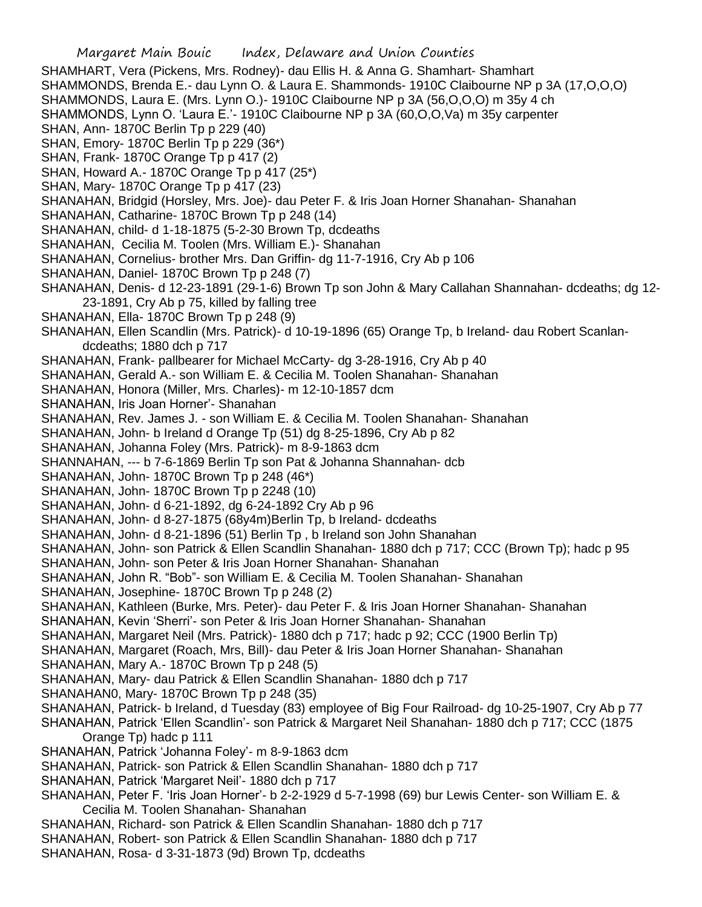SHAMHART, Vera (Pickens, Mrs. Rodney)- dau Ellis H. & Anna G. Shamhart- Shamhart SHAMMONDS, Brenda E.- dau Lynn O. & Laura E. Shammonds- 1910C Claibourne NP p 3A (17,O,O,O) SHAMMONDS, Laura E. (Mrs. Lynn O.)- 1910C Claibourne NP p 3A (56,O,O,O) m 35y 4 ch SHAMMONDS, Lynn O. 'Laura E.'- 1910C Claibourne NP p 3A (60,O,O,Va) m 35y carpenter SHAN, Ann- 1870C Berlin Tp p 229 (40) SHAN, Emory- 1870C Berlin Tp p 229 (36\*) SHAN, Frank- 1870C Orange Tp p 417 (2) SHAN, Howard A.- 1870C Orange Tp p 417 (25\*) SHAN, Mary- 1870C Orange Tp p 417 (23) SHANAHAN, Bridgid (Horsley, Mrs. Joe)- dau Peter F. & Iris Joan Horner Shanahan- Shanahan SHANAHAN, Catharine- 1870C Brown Tp p 248 (14) SHANAHAN, child- d 1-18-1875 (5-2-30 Brown Tp, dcdeaths SHANAHAN, Cecilia M. Toolen (Mrs. William E.)- Shanahan SHANAHAN, Cornelius- brother Mrs. Dan Griffin- dg 11-7-1916, Cry Ab p 106 SHANAHAN, Daniel- 1870C Brown Tp p 248 (7) SHANAHAN, Denis- d 12-23-1891 (29-1-6) Brown Tp son John & Mary Callahan Shannahan- dcdeaths; dg 12- 23-1891, Cry Ab p 75, killed by falling tree SHANAHAN, Ella- 1870C Brown Tp p 248 (9) SHANAHAN, Ellen Scandlin (Mrs. Patrick)- d 10-19-1896 (65) Orange Tp, b Ireland- dau Robert Scanlandcdeaths; 1880 dch p 717 SHANAHAN, Frank- pallbearer for Michael McCarty- dg 3-28-1916, Cry Ab p 40 SHANAHAN, Gerald A.- son William E. & Cecilia M. Toolen Shanahan- Shanahan SHANAHAN, Honora (Miller, Mrs. Charles)- m 12-10-1857 dcm SHANAHAN, Iris Joan Horner'- Shanahan SHANAHAN, Rev. James J. - son William E. & Cecilia M. Toolen Shanahan- Shanahan SHANAHAN, John- b Ireland d Orange Tp (51) dg 8-25-1896, Cry Ab p 82 SHANAHAN, Johanna Foley (Mrs. Patrick)- m 8-9-1863 dcm SHANNAHAN, --- b 7-6-1869 Berlin Tp son Pat & Johanna Shannahan- dcb SHANAHAN, John- 1870C Brown Tp p 248 (46\*) SHANAHAN, John- 1870C Brown Tp p 2248 (10) SHANAHAN, John- d 6-21-1892, dg 6-24-1892 Cry Ab p 96 SHANAHAN, John- d 8-27-1875 (68y4m)Berlin Tp, b Ireland- dcdeaths SHANAHAN, John- d 8-21-1896 (51) Berlin Tp , b Ireland son John Shanahan SHANAHAN, John- son Patrick & Ellen Scandlin Shanahan- 1880 dch p 717; CCC (Brown Tp); hadc p 95 SHANAHAN, John- son Peter & Iris Joan Horner Shanahan- Shanahan SHANAHAN, John R. "Bob"- son William E. & Cecilia M. Toolen Shanahan- Shanahan SHANAHAN, Josephine- 1870C Brown Tp p 248 (2) SHANAHAN, Kathleen (Burke, Mrs. Peter)- dau Peter F. & Iris Joan Horner Shanahan- Shanahan SHANAHAN, Kevin 'Sherri'- son Peter & Iris Joan Horner Shanahan- Shanahan SHANAHAN, Margaret Neil (Mrs. Patrick)- 1880 dch p 717; hadc p 92; CCC (1900 Berlin Tp) SHANAHAN, Margaret (Roach, Mrs, Bill)- dau Peter & Iris Joan Horner Shanahan- Shanahan SHANAHAN, Mary A.- 1870C Brown Tp p 248 (5) SHANAHAN, Mary- dau Patrick & Ellen Scandlin Shanahan- 1880 dch p 717 SHANAHAN0, Mary- 1870C Brown Tp p 248 (35) SHANAHAN, Patrick- b Ireland, d Tuesday (83) employee of Big Four Railroad- dg 10-25-1907, Cry Ab p 77 SHANAHAN, Patrick 'Ellen Scandlin'- son Patrick & Margaret Neil Shanahan- 1880 dch p 717; CCC (1875 Orange Tp) hadc p 111 SHANAHAN, Patrick 'Johanna Foley'- m 8-9-1863 dcm SHANAHAN, Patrick- son Patrick & Ellen Scandlin Shanahan- 1880 dch p 717 SHANAHAN, Patrick 'Margaret Neil'- 1880 dch p 717 SHANAHAN, Peter F. 'Iris Joan Horner'- b 2-2-1929 d 5-7-1998 (69) bur Lewis Center- son William E. & Cecilia M. Toolen Shanahan- Shanahan SHANAHAN, Richard- son Patrick & Ellen Scandlin Shanahan- 1880 dch p 717 SHANAHAN, Robert- son Patrick & Ellen Scandlin Shanahan- 1880 dch p 717 SHANAHAN, Rosa- d 3-31-1873 (9d) Brown Tp, dcdeaths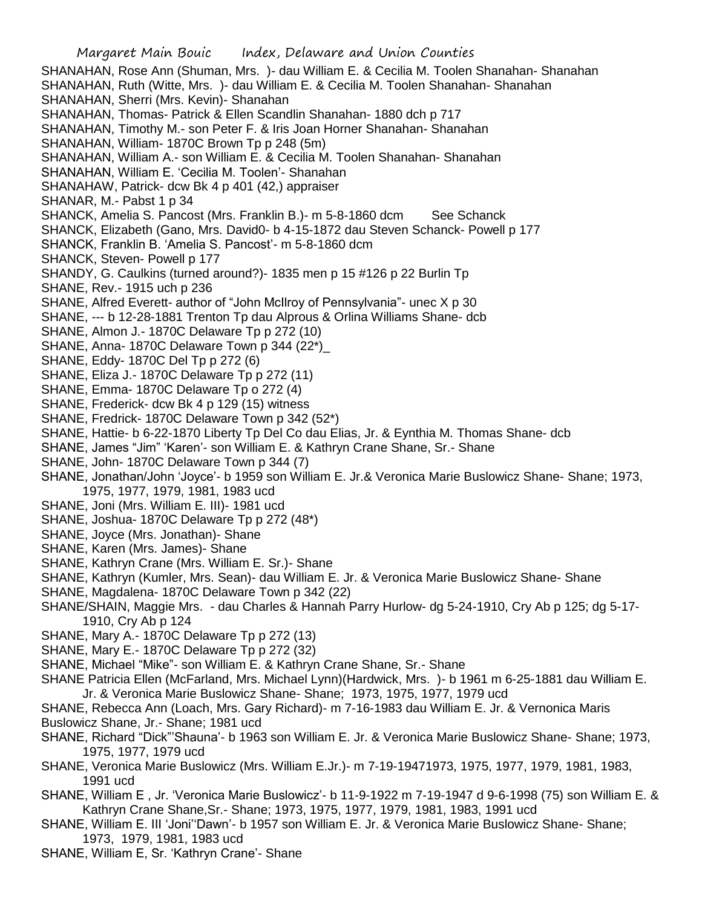SHANAHAN, Rose Ann (Shuman, Mrs. )- dau William E. & Cecilia M. Toolen Shanahan- Shanahan SHANAHAN, Ruth (Witte, Mrs. )- dau William E. & Cecilia M. Toolen Shanahan- Shanahan SHANAHAN, Sherri (Mrs. Kevin)- Shanahan SHANAHAN, Thomas- Patrick & Ellen Scandlin Shanahan- 1880 dch p 717 SHANAHAN, Timothy M.- son Peter F. & Iris Joan Horner Shanahan- Shanahan SHANAHAN, William- 1870C Brown Tp p 248 (5m) SHANAHAN, William A.- son William E. & Cecilia M. Toolen Shanahan- Shanahan SHANAHAN, William E. 'Cecilia M. Toolen'- Shanahan SHANAHAW, Patrick- dcw Bk 4 p 401 (42,) appraiser SHANAR, M.- Pabst 1 p 34 SHANCK, Amelia S. Pancost (Mrs. Franklin B.) - m 5-8-1860 dcm See Schanck SHANCK, Elizabeth (Gano, Mrs. David0- b 4-15-1872 dau Steven Schanck- Powell p 177 SHANCK, Franklin B. 'Amelia S. Pancost'- m 5-8-1860 dcm SHANCK, Steven- Powell p 177 SHANDY, G. Caulkins (turned around?)- 1835 men p 15 #126 p 22 Burlin Tp SHANE, Rev.- 1915 uch p 236 SHANE, Alfred Everett- author of "John McIlroy of Pennsylvania"- unec X p 30 SHANE, --- b 12-28-1881 Trenton Tp dau Alprous & Orlina Williams Shane- dcb SHANE, Almon J.- 1870C Delaware Tp p 272 (10) SHANE, Anna- 1870C Delaware Town p 344 (22\*) SHANE, Eddy- 1870C Del Tp p 272 (6) SHANE, Eliza J.- 1870C Delaware Tp p 272 (11) SHANE, Emma- 1870C Delaware Tp o 272 (4) SHANE, Frederick- dcw Bk 4 p 129 (15) witness SHANE, Fredrick- 1870C Delaware Town p 342 (52\*) SHANE, Hattie- b 6-22-1870 Liberty Tp Del Co dau Elias, Jr. & Eynthia M. Thomas Shane- dcb SHANE, James "Jim" 'Karen'- son William E. & Kathryn Crane Shane, Sr.- Shane SHANE, John- 1870C Delaware Town p 344 (7) SHANE, Jonathan/John 'Joyce'- b 1959 son William E. Jr.& Veronica Marie Buslowicz Shane- Shane; 1973, 1975, 1977, 1979, 1981, 1983 ucd SHANE, Joni (Mrs. William E. III)- 1981 ucd SHANE, Joshua- 1870C Delaware Tp p 272 (48\*) SHANE, Joyce (Mrs. Jonathan)- Shane SHANE, Karen (Mrs. James)- Shane SHANE, Kathryn Crane (Mrs. William E. Sr.)- Shane SHANE, Kathryn (Kumler, Mrs. Sean)- dau William E. Jr. & Veronica Marie Buslowicz Shane- Shane SHANE, Magdalena- 1870C Delaware Town p 342 (22) SHANE/SHAIN, Maggie Mrs. - dau Charles & Hannah Parry Hurlow- dg 5-24-1910, Cry Ab p 125; dg 5-17- 1910, Cry Ab p 124 SHANE, Mary A.- 1870C Delaware Tp p 272 (13) SHANE, Mary E.- 1870C Delaware Tp p 272 (32) SHANE, Michael "Mike"- son William E. & Kathryn Crane Shane, Sr.- Shane SHANE Patricia Ellen (McFarland, Mrs. Michael Lynn)(Hardwick, Mrs. )- b 1961 m 6-25-1881 dau William E. Jr. & Veronica Marie Buslowicz Shane- Shane; 1973, 1975, 1977, 1979 ucd SHANE, Rebecca Ann (Loach, Mrs. Gary Richard)- m 7-16-1983 dau William E. Jr. & Vernonica Maris Buslowicz Shane, Jr.- Shane; 1981 ucd

- SHANE, Richard "Dick"'Shauna'- b 1963 son William E. Jr. & Veronica Marie Buslowicz Shane- Shane; 1973, 1975, 1977, 1979 ucd
- SHANE, Veronica Marie Buslowicz (Mrs. William E.Jr.)- m 7-19-19471973, 1975, 1977, 1979, 1981, 1983, 1991 ucd
- SHANE, William E , Jr. 'Veronica Marie Buslowicz'- b 11-9-1922 m 7-19-1947 d 9-6-1998 (75) son William E. & Kathryn Crane Shane,Sr.- Shane; 1973, 1975, 1977, 1979, 1981, 1983, 1991 ucd
- SHANE, William E. III 'Joni''Dawn'- b 1957 son William E. Jr. & Veronica Marie Buslowicz Shane- Shane; 1973, 1979, 1981, 1983 ucd
- SHANE, William E, Sr. 'Kathryn Crane'- Shane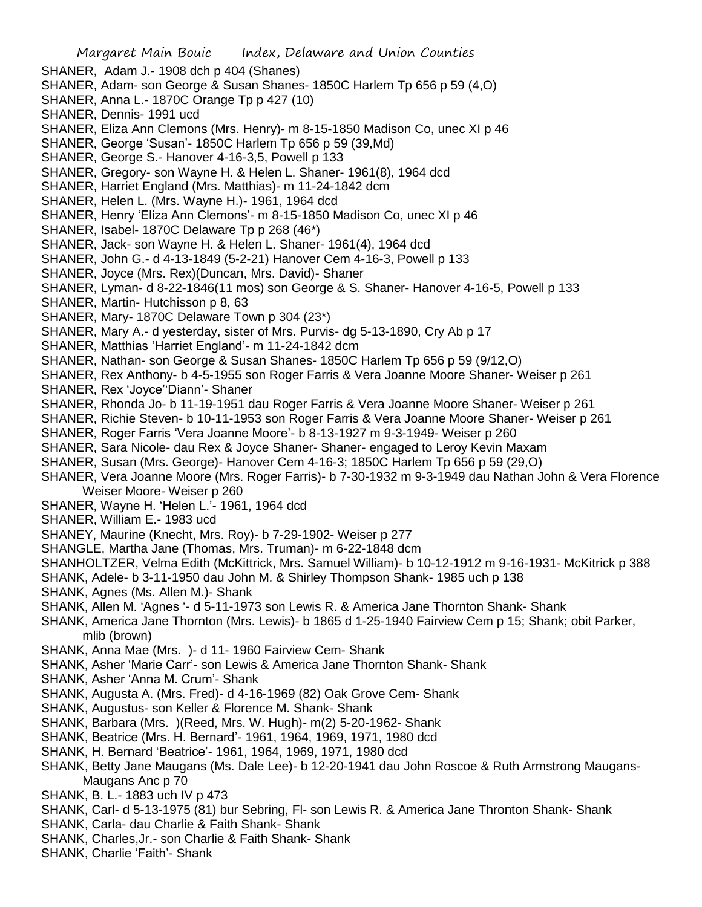SHANER, Adam J.- 1908 dch p 404 (Shanes)

- SHANER, Adam- son George & Susan Shanes- 1850C Harlem Tp 656 p 59 (4,O)
- SHANER, Anna L.- 1870C Orange Tp p 427 (10)
- SHANER, Dennis- 1991 ucd
- SHANER, Eliza Ann Clemons (Mrs. Henry)- m 8-15-1850 Madison Co, unec XI p 46
- SHANER, George 'Susan'- 1850C Harlem Tp 656 p 59 (39,Md)
- SHANER, George S.- Hanover 4-16-3,5, Powell p 133
- SHANER, Gregory- son Wayne H. & Helen L. Shaner- 1961(8), 1964 dcd
- SHANER, Harriet England (Mrs. Matthias)- m 11-24-1842 dcm
- SHANER, Helen L. (Mrs. Wayne H.)- 1961, 1964 dcd
- SHANER, Henry 'Eliza Ann Clemons'- m 8-15-1850 Madison Co, unec XI p 46
- SHANER, Isabel- 1870C Delaware Tp p 268 (46\*)
- SHANER, Jack- son Wayne H. & Helen L. Shaner- 1961(4), 1964 dcd
- SHANER, John G.- d 4-13-1849 (5-2-21) Hanover Cem 4-16-3, Powell p 133
- SHANER, Joyce (Mrs. Rex)(Duncan, Mrs. David)- Shaner
- SHANER, Lyman- d 8-22-1846(11 mos) son George & S. Shaner- Hanover 4-16-5, Powell p 133
- SHANER, Martin- Hutchisson p 8, 63
- SHANER, Mary- 1870C Delaware Town p 304 (23\*)
- SHANER, Mary A.- d yesterday, sister of Mrs. Purvis- dg 5-13-1890, Cry Ab p 17
- SHANER, Matthias 'Harriet England'- m 11-24-1842 dcm
- SHANER, Nathan- son George & Susan Shanes- 1850C Harlem Tp 656 p 59 (9/12,O)
- SHANER, Rex Anthony- b 4-5-1955 son Roger Farris & Vera Joanne Moore Shaner- Weiser p 261
- SHANER, Rex 'Joyce''Diann'- Shaner
- SHANER, Rhonda Jo- b 11-19-1951 dau Roger Farris & Vera Joanne Moore Shaner- Weiser p 261
- SHANER, Richie Steven- b 10-11-1953 son Roger Farris & Vera Joanne Moore Shaner- Weiser p 261
- SHANER, Roger Farris 'Vera Joanne Moore'- b 8-13-1927 m 9-3-1949- Weiser p 260
- SHANER, Sara Nicole- dau Rex & Joyce Shaner- Shaner- engaged to Leroy Kevin Maxam
- SHANER, Susan (Mrs. George)- Hanover Cem 4-16-3; 1850C Harlem Tp 656 p 59 (29,O)
- SHANER, Vera Joanne Moore (Mrs. Roger Farris)- b 7-30-1932 m 9-3-1949 dau Nathan John & Vera Florence Weiser Moore- Weiser p 260
- SHANER, Wayne H. 'Helen L.'- 1961, 1964 dcd
- SHANER, William E.- 1983 ucd
- SHANEY, Maurine (Knecht, Mrs. Roy)- b 7-29-1902- Weiser p 277
- SHANGLE, Martha Jane (Thomas, Mrs. Truman)- m 6-22-1848 dcm
- SHANHOLTZER, Velma Edith (McKittrick, Mrs. Samuel William)- b 10-12-1912 m 9-16-1931- McKitrick p 388
- SHANK, Adele- b 3-11-1950 dau John M. & Shirley Thompson Shank- 1985 uch p 138
- SHANK, Agnes (Ms. Allen M.)- Shank
- SHANK, Allen M. 'Agnes '- d 5-11-1973 son Lewis R. & America Jane Thornton Shank- Shank
- SHANK, America Jane Thornton (Mrs. Lewis)- b 1865 d 1-25-1940 Fairview Cem p 15; Shank; obit Parker, mlib (brown)
- SHANK, Anna Mae (Mrs. )- d 11- 1960 Fairview Cem- Shank
- SHANK, Asher 'Marie Carr'- son Lewis & America Jane Thornton Shank- Shank
- SHANK, Asher 'Anna M. Crum'- Shank
- SHANK, Augusta A. (Mrs. Fred)- d 4-16-1969 (82) Oak Grove Cem- Shank
- SHANK, Augustus- son Keller & Florence M. Shank- Shank
- SHANK, Barbara (Mrs. )(Reed, Mrs. W. Hugh)- m(2) 5-20-1962- Shank
- SHANK, Beatrice (Mrs. H. Bernard'- 1961, 1964, 1969, 1971, 1980 dcd
- SHANK, H. Bernard 'Beatrice'- 1961, 1964, 1969, 1971, 1980 dcd
- SHANK, Betty Jane Maugans (Ms. Dale Lee)- b 12-20-1941 dau John Roscoe & Ruth Armstrong Maugans-Maugans Anc p 70
- SHANK, B. L.- 1883 uch IV p 473
- SHANK, Carl- d 5-13-1975 (81) bur Sebring, Fl- son Lewis R. & America Jane Thronton Shank- Shank
- SHANK, Carla- dau Charlie & Faith Shank- Shank
- SHANK, Charles,Jr.- son Charlie & Faith Shank- Shank
- SHANK, Charlie 'Faith'- Shank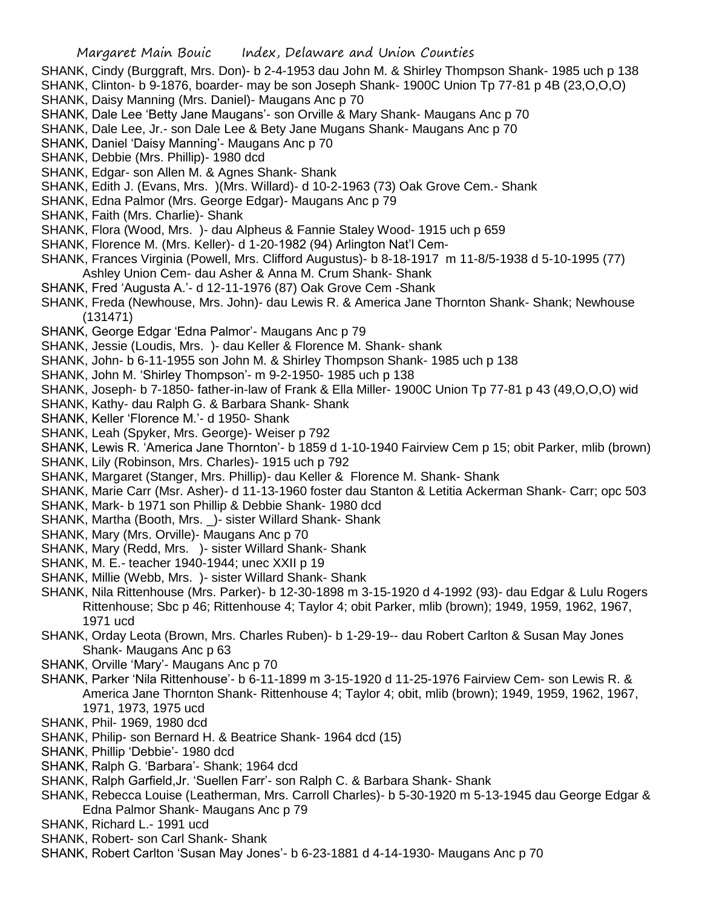- SHANK, Cindy (Burggraft, Mrs. Don)- b 2-4-1953 dau John M. & Shirley Thompson Shank- 1985 uch p 138
- SHANK, Clinton- b 9-1876, boarder- may be son Joseph Shank- 1900C Union Tp 77-81 p 4B (23,O,O,O)
- SHANK, Daisy Manning (Mrs. Daniel)- Maugans Anc p 70
- SHANK, Dale Lee 'Betty Jane Maugans'- son Orville & Mary Shank- Maugans Anc p 70
- SHANK, Dale Lee, Jr.- son Dale Lee & Bety Jane Mugans Shank- Maugans Anc p 70
- SHANK, Daniel 'Daisy Manning'- Maugans Anc p 70
- SHANK, Debbie (Mrs. Phillip)- 1980 dcd
- SHANK, Edgar- son Allen M. & Agnes Shank- Shank
- SHANK, Edith J. (Evans, Mrs. )(Mrs. Willard)- d 10-2-1963 (73) Oak Grove Cem.- Shank
- SHANK, Edna Palmor (Mrs. George Edgar)- Maugans Anc p 79
- SHANK, Faith (Mrs. Charlie)- Shank
- SHANK, Flora (Wood, Mrs. )- dau Alpheus & Fannie Staley Wood- 1915 uch p 659
- SHANK, Florence M. (Mrs. Keller)- d 1-20-1982 (94) Arlington Nat'l Cem-
- SHANK, Frances Virginia (Powell, Mrs. Clifford Augustus)- b 8-18-1917 m 11-8/5-1938 d 5-10-1995 (77)
- Ashley Union Cem- dau Asher & Anna M. Crum Shank- Shank
- SHANK, Fred 'Augusta A.'- d 12-11-1976 (87) Oak Grove Cem -Shank
- SHANK, Freda (Newhouse, Mrs. John)- dau Lewis R. & America Jane Thornton Shank- Shank; Newhouse (131471)
- SHANK, George Edgar 'Edna Palmor'- Maugans Anc p 79
- SHANK, Jessie (Loudis, Mrs. )- dau Keller & Florence M. Shank- shank
- SHANK, John- b 6-11-1955 son John M. & Shirley Thompson Shank- 1985 uch p 138
- SHANK, John M. 'Shirley Thompson'- m 9-2-1950- 1985 uch p 138
- SHANK, Joseph- b 7-1850- father-in-law of Frank & Ella Miller- 1900C Union Tp 77-81 p 43 (49,O,O,O) wid
- SHANK, Kathy- dau Ralph G. & Barbara Shank- Shank
- SHANK, Keller 'Florence M.'- d 1950- Shank
- SHANK, Leah (Spyker, Mrs. George)- Weiser p 792
- SHANK, Lewis R. 'America Jane Thornton'- b 1859 d 1-10-1940 Fairview Cem p 15; obit Parker, mlib (brown)
- SHANK, Lily (Robinson, Mrs. Charles)- 1915 uch p 792
- SHANK, Margaret (Stanger, Mrs. Phillip)- dau Keller & Florence M. Shank- Shank
- SHANK, Marie Carr (Msr. Asher)- d 11-13-1960 foster dau Stanton & Letitia Ackerman Shank- Carr; opc 503
- SHANK, Mark- b 1971 son Phillip & Debbie Shank- 1980 dcd
- SHANK, Martha (Booth, Mrs. \_)- sister Willard Shank- Shank
- SHANK, Mary (Mrs. Orville)- Maugans Anc p 70
- SHANK, Mary (Redd, Mrs. )- sister Willard Shank- Shank
- SHANK, M. E.- teacher 1940-1944; unec XXII p 19
- SHANK, Millie (Webb, Mrs. )- sister Willard Shank- Shank
- SHANK, Nila Rittenhouse (Mrs. Parker)- b 12-30-1898 m 3-15-1920 d 4-1992 (93)- dau Edgar & Lulu Rogers Rittenhouse; Sbc p 46; Rittenhouse 4; Taylor 4; obit Parker, mlib (brown); 1949, 1959, 1962, 1967, 1971 ucd
- SHANK, Orday Leota (Brown, Mrs. Charles Ruben)- b 1-29-19-- dau Robert Carlton & Susan May Jones Shank- Maugans Anc p 63
- SHANK, Orville 'Mary'- Maugans Anc p 70
- SHANK, Parker 'Nila Rittenhouse'- b 6-11-1899 m 3-15-1920 d 11-25-1976 Fairview Cem- son Lewis R. & America Jane Thornton Shank- Rittenhouse 4; Taylor 4; obit, mlib (brown); 1949, 1959, 1962, 1967, 1971, 1973, 1975 ucd
- SHANK, Phil- 1969, 1980 dcd
- SHANK, Philip- son Bernard H. & Beatrice Shank- 1964 dcd (15)
- SHANK, Phillip 'Debbie'- 1980 dcd
- SHANK, Ralph G. 'Barbara'- Shank; 1964 dcd
- SHANK, Ralph Garfield,Jr. 'Suellen Farr'- son Ralph C. & Barbara Shank- Shank
- SHANK, Rebecca Louise (Leatherman, Mrs. Carroll Charles)- b 5-30-1920 m 5-13-1945 dau George Edgar & Edna Palmor Shank- Maugans Anc p 79
- SHANK, Richard L.- 1991 ucd
- SHANK, Robert- son Carl Shank- Shank
- SHANK, Robert Carlton 'Susan May Jones'- b 6-23-1881 d 4-14-1930- Maugans Anc p 70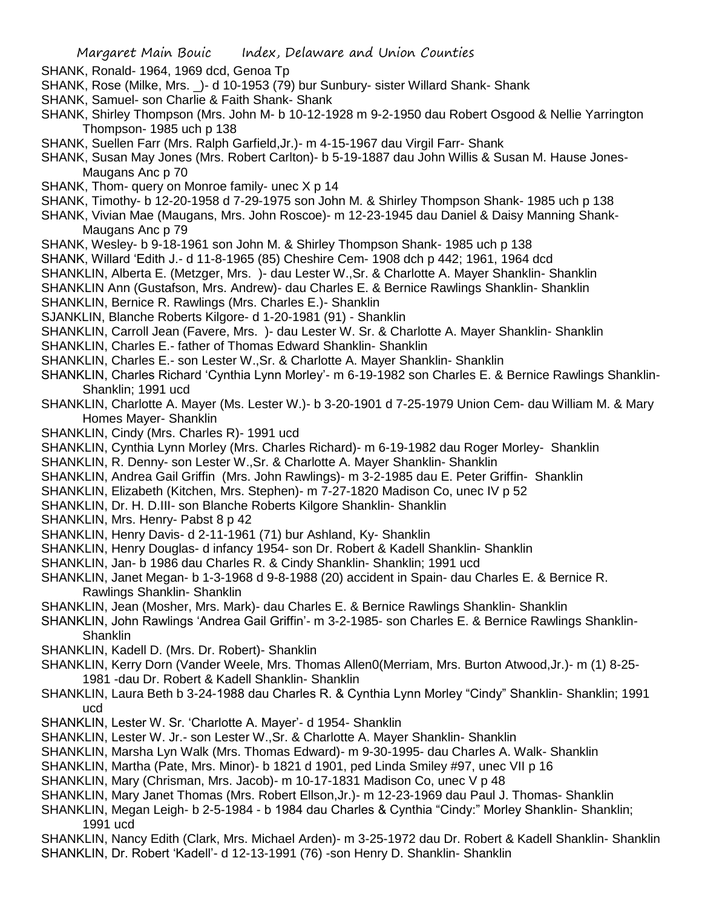- SHANK, Ronald- 1964, 1969 dcd, Genoa Tp
- SHANK, Rose (Milke, Mrs. \_)- d 10-1953 (79) bur Sunbury- sister Willard Shank- Shank
- SHANK, Samuel- son Charlie & Faith Shank- Shank
- SHANK, Shirley Thompson (Mrs. John M- b 10-12-1928 m 9-2-1950 dau Robert Osgood & Nellie Yarrington Thompson- 1985 uch p 138
- SHANK, Suellen Farr (Mrs. Ralph Garfield,Jr.)- m 4-15-1967 dau Virgil Farr- Shank
- SHANK, Susan May Jones (Mrs. Robert Carlton)- b 5-19-1887 dau John Willis & Susan M. Hause Jones-Maugans Anc p 70
- SHANK, Thom- query on Monroe family- unec X p 14
- SHANK, Timothy- b 12-20-1958 d 7-29-1975 son John M. & Shirley Thompson Shank- 1985 uch p 138
- SHANK, Vivian Mae (Maugans, Mrs. John Roscoe)- m 12-23-1945 dau Daniel & Daisy Manning Shank-Maugans Anc p 79
- SHANK, Wesley- b 9-18-1961 son John M. & Shirley Thompson Shank- 1985 uch p 138
- SHANK, Willard 'Edith J.- d 11-8-1965 (85) Cheshire Cem- 1908 dch p 442; 1961, 1964 dcd
- SHANKLIN, Alberta E. (Metzger, Mrs. )- dau Lester W.,Sr. & Charlotte A. Mayer Shanklin- Shanklin
- SHANKLIN Ann (Gustafson, Mrs. Andrew)- dau Charles E. & Bernice Rawlings Shanklin- Shanklin
- SHANKLIN, Bernice R. Rawlings (Mrs. Charles E.)- Shanklin
- SJANKLIN, Blanche Roberts Kilgore- d 1-20-1981 (91) Shanklin
- SHANKLIN, Carroll Jean (Favere, Mrs. )- dau Lester W. Sr. & Charlotte A. Mayer Shanklin- Shanklin
- SHANKLIN, Charles E.- father of Thomas Edward Shanklin- Shanklin
- SHANKLIN, Charles E.- son Lester W.,Sr. & Charlotte A. Mayer Shanklin- Shanklin
- SHANKLIN, Charles Richard 'Cynthia Lynn Morley'- m 6-19-1982 son Charles E. & Bernice Rawlings Shanklin-Shanklin; 1991 ucd
- SHANKLIN, Charlotte A. Mayer (Ms. Lester W.)- b 3-20-1901 d 7-25-1979 Union Cem- dau William M. & Mary Homes Mayer- Shanklin
- SHANKLIN, Cindy (Mrs. Charles R)- 1991 ucd
- SHANKLIN, Cynthia Lynn Morley (Mrs. Charles Richard)- m 6-19-1982 dau Roger Morley- Shanklin
- SHANKLIN, R. Denny- son Lester W.,Sr. & Charlotte A. Mayer Shanklin- Shanklin
- SHANKLIN, Andrea Gail Griffin (Mrs. John Rawlings)- m 3-2-1985 dau E. Peter Griffin- Shanklin
- SHANKLIN, Elizabeth (Kitchen, Mrs. Stephen)- m 7-27-1820 Madison Co, unec IV p 52
- SHANKLIN, Dr. H. D.III- son Blanche Roberts Kilgore Shanklin- Shanklin
- SHANKLIN, Mrs. Henry- Pabst 8 p 42
- SHANKLIN, Henry Davis- d 2-11-1961 (71) bur Ashland, Ky- Shanklin
- SHANKLIN, Henry Douglas- d infancy 1954- son Dr. Robert & Kadell Shanklin- Shanklin
- SHANKLIN, Jan- b 1986 dau Charles R. & Cindy Shanklin- Shanklin; 1991 ucd
- SHANKLIN, Janet Megan- b 1-3-1968 d 9-8-1988 (20) accident in Spain- dau Charles E. & Bernice R. Rawlings Shanklin- Shanklin
- SHANKLIN, Jean (Mosher, Mrs. Mark)- dau Charles E. & Bernice Rawlings Shanklin- Shanklin
- SHANKLIN, John Rawlings 'Andrea Gail Griffin'- m 3-2-1985- son Charles E. & Bernice Rawlings Shanklin-**Shanklin**
- SHANKLIN, Kadell D. (Mrs. Dr. Robert)- Shanklin
- SHANKLIN, Kerry Dorn (Vander Weele, Mrs. Thomas Allen0(Merriam, Mrs. Burton Atwood,Jr.)- m (1) 8-25- 1981 -dau Dr. Robert & Kadell Shanklin- Shanklin
- SHANKLIN, Laura Beth b 3-24-1988 dau Charles R. & Cynthia Lynn Morley "Cindy" Shanklin- Shanklin; 1991 ucd
- SHANKLIN, Lester W. Sr. 'Charlotte A. Mayer'- d 1954- Shanklin
- SHANKLIN, Lester W. Jr.- son Lester W.,Sr. & Charlotte A. Mayer Shanklin- Shanklin
- SHANKLIN, Marsha Lyn Walk (Mrs. Thomas Edward)- m 9-30-1995- dau Charles A. Walk- Shanklin
- SHANKLIN, Martha (Pate, Mrs. Minor)- b 1821 d 1901, ped Linda Smiley #97, unec VII p 16
- SHANKLIN, Mary (Chrisman, Mrs. Jacob)- m 10-17-1831 Madison Co, unec V p 48
- SHANKLIN, Mary Janet Thomas (Mrs. Robert Ellson,Jr.)- m 12-23-1969 dau Paul J. Thomas- Shanklin
- SHANKLIN, Megan Leigh- b 2-5-1984 b 1984 dau Charles & Cynthia "Cindy:" Morley Shanklin- Shanklin; 1991 ucd
- SHANKLIN, Nancy Edith (Clark, Mrs. Michael Arden)- m 3-25-1972 dau Dr. Robert & Kadell Shanklin- Shanklin SHANKLIN, Dr. Robert 'Kadell'- d 12-13-1991 (76) -son Henry D. Shanklin- Shanklin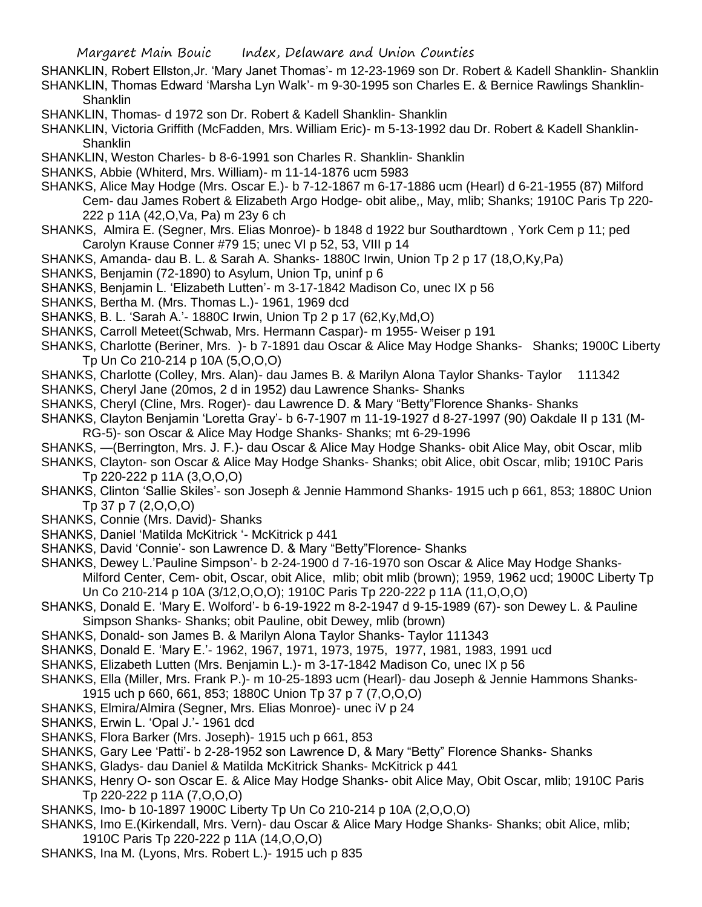- SHANKLIN, Robert Ellston,Jr. 'Mary Janet Thomas'- m 12-23-1969 son Dr. Robert & Kadell Shanklin- Shanklin SHANKLIN, Thomas Edward 'Marsha Lyn Walk'- m 9-30-1995 son Charles E. & Bernice Rawlings Shanklin-**Shanklin**
- SHANKLIN, Thomas- d 1972 son Dr. Robert & Kadell Shanklin- Shanklin
- SHANKLIN, Victoria Griffith (McFadden, Mrs. William Eric)- m 5-13-1992 dau Dr. Robert & Kadell Shanklin-Shanklin
- SHANKLIN, Weston Charles- b 8-6-1991 son Charles R. Shanklin- Shanklin
- SHANKS, Abbie (Whiterd, Mrs. William)- m 11-14-1876 ucm 5983
- SHANKS, Alice May Hodge (Mrs. Oscar E.)- b 7-12-1867 m 6-17-1886 ucm (Hearl) d 6-21-1955 (87) Milford Cem- dau James Robert & Elizabeth Argo Hodge- obit alibe,, May, mlib; Shanks; 1910C Paris Tp 220- 222 p 11A (42,O,Va, Pa) m 23y 6 ch
- SHANKS, Almira E. (Segner, Mrs. Elias Monroe)- b 1848 d 1922 bur Southardtown , York Cem p 11; ped Carolyn Krause Conner #79 15; unec VI p 52, 53, VIII p 14
- SHANKS, Amanda- dau B. L. & Sarah A. Shanks- 1880C Irwin, Union Tp 2 p 17 (18,O,Ky,Pa)
- SHANKS, Benjamin (72-1890) to Asylum, Union Tp, uninf p 6
- SHANKS, Benjamin L. 'Elizabeth Lutten'- m 3-17-1842 Madison Co, unec IX p 56
- SHANKS, Bertha M. (Mrs. Thomas L.)- 1961, 1969 dcd
- SHANKS, B. L. 'Sarah A.'- 1880C Irwin, Union Tp 2 p 17 (62,Ky,Md,O)
- SHANKS, Carroll Meteet(Schwab, Mrs. Hermann Caspar)- m 1955- Weiser p 191
- SHANKS, Charlotte (Beriner, Mrs. )- b 7-1891 dau Oscar & Alice May Hodge Shanks- Shanks; 1900C Liberty Tp Un Co 210-214 p 10A (5,O,O,O)
- SHANKS, Charlotte (Colley, Mrs. Alan)- dau James B. & Marilyn Alona Taylor Shanks- Taylor 111342
- SHANKS, Cheryl Jane (20mos, 2 d in 1952) dau Lawrence Shanks- Shanks
- SHANKS, Cheryl (Cline, Mrs. Roger)- dau Lawrence D. & Mary "Betty"Florence Shanks- Shanks
- SHANKS, Clayton Benjamin 'Loretta Gray'- b 6-7-1907 m 11-19-1927 d 8-27-1997 (90) Oakdale II p 131 (M-RG-5)- son Oscar & Alice May Hodge Shanks- Shanks; mt 6-29-1996
- SHANKS, —(Berrington, Mrs. J. F.)- dau Oscar & Alice May Hodge Shanks- obit Alice May, obit Oscar, mlib
- SHANKS, Clayton- son Oscar & Alice May Hodge Shanks- Shanks; obit Alice, obit Oscar, mlib; 1910C Paris Tp 220-222 p 11A (3,O,O,O)
- SHANKS, Clinton 'Sallie Skiles'- son Joseph & Jennie Hammond Shanks- 1915 uch p 661, 853; 1880C Union Tp 37 p 7 (2,O,O,O)
- SHANKS, Connie (Mrs. David)- Shanks
- SHANKS, Daniel 'Matilda McKitrick '- McKitrick p 441
- SHANKS, David 'Connie'- son Lawrence D. & Mary "Betty"Florence- Shanks
- SHANKS, Dewey L.'Pauline Simpson'- b 2-24-1900 d 7-16-1970 son Oscar & Alice May Hodge Shanks-Milford Center, Cem- obit, Oscar, obit Alice, mlib; obit mlib (brown); 1959, 1962 ucd; 1900C Liberty Tp Un Co 210-214 p 10A (3/12,O,O,O); 1910C Paris Tp 220-222 p 11A (11,O,O,O)
- SHANKS, Donald E. 'Mary E. Wolford'- b 6-19-1922 m 8-2-1947 d 9-15-1989 (67)- son Dewey L. & Pauline Simpson Shanks- Shanks; obit Pauline, obit Dewey, mlib (brown)
- SHANKS, Donald- son James B. & Marilyn Alona Taylor Shanks- Taylor 111343
- SHANKS, Donald E. 'Mary E.'- 1962, 1967, 1971, 1973, 1975, 1977, 1981, 1983, 1991 ucd
- SHANKS, Elizabeth Lutten (Mrs. Benjamin L.)- m 3-17-1842 Madison Co, unec IX p 56
- SHANKS, Ella (Miller, Mrs. Frank P.)- m 10-25-1893 ucm (Hearl)- dau Joseph & Jennie Hammons Shanks-
- 1915 uch p 660, 661, 853; 1880C Union Tp 37 p 7 (7,O,O,O)
- SHANKS, Elmira/Almira (Segner, Mrs. Elias Monroe)- unec iV p 24
- SHANKS, Erwin L. 'Opal J.'- 1961 dcd
- SHANKS, Flora Barker (Mrs. Joseph)- 1915 uch p 661, 853
- SHANKS, Gary Lee 'Patti'- b 2-28-1952 son Lawrence D, & Mary "Betty" Florence Shanks- Shanks
- SHANKS, Gladys- dau Daniel & Matilda McKitrick Shanks- McKitrick p 441
- SHANKS, Henry O- son Oscar E. & Alice May Hodge Shanks- obit Alice May, Obit Oscar, mlib; 1910C Paris Tp 220-222 p 11A (7,O,O,O)
- SHANKS, Imo- b 10-1897 1900C Liberty Tp Un Co 210-214 p 10A (2,O,O,O)
- SHANKS, Imo E.(Kirkendall, Mrs. Vern)- dau Oscar & Alice Mary Hodge Shanks- Shanks; obit Alice, mlib; 1910C Paris Tp 220-222 p 11A (14,O,O,O)
- SHANKS, Ina M. (Lyons, Mrs. Robert L.)- 1915 uch p 835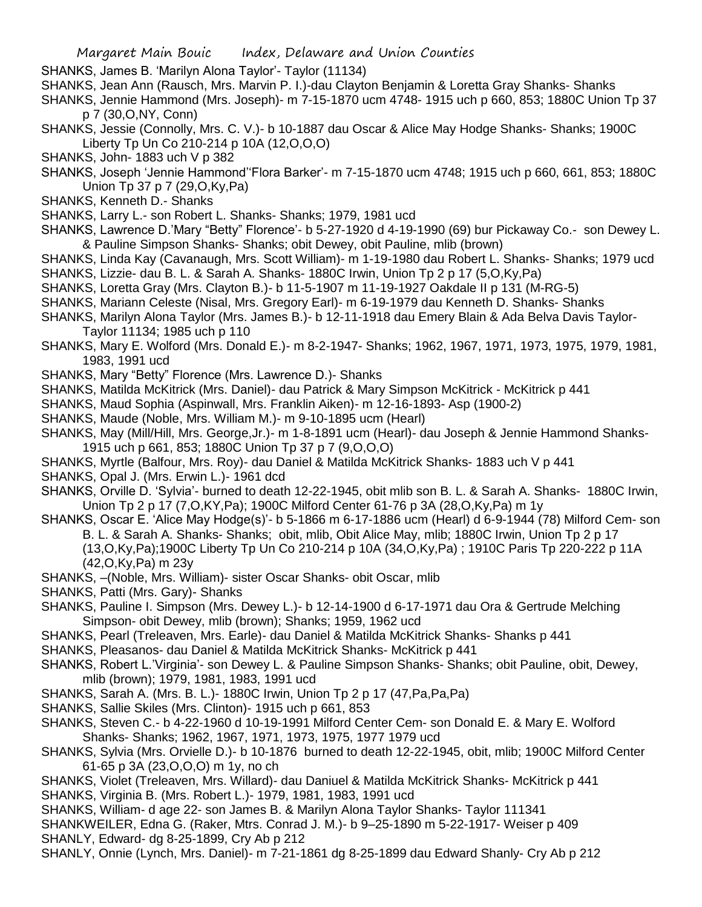- SHANKS, James B. 'Marilyn Alona Taylor'- Taylor (11134)
- SHANKS, Jean Ann (Rausch, Mrs. Marvin P. I.)-dau Clayton Benjamin & Loretta Gray Shanks- Shanks
- SHANKS, Jennie Hammond (Mrs. Joseph)- m 7-15-1870 ucm 4748- 1915 uch p 660, 853; 1880C Union Tp 37 p 7 (30,O,NY, Conn)
- SHANKS, Jessie (Connolly, Mrs. C. V.)- b 10-1887 dau Oscar & Alice May Hodge Shanks- Shanks; 1900C Liberty Tp Un Co 210-214 p 10A (12,O,O,O)
- SHANKS, John- 1883 uch V p 382
- SHANKS, Joseph 'Jennie Hammond''Flora Barker'- m 7-15-1870 ucm 4748; 1915 uch p 660, 661, 853; 1880C Union Tp 37 p 7 (29,O,Ky,Pa)
- SHANKS, Kenneth D.- Shanks
- SHANKS, Larry L.- son Robert L. Shanks- Shanks; 1979, 1981 ucd
- SHANKS, Lawrence D.'Mary "Betty" Florence'- b 5-27-1920 d 4-19-1990 (69) bur Pickaway Co.- son Dewey L. & Pauline Simpson Shanks- Shanks; obit Dewey, obit Pauline, mlib (brown)
- SHANKS, Linda Kay (Cavanaugh, Mrs. Scott William)- m 1-19-1980 dau Robert L. Shanks- Shanks; 1979 ucd SHANKS, Lizzie- dau B. L. & Sarah A. Shanks- 1880C Irwin, Union Tp 2 p 17 (5,O,Ky,Pa)
- SHANKS, Loretta Gray (Mrs. Clayton B.)- b 11-5-1907 m 11-19-1927 Oakdale II p 131 (M-RG-5)
- SHANKS, Mariann Celeste (Nisal, Mrs. Gregory Earl)- m 6-19-1979 dau Kenneth D. Shanks- Shanks
- SHANKS, Marilyn Alona Taylor (Mrs. James B.)- b 12-11-1918 dau Emery Blain & Ada Belva Davis Taylor-Taylor 11134; 1985 uch p 110
- SHANKS, Mary E. Wolford (Mrs. Donald E.)- m 8-2-1947- Shanks; 1962, 1967, 1971, 1973, 1975, 1979, 1981, 1983, 1991 ucd
- SHANKS, Mary "Betty" Florence (Mrs. Lawrence D.)- Shanks
- SHANKS, Matilda McKitrick (Mrs. Daniel)- dau Patrick & Mary Simpson McKitrick McKitrick p 441
- SHANKS, Maud Sophia (Aspinwall, Mrs. Franklin Aiken)- m 12-16-1893- Asp (1900-2)
- SHANKS, Maude (Noble, Mrs. William M.)- m 9-10-1895 ucm (Hearl)
- SHANKS, May (Mill/Hill, Mrs. George,Jr.)- m 1-8-1891 ucm (Hearl)- dau Joseph & Jennie Hammond Shanks-1915 uch p 661, 853; 1880C Union Tp 37 p 7 (9,O,O,O)
- SHANKS, Myrtle (Balfour, Mrs. Roy)- dau Daniel & Matilda McKitrick Shanks- 1883 uch V p 441
- SHANKS, Opal J. (Mrs. Erwin L.)- 1961 dcd
- SHANKS, Orville D. 'Sylvia'- burned to death 12-22-1945, obit mlib son B. L. & Sarah A. Shanks- 1880C Irwin, Union Tp 2 p 17 (7,O,KY,Pa); 1900C Milford Center 61-76 p 3A (28,O,Ky,Pa) m 1y
- SHANKS, Oscar E. 'Alice May Hodge(s)'- b 5-1866 m 6-17-1886 ucm (Hearl) d 6-9-1944 (78) Milford Cem- son B. L. & Sarah A. Shanks- Shanks; obit, mlib, Obit Alice May, mlib; 1880C Irwin, Union Tp 2 p 17 (13,O,Ky,Pa);1900C Liberty Tp Un Co 210-214 p 10A (34,O,Ky,Pa) ; 1910C Paris Tp 220-222 p 11A (42,O,Ky,Pa) m 23y
- SHANKS, –(Noble, Mrs. William)- sister Oscar Shanks- obit Oscar, mlib
- SHANKS, Patti (Mrs. Gary)- Shanks
- SHANKS, Pauline I. Simpson (Mrs. Dewey L.)- b 12-14-1900 d 6-17-1971 dau Ora & Gertrude Melching Simpson- obit Dewey, mlib (brown); Shanks; 1959, 1962 ucd
- SHANKS, Pearl (Treleaven, Mrs. Earle)- dau Daniel & Matilda McKitrick Shanks- Shanks p 441
- SHANKS, Pleasanos- dau Daniel & Matilda McKitrick Shanks- McKitrick p 441
- SHANKS, Robert L.'Virginia'- son Dewey L. & Pauline Simpson Shanks- Shanks; obit Pauline, obit, Dewey, mlib (brown); 1979, 1981, 1983, 1991 ucd
- SHANKS, Sarah A. (Mrs. B. L.)- 1880C Irwin, Union Tp 2 p 17 (47,Pa,Pa,Pa)
- SHANKS, Sallie Skiles (Mrs. Clinton)- 1915 uch p 661, 853
- SHANKS, Steven C.- b 4-22-1960 d 10-19-1991 Milford Center Cem- son Donald E. & Mary E. Wolford Shanks- Shanks; 1962, 1967, 1971, 1973, 1975, 1977 1979 ucd
- SHANKS, Sylvia (Mrs. Orvielle D.)- b 10-1876 burned to death 12-22-1945, obit, mlib; 1900C Milford Center 61-65 p 3A (23,O,O,O) m 1y, no ch
- SHANKS, Violet (Treleaven, Mrs. Willard)- dau Daniuel & Matilda McKitrick Shanks- McKitrick p 441 SHANKS, Virginia B. (Mrs. Robert L.)- 1979, 1981, 1983, 1991 ucd
- SHANKS, William- d age 22- son James B. & Marilyn Alona Taylor Shanks- Taylor 111341
- SHANKWEILER, Edna G. (Raker, Mtrs. Conrad J. M.)- b 9–25-1890 m 5-22-1917- Weiser p 409 SHANLY, Edward- dg 8-25-1899, Cry Ab p 212
- SHANLY, Onnie (Lynch, Mrs. Daniel)- m 7-21-1861 dg 8-25-1899 dau Edward Shanly- Cry Ab p 212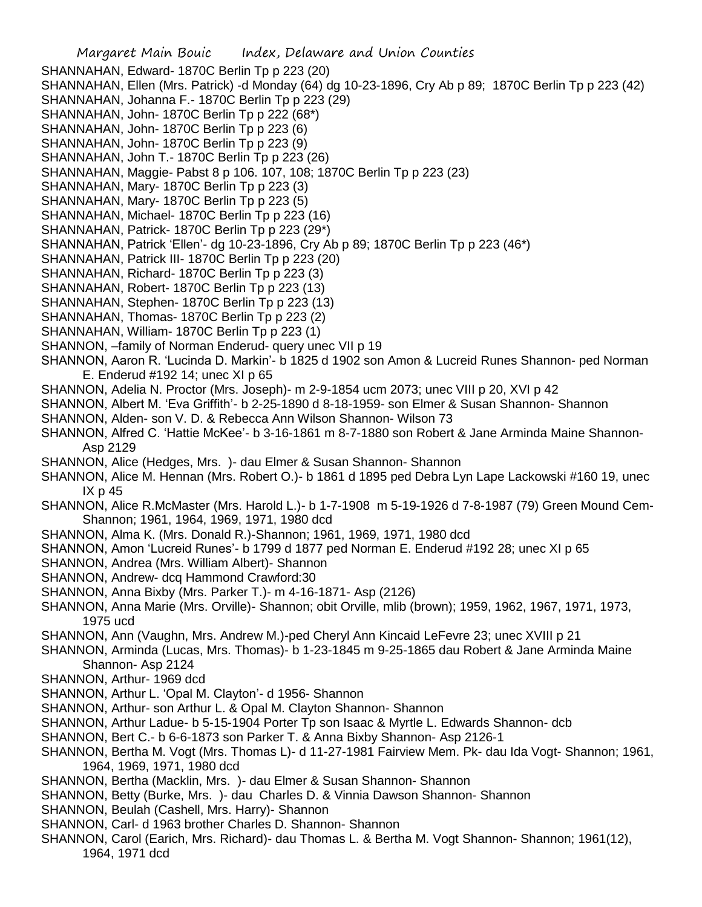Margaret Main Bouic Index, Delaware and Union Counties SHANNAHAN, Edward- 1870C Berlin Tp p 223 (20) SHANNAHAN, Ellen (Mrs. Patrick) -d Monday (64) dg 10-23-1896, Cry Ab p 89; 1870C Berlin Tp p 223 (42) SHANNAHAN, Johanna F.- 1870C Berlin Tp p 223 (29) SHANNAHAN, John- 1870C Berlin Tp p 222 (68\*) SHANNAHAN, John- 1870C Berlin Tp p 223 (6) SHANNAHAN, John- 1870C Berlin Tp p 223 (9) SHANNAHAN, John T.- 1870C Berlin Tp p 223 (26) SHANNAHAN, Maggie- Pabst 8 p 106. 107, 108; 1870C Berlin Tp p 223 (23) SHANNAHAN, Mary- 1870C Berlin Tp p 223 (3) SHANNAHAN, Mary- 1870C Berlin Tp p 223 (5) SHANNAHAN, Michael- 1870C Berlin Tp p 223 (16) SHANNAHAN, Patrick- 1870C Berlin Tp p 223 (29\*) SHANNAHAN, Patrick 'Ellen'- dg 10-23-1896, Cry Ab p 89; 1870C Berlin Tp p 223 (46\*) SHANNAHAN, Patrick III- 1870C Berlin Tp p 223 (20) SHANNAHAN, Richard- 1870C Berlin Tp p 223 (3) SHANNAHAN, Robert- 1870C Berlin Tp p 223 (13) SHANNAHAN, Stephen- 1870C Berlin Tp p 223 (13) SHANNAHAN, Thomas- 1870C Berlin Tp p 223 (2) SHANNAHAN, William- 1870C Berlin Tp p 223 (1) SHANNON, –family of Norman Enderud- query unec VII p 19 SHANNON, Aaron R. 'Lucinda D. Markin'- b 1825 d 1902 son Amon & Lucreid Runes Shannon- ped Norman E. Enderud #192 14; unec XI p 65 SHANNON, Adelia N. Proctor (Mrs. Joseph)- m 2-9-1854 ucm 2073; unec VIII p 20, XVI p 42 SHANNON, Albert M. 'Eva Griffith'- b 2-25-1890 d 8-18-1959- son Elmer & Susan Shannon- Shannon SHANNON, Alden- son V. D. & Rebecca Ann Wilson Shannon- Wilson 73 SHANNON, Alfred C. 'Hattie McKee'- b 3-16-1861 m 8-7-1880 son Robert & Jane Arminda Maine Shannon-Asp 2129 SHANNON, Alice (Hedges, Mrs. )- dau Elmer & Susan Shannon- Shannon SHANNON, Alice M. Hennan (Mrs. Robert O.)- b 1861 d 1895 ped Debra Lyn Lape Lackowski #160 19, unec IX p 45 SHANNON, Alice R.McMaster (Mrs. Harold L.)- b 1-7-1908 m 5-19-1926 d 7-8-1987 (79) Green Mound Cem-Shannon; 1961, 1964, 1969, 1971, 1980 dcd SHANNON, Alma K. (Mrs. Donald R.)-Shannon; 1961, 1969, 1971, 1980 dcd SHANNON, Amon 'Lucreid Runes'- b 1799 d 1877 ped Norman E. Enderud #192 28; unec XI p 65 SHANNON, Andrea (Mrs. William Albert)- Shannon SHANNON, Andrew- dcq Hammond Crawford:30 SHANNON, Anna Bixby (Mrs. Parker T.)- m 4-16-1871- Asp (2126) SHANNON, Anna Marie (Mrs. Orville)- Shannon; obit Orville, mlib (brown); 1959, 1962, 1967, 1971, 1973, 1975 ucd SHANNON, Ann (Vaughn, Mrs. Andrew M.)-ped Cheryl Ann Kincaid LeFevre 23; unec XVIII p 21 SHANNON, Arminda (Lucas, Mrs. Thomas)- b 1-23-1845 m 9-25-1865 dau Robert & Jane Arminda Maine Shannon- Asp 2124 SHANNON, Arthur- 1969 dcd SHANNON, Arthur L. 'Opal M. Clayton'- d 1956- Shannon SHANNON, Arthur- son Arthur L. & Opal M. Clayton Shannon- Shannon SHANNON, Arthur Ladue- b 5-15-1904 Porter Tp son Isaac & Myrtle L. Edwards Shannon- dcb SHANNON, Bert C.- b 6-6-1873 son Parker T. & Anna Bixby Shannon- Asp 2126-1 SHANNON, Bertha M. Vogt (Mrs. Thomas L)- d 11-27-1981 Fairview Mem. Pk- dau Ida Vogt- Shannon; 1961, 1964, 1969, 1971, 1980 dcd SHANNON, Bertha (Macklin, Mrs. )- dau Elmer & Susan Shannon- Shannon SHANNON, Betty (Burke, Mrs. )- dau Charles D. & Vinnia Dawson Shannon- Shannon SHANNON, Beulah (Cashell, Mrs. Harry)- Shannon SHANNON, Carl- d 1963 brother Charles D. Shannon- Shannon

SHANNON, Carol (Earich, Mrs. Richard)- dau Thomas L. & Bertha M. Vogt Shannon- Shannon; 1961(12), 1964, 1971 dcd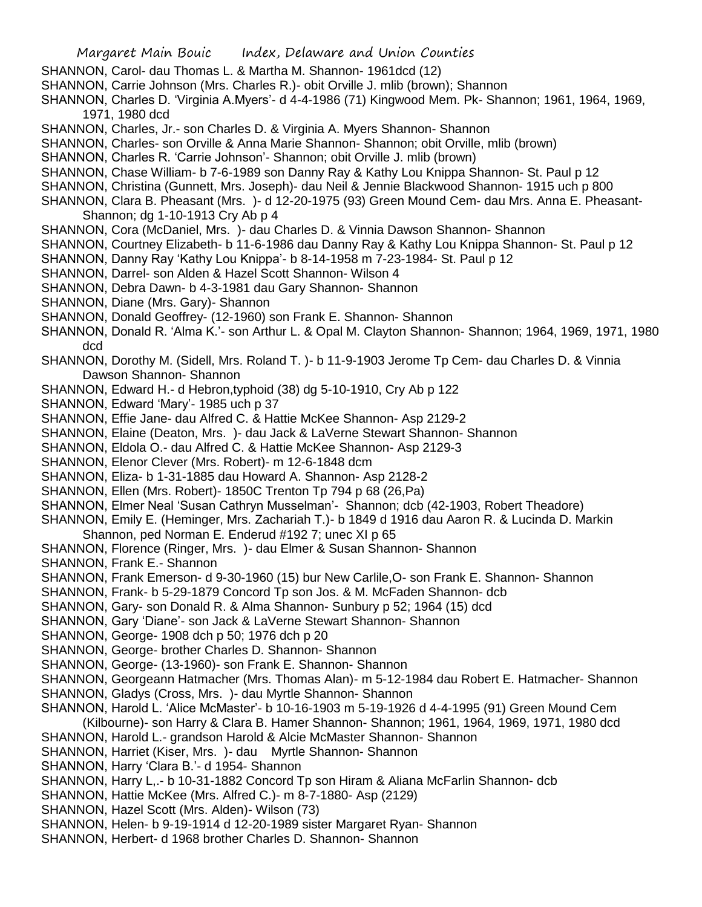- SHANNON, Carol- dau Thomas L. & Martha M. Shannon- 1961dcd (12)
- SHANNON, Carrie Johnson (Mrs. Charles R.)- obit Orville J. mlib (brown); Shannon
- SHANNON, Charles D. 'Virginia A.Myers'- d 4-4-1986 (71) Kingwood Mem. Pk- Shannon; 1961, 1964, 1969, 1971, 1980 dcd
- SHANNON, Charles, Jr.- son Charles D. & Virginia A. Myers Shannon- Shannon
- SHANNON, Charles- son Orville & Anna Marie Shannon- Shannon; obit Orville, mlib (brown)
- SHANNON, Charles R. 'Carrie Johnson'- Shannon; obit Orville J. mlib (brown)
- SHANNON, Chase William- b 7-6-1989 son Danny Ray & Kathy Lou Knippa Shannon- St. Paul p 12
- SHANNON, Christina (Gunnett, Mrs. Joseph)- dau Neil & Jennie Blackwood Shannon- 1915 uch p 800
- SHANNON, Clara B. Pheasant (Mrs. )- d 12-20-1975 (93) Green Mound Cem- dau Mrs. Anna E. Pheasant-Shannon; dg 1-10-1913 Cry Ab p 4
- SHANNON, Cora (McDaniel, Mrs. )- dau Charles D. & Vinnia Dawson Shannon- Shannon
- SHANNON, Courtney Elizabeth- b 11-6-1986 dau Danny Ray & Kathy Lou Knippa Shannon- St. Paul p 12
- SHANNON, Danny Ray 'Kathy Lou Knippa'- b 8-14-1958 m 7-23-1984- St. Paul p 12
- SHANNON, Darrel- son Alden & Hazel Scott Shannon- Wilson 4
- SHANNON, Debra Dawn- b 4-3-1981 dau Gary Shannon- Shannon
- SHANNON, Diane (Mrs. Gary)- Shannon
- SHANNON, Donald Geoffrey- (12-1960) son Frank E. Shannon- Shannon
- SHANNON, Donald R. 'Alma K.'- son Arthur L. & Opal M. Clayton Shannon- Shannon; 1964, 1969, 1971, 1980 dcd
- SHANNON, Dorothy M. (Sidell, Mrs. Roland T. )- b 11-9-1903 Jerome Tp Cem- dau Charles D. & Vinnia Dawson Shannon- Shannon
- SHANNON, Edward H.- d Hebron,typhoid (38) dg 5-10-1910, Cry Ab p 122
- SHANNON, Edward 'Mary'- 1985 uch p 37
- SHANNON, Effie Jane- dau Alfred C. & Hattie McKee Shannon- Asp 2129-2
- SHANNON, Elaine (Deaton, Mrs. )- dau Jack & LaVerne Stewart Shannon- Shannon
- SHANNON, Eldola O.- dau Alfred C. & Hattie McKee Shannon- Asp 2129-3
- SHANNON, Elenor Clever (Mrs. Robert)- m 12-6-1848 dcm
- SHANNON, Eliza- b 1-31-1885 dau Howard A. Shannon- Asp 2128-2
- SHANNON, Ellen (Mrs. Robert)- 1850C Trenton Tp 794 p 68 (26,Pa)
- SHANNON, Elmer Neal 'Susan Cathryn Musselman'- Shannon; dcb (42-1903, Robert Theadore)
- SHANNON, Emily E. (Heminger, Mrs. Zachariah T.)- b 1849 d 1916 dau Aaron R. & Lucinda D. Markin Shannon, ped Norman E. Enderud #192 7; unec XI p 65
- SHANNON, Florence (Ringer, Mrs. )- dau Elmer & Susan Shannon- Shannon
- SHANNON, Frank E.- Shannon
- SHANNON, Frank Emerson- d 9-30-1960 (15) bur New Carlile,O- son Frank E. Shannon- Shannon
- SHANNON, Frank- b 5-29-1879 Concord Tp son Jos. & M. McFaden Shannon- dcb
- SHANNON, Gary- son Donald R. & Alma Shannon- Sunbury p 52; 1964 (15) dcd
- SHANNON, Gary 'Diane'- son Jack & LaVerne Stewart Shannon- Shannon
- SHANNON, George- 1908 dch p 50; 1976 dch p 20
- SHANNON, George- brother Charles D. Shannon- Shannon
- SHANNON, George- (13-1960)- son Frank E. Shannon- Shannon
- SHANNON, Georgeann Hatmacher (Mrs. Thomas Alan)- m 5-12-1984 dau Robert E. Hatmacher- Shannon
- SHANNON, Gladys (Cross, Mrs. )- dau Myrtle Shannon- Shannon
- SHANNON, Harold L. 'Alice McMaster'- b 10-16-1903 m 5-19-1926 d 4-4-1995 (91) Green Mound Cem (Kilbourne)- son Harry & Clara B. Hamer Shannon- Shannon; 1961, 1964, 1969, 1971, 1980 dcd
- SHANNON, Harold L.- grandson Harold & Alcie McMaster Shannon- Shannon
- SHANNON, Harriet (Kiser, Mrs. )- dau Myrtle Shannon- Shannon
- SHANNON, Harry 'Clara B.'- d 1954- Shannon
- SHANNON, Harry L,.- b 10-31-1882 Concord Tp son Hiram & Aliana McFarlin Shannon- dcb
- SHANNON, Hattie McKee (Mrs. Alfred C.)- m 8-7-1880- Asp (2129)
- SHANNON, Hazel Scott (Mrs. Alden)- Wilson (73)
- SHANNON, Helen- b 9-19-1914 d 12-20-1989 sister Margaret Ryan- Shannon
- SHANNON, Herbert- d 1968 brother Charles D. Shannon- Shannon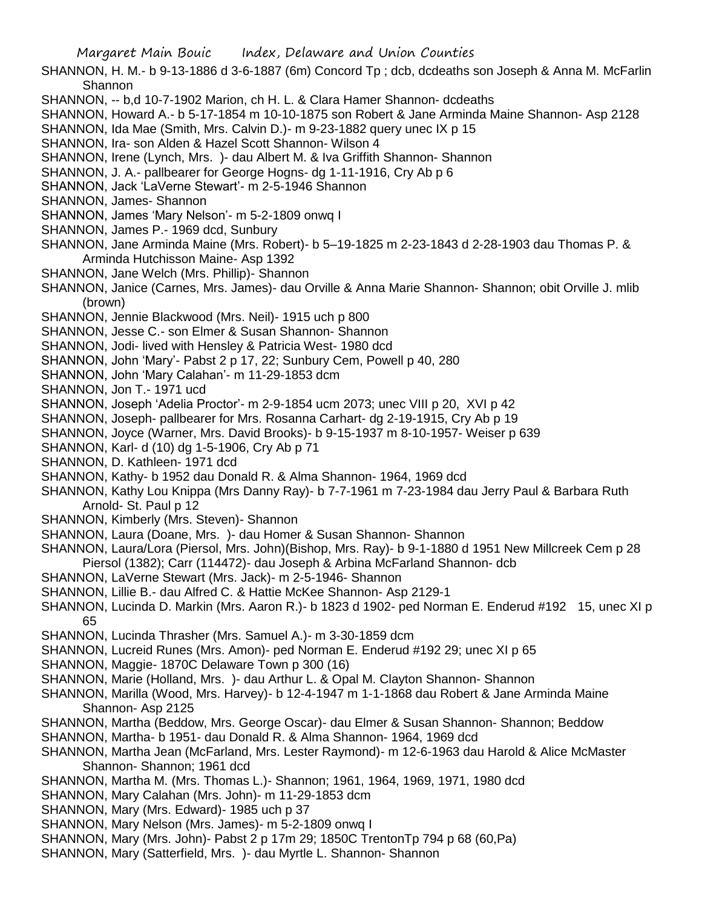SHANNON, H. M.- b 9-13-1886 d 3-6-1887 (6m) Concord Tp ; dcb, dcdeaths son Joseph & Anna M. McFarlin Shannon

- SHANNON, -- b,d 10-7-1902 Marion, ch H. L. & Clara Hamer Shannon- dcdeaths
- SHANNON, Howard A.- b 5-17-1854 m 10-10-1875 son Robert & Jane Arminda Maine Shannon- Asp 2128
- SHANNON, Ida Mae (Smith, Mrs. Calvin D.)- m 9-23-1882 query unec IX p 15
- SHANNON, Ira- son Alden & Hazel Scott Shannon- Wilson 4
- SHANNON, Irene (Lynch, Mrs. )- dau Albert M. & Iva Griffith Shannon- Shannon
- SHANNON, J. A.- pallbearer for George Hogns- dg 1-11-1916, Cry Ab p 6
- SHANNON, Jack 'LaVerne Stewart'- m 2-5-1946 Shannon
- SHANNON, James- Shannon
- SHANNON, James 'Mary Nelson'- m 5-2-1809 onwq I
- SHANNON, James P.- 1969 dcd, Sunbury
- SHANNON, Jane Arminda Maine (Mrs. Robert)- b 5–19-1825 m 2-23-1843 d 2-28-1903 dau Thomas P. & Arminda Hutchisson Maine- Asp 1392
- SHANNON, Jane Welch (Mrs. Phillip)- Shannon
- SHANNON, Janice (Carnes, Mrs. James)- dau Orville & Anna Marie Shannon- Shannon; obit Orville J. mlib (brown)
- SHANNON, Jennie Blackwood (Mrs. Neil)- 1915 uch p 800
- SHANNON, Jesse C.- son Elmer & Susan Shannon- Shannon
- SHANNON, Jodi- lived with Hensley & Patricia West- 1980 dcd
- SHANNON, John 'Mary'- Pabst 2 p 17, 22; Sunbury Cem, Powell p 40, 280
- SHANNON, John 'Mary Calahan'- m 11-29-1853 dcm
- SHANNON, Jon T.- 1971 ucd
- SHANNON, Joseph 'Adelia Proctor'- m 2-9-1854 ucm 2073; unec VIII p 20, XVI p 42
- SHANNON, Joseph- pallbearer for Mrs. Rosanna Carhart- dg 2-19-1915, Cry Ab p 19
- SHANNON, Joyce (Warner, Mrs. David Brooks)- b 9-15-1937 m 8-10-1957- Weiser p 639
- SHANNON, Karl- d (10) dg 1-5-1906, Cry Ab p 71
- SHANNON, D. Kathleen- 1971 dcd
- SHANNON, Kathy- b 1952 dau Donald R. & Alma Shannon- 1964, 1969 dcd
- SHANNON, Kathy Lou Knippa (Mrs Danny Ray)- b 7-7-1961 m 7-23-1984 dau Jerry Paul & Barbara Ruth Arnold- St. Paul p 12
- SHANNON, Kimberly (Mrs. Steven)- Shannon
- SHANNON, Laura (Doane, Mrs. )- dau Homer & Susan Shannon- Shannon
- SHANNON, Laura/Lora (Piersol, Mrs. John)(Bishop, Mrs. Ray)- b 9-1-1880 d 1951 New Millcreek Cem p 28 Piersol (1382); Carr (114472)- dau Joseph & Arbina McFarland Shannon- dcb
- SHANNON, LaVerne Stewart (Mrs. Jack)- m 2-5-1946- Shannon
- SHANNON, Lillie B.- dau Alfred C. & Hattie McKee Shannon- Asp 2129-1
- SHANNON, Lucinda D. Markin (Mrs. Aaron R.)- b 1823 d 1902- ped Norman E. Enderud #192 15, unec XI p 65
- SHANNON, Lucinda Thrasher (Mrs. Samuel A.)- m 3-30-1859 dcm
- SHANNON, Lucreid Runes (Mrs. Amon)- ped Norman E. Enderud #192 29; unec XI p 65
- SHANNON, Maggie- 1870C Delaware Town p 300 (16)
- SHANNON, Marie (Holland, Mrs. )- dau Arthur L. & Opal M. Clayton Shannon- Shannon
- SHANNON, Marilla (Wood, Mrs. Harvey)- b 12-4-1947 m 1-1-1868 dau Robert & Jane Arminda Maine Shannon- Asp 2125
- SHANNON, Martha (Beddow, Mrs. George Oscar)- dau Elmer & Susan Shannon- Shannon; Beddow
- SHANNON, Martha- b 1951- dau Donald R. & Alma Shannon- 1964, 1969 dcd
- SHANNON, Martha Jean (McFarland, Mrs. Lester Raymond)- m 12-6-1963 dau Harold & Alice McMaster Shannon- Shannon; 1961 dcd
- SHANNON, Martha M. (Mrs. Thomas L.)- Shannon; 1961, 1964, 1969, 1971, 1980 dcd
- SHANNON, Mary Calahan (Mrs. John)- m 11-29-1853 dcm
- SHANNON, Mary (Mrs. Edward)- 1985 uch p 37
- SHANNON, Mary Nelson (Mrs. James)- m 5-2-1809 onwq I
- SHANNON, Mary (Mrs. John)- Pabst 2 p 17m 29; 1850C TrentonTp 794 p 68 (60,Pa)
- SHANNON, Mary (Satterfield, Mrs. )- dau Myrtle L. Shannon- Shannon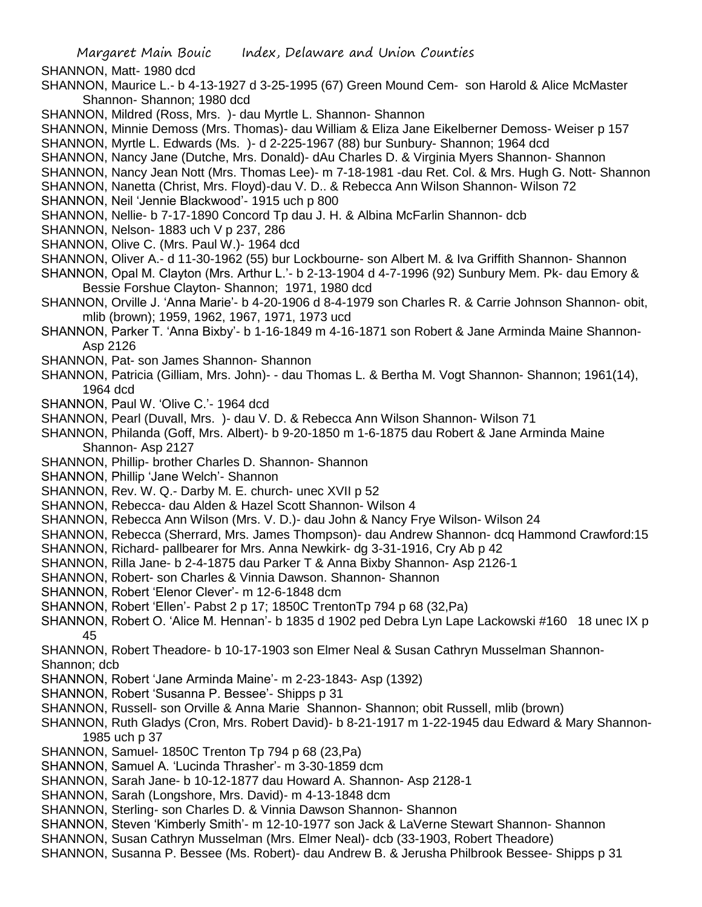SHANNON, Matt- 1980 dcd

- SHANNON, Maurice L.- b 4-13-1927 d 3-25-1995 (67) Green Mound Cem- son Harold & Alice McMaster Shannon- Shannon; 1980 dcd
- SHANNON, Mildred (Ross, Mrs. )- dau Myrtle L. Shannon- Shannon
- SHANNON, Minnie Demoss (Mrs. Thomas)- dau William & Eliza Jane Eikelberner Demoss- Weiser p 157
- SHANNON, Myrtle L. Edwards (Ms. )- d 2-225-1967 (88) bur Sunbury- Shannon; 1964 dcd
- SHANNON, Nancy Jane (Dutche, Mrs. Donald)- dAu Charles D. & Virginia Myers Shannon- Shannon
- SHANNON, Nancy Jean Nott (Mrs. Thomas Lee)- m 7-18-1981 -dau Ret. Col. & Mrs. Hugh G. Nott- Shannon
- SHANNON, Nanetta (Christ, Mrs. Floyd)-dau V. D.. & Rebecca Ann Wilson Shannon- Wilson 72
- SHANNON, Neil 'Jennie Blackwood'- 1915 uch p 800
- SHANNON, Nellie- b 7-17-1890 Concord Tp dau J. H. & Albina McFarlin Shannon- dcb
- SHANNON, Nelson- 1883 uch V p 237, 286
- SHANNON, Olive C. (Mrs. Paul W.)- 1964 dcd
- SHANNON, Oliver A.- d 11-30-1962 (55) bur Lockbourne- son Albert M. & Iva Griffith Shannon- Shannon
- SHANNON, Opal M. Clayton (Mrs. Arthur L.'- b 2-13-1904 d 4-7-1996 (92) Sunbury Mem. Pk- dau Emory & Bessie Forshue Clayton- Shannon; 1971, 1980 dcd
- SHANNON, Orville J. 'Anna Marie'- b 4-20-1906 d 8-4-1979 son Charles R. & Carrie Johnson Shannon- obit, mlib (brown); 1959, 1962, 1967, 1971, 1973 ucd
- SHANNON, Parker T. 'Anna Bixby'- b 1-16-1849 m 4-16-1871 son Robert & Jane Arminda Maine Shannon-Asp 2126
- SHANNON, Pat- son James Shannon- Shannon
- SHANNON, Patricia (Gilliam, Mrs. John)- dau Thomas L. & Bertha M. Vogt Shannon- Shannon; 1961(14), 1964 dcd
- SHANNON, Paul W. 'Olive C.'- 1964 dcd
- SHANNON, Pearl (Duvall, Mrs. )- dau V. D. & Rebecca Ann Wilson Shannon- Wilson 71
- SHANNON, Philanda (Goff, Mrs. Albert)- b 9-20-1850 m 1-6-1875 dau Robert & Jane Arminda Maine Shannon- Asp 2127
- SHANNON, Phillip- brother Charles D. Shannon- Shannon
- SHANNON, Phillip 'Jane Welch'- Shannon
- SHANNON, Rev. W. Q.- Darby M. E. church- unec XVII p 52
- SHANNON, Rebecca- dau Alden & Hazel Scott Shannon- Wilson 4
- SHANNON, Rebecca Ann Wilson (Mrs. V. D.)- dau John & Nancy Frye Wilson- Wilson 24
- SHANNON, Rebecca (Sherrard, Mrs. James Thompson)- dau Andrew Shannon- dcq Hammond Crawford:15
- SHANNON, Richard- pallbearer for Mrs. Anna Newkirk- dg 3-31-1916, Cry Ab p 42
- SHANNON, Rilla Jane- b 2-4-1875 dau Parker T & Anna Bixby Shannon- Asp 2126-1
- SHANNON, Robert- son Charles & Vinnia Dawson. Shannon- Shannon
- SHANNON, Robert 'Elenor Clever'- m 12-6-1848 dcm
- SHANNON, Robert 'Ellen'- Pabst 2 p 17; 1850C TrentonTp 794 p 68 (32,Pa)
- SHANNON, Robert O. 'Alice M. Hennan'- b 1835 d 1902 ped Debra Lyn Lape Lackowski #160 18 unec IX p 45
- SHANNON, Robert Theadore- b 10-17-1903 son Elmer Neal & Susan Cathryn Musselman Shannon-Shannon; dcb
- SHANNON, Robert 'Jane Arminda Maine'- m 2-23-1843- Asp (1392)
- SHANNON, Robert 'Susanna P. Bessee'- Shipps p 31
- SHANNON, Russell- son Orville & Anna Marie Shannon- Shannon; obit Russell, mlib (brown)
- SHANNON, Ruth Gladys (Cron, Mrs. Robert David)- b 8-21-1917 m 1-22-1945 dau Edward & Mary Shannon-1985 uch p 37
- SHANNON, Samuel- 1850C Trenton Tp 794 p 68 (23,Pa)
- SHANNON, Samuel A. 'Lucinda Thrasher'- m 3-30-1859 dcm
- SHANNON, Sarah Jane- b 10-12-1877 dau Howard A. Shannon- Asp 2128-1
- SHANNON, Sarah (Longshore, Mrs. David)- m 4-13-1848 dcm
- SHANNON, Sterling- son Charles D. & Vinnia Dawson Shannon- Shannon
- SHANNON, Steven 'Kimberly Smith'- m 12-10-1977 son Jack & LaVerne Stewart Shannon- Shannon
- SHANNON, Susan Cathryn Musselman (Mrs. Elmer Neal)- dcb (33-1903, Robert Theadore)
- SHANNON, Susanna P. Bessee (Ms. Robert)- dau Andrew B. & Jerusha Philbrook Bessee- Shipps p 31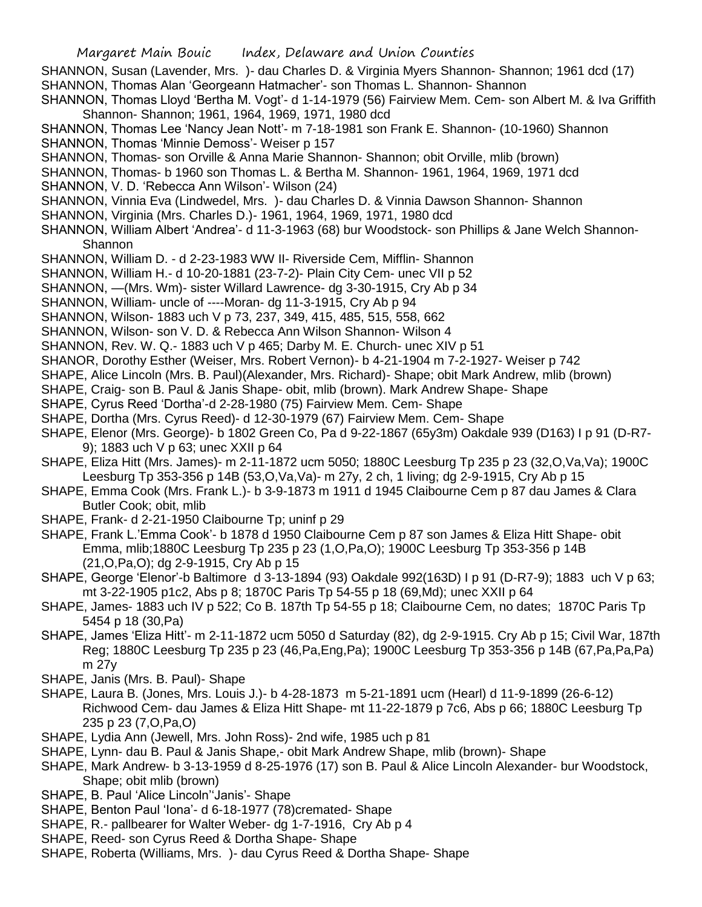SHANNON, Susan (Lavender, Mrs. )- dau Charles D. & Virginia Myers Shannon- Shannon; 1961 dcd (17) SHANNON, Thomas Alan 'Georgeann Hatmacher'- son Thomas L. Shannon- Shannon SHANNON, Thomas Lloyd 'Bertha M. Vogt'- d 1-14-1979 (56) Fairview Mem. Cem- son Albert M. & Iva Griffith

- Shannon- Shannon; 1961, 1964, 1969, 1971, 1980 dcd
- SHANNON, Thomas Lee 'Nancy Jean Nott'- m 7-18-1981 son Frank E. Shannon- (10-1960) Shannon
- SHANNON, Thomas 'Minnie Demoss'- Weiser p 157
- SHANNON, Thomas- son Orville & Anna Marie Shannon- Shannon; obit Orville, mlib (brown)
- SHANNON, Thomas- b 1960 son Thomas L. & Bertha M. Shannon- 1961, 1964, 1969, 1971 dcd
- SHANNON, V. D. 'Rebecca Ann Wilson'- Wilson (24)
- SHANNON, Vinnia Eva (Lindwedel, Mrs. )- dau Charles D. & Vinnia Dawson Shannon- Shannon
- SHANNON, Virginia (Mrs. Charles D.)- 1961, 1964, 1969, 1971, 1980 dcd
- SHANNON, William Albert 'Andrea'- d 11-3-1963 (68) bur Woodstock- son Phillips & Jane Welch Shannon-Shannon
- SHANNON, William D. d 2-23-1983 WW II- Riverside Cem, Mifflin- Shannon
- SHANNON, William H.- d 10-20-1881 (23-7-2)- Plain City Cem- unec VII p 52
- SHANNON, —(Mrs. Wm)- sister Willard Lawrence- dg 3-30-1915, Cry Ab p 34
- SHANNON, William- uncle of ----Moran- dg 11-3-1915, Cry Ab p 94
- SHANNON, Wilson- 1883 uch V p 73, 237, 349, 415, 485, 515, 558, 662
- SHANNON, Wilson- son V. D. & Rebecca Ann Wilson Shannon- Wilson 4
- SHANNON, Rev. W. Q.- 1883 uch V p 465; Darby M. E. Church- unec XIV p 51
- SHANOR, Dorothy Esther (Weiser, Mrs. Robert Vernon)- b 4-21-1904 m 7-2-1927- Weiser p 742
- SHAPE, Alice Lincoln (Mrs. B. Paul)(Alexander, Mrs. Richard)- Shape; obit Mark Andrew, mlib (brown)
- SHAPE, Craig- son B. Paul & Janis Shape- obit, mlib (brown). Mark Andrew Shape- Shape
- SHAPE, Cyrus Reed 'Dortha'-d 2-28-1980 (75) Fairview Mem. Cem- Shape
- SHAPE, Dortha (Mrs. Cyrus Reed)- d 12-30-1979 (67) Fairview Mem. Cem- Shape
- SHAPE, Elenor (Mrs. George)- b 1802 Green Co, Pa d 9-22-1867 (65y3m) Oakdale 939 (D163) I p 91 (D-R7- 9); 1883 uch V p 63; unec XXII p 64
- SHAPE, Eliza Hitt (Mrs. James)- m 2-11-1872 ucm 5050; 1880C Leesburg Tp 235 p 23 (32,O,Va,Va); 1900C Leesburg Tp 353-356 p 14B (53,O,Va,Va)- m 27y, 2 ch, 1 living; dg 2-9-1915, Cry Ab p 15
- SHAPE, Emma Cook (Mrs. Frank L.)- b 3-9-1873 m 1911 d 1945 Claibourne Cem p 87 dau James & Clara Butler Cook; obit, mlib
- SHAPE, Frank- d 2-21-1950 Claibourne Tp; uninf p 29
- SHAPE, Frank L.'Emma Cook'- b 1878 d 1950 Claibourne Cem p 87 son James & Eliza Hitt Shape- obit Emma, mlib;1880C Leesburg Tp 235 p 23 (1,O,Pa,O); 1900C Leesburg Tp 353-356 p 14B (21,O,Pa,O); dg 2-9-1915, Cry Ab p 15
- SHAPE, George 'Elenor'-b Baltimore d 3-13-1894 (93) Oakdale 992(163D) I p 91 (D-R7-9); 1883 uch V p 63; mt 3-22-1905 p1c2, Abs p 8; 1870C Paris Tp 54-55 p 18 (69,Md); unec XXII p 64
- SHAPE, James- 1883 uch IV p 522; Co B. 187th Tp 54-55 p 18; Claibourne Cem, no dates; 1870C Paris Tp 5454 p 18 (30,Pa)
- SHAPE, James 'Eliza Hitt'- m 2-11-1872 ucm 5050 d Saturday (82), dg 2-9-1915. Cry Ab p 15; Civil War, 187th Reg; 1880C Leesburg Tp 235 p 23 (46,Pa,Eng,Pa); 1900C Leesburg Tp 353-356 p 14B (67,Pa,Pa,Pa) m 27y
- SHAPE, Janis (Mrs. B. Paul)- Shape
- SHAPE, Laura B. (Jones, Mrs. Louis J.)- b 4-28-1873 m 5-21-1891 ucm (Hearl) d 11-9-1899 (26-6-12) Richwood Cem- dau James & Eliza Hitt Shape- mt 11-22-1879 p 7c6, Abs p 66; 1880C Leesburg Tp 235 p 23 (7,O,Pa,O)
- SHAPE, Lydia Ann (Jewell, Mrs. John Ross)- 2nd wife, 1985 uch p 81
- SHAPE, Lynn- dau B. Paul & Janis Shape,- obit Mark Andrew Shape, mlib (brown)- Shape
- SHAPE, Mark Andrew- b 3-13-1959 d 8-25-1976 (17) son B. Paul & Alice Lincoln Alexander- bur Woodstock, Shape; obit mlib (brown)
- SHAPE, B. Paul 'Alice Lincoln''Janis'- Shape
- SHAPE, Benton Paul 'Iona'- d 6-18-1977 (78)cremated- Shape
- SHAPE, R.- pallbearer for Walter Weber- dg 1-7-1916, Cry Ab p 4
- SHAPE, Reed- son Cyrus Reed & Dortha Shape- Shape
- SHAPE, Roberta (Williams, Mrs. )- dau Cyrus Reed & Dortha Shape- Shape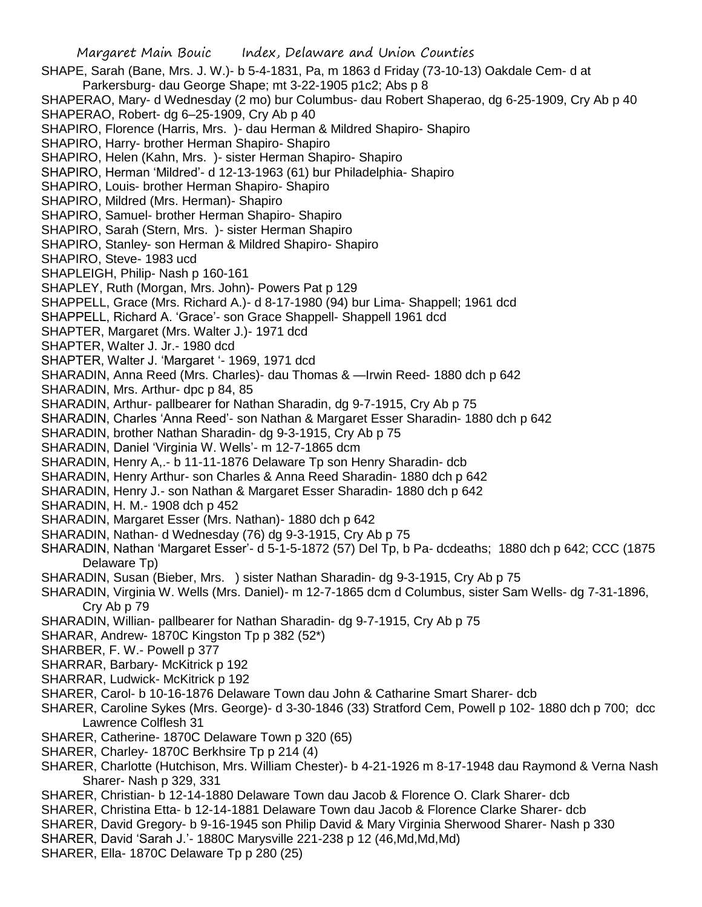Margaret Main Bouic Index, Delaware and Union Counties SHAPE, Sarah (Bane, Mrs. J. W.)- b 5-4-1831, Pa, m 1863 d Friday (73-10-13) Oakdale Cem- d at Parkersburg- dau George Shape; mt 3-22-1905 p1c2; Abs p 8 SHAPERAO, Mary- d Wednesday (2 mo) bur Columbus- dau Robert Shaperao, dg 6-25-1909, Cry Ab p 40 SHAPERAO, Robert- dg 6–25-1909, Cry Ab p 40 SHAPIRO, Florence (Harris, Mrs. )- dau Herman & Mildred Shapiro- Shapiro SHAPIRO, Harry- brother Herman Shapiro- Shapiro SHAPIRO, Helen (Kahn, Mrs. )- sister Herman Shapiro- Shapiro SHAPIRO, Herman 'Mildred'- d 12-13-1963 (61) bur Philadelphia- Shapiro SHAPIRO, Louis- brother Herman Shapiro- Shapiro SHAPIRO, Mildred (Mrs. Herman)- Shapiro SHAPIRO, Samuel- brother Herman Shapiro- Shapiro SHAPIRO, Sarah (Stern, Mrs. )- sister Herman Shapiro SHAPIRO, Stanley- son Herman & Mildred Shapiro- Shapiro SHAPIRO, Steve- 1983 ucd SHAPLEIGH, Philip- Nash p 160-161 SHAPLEY, Ruth (Morgan, Mrs. John)- Powers Pat p 129 SHAPPELL, Grace (Mrs. Richard A.)- d 8-17-1980 (94) bur Lima- Shappell; 1961 dcd SHAPPELL, Richard A. 'Grace'- son Grace Shappell- Shappell 1961 dcd SHAPTER, Margaret (Mrs. Walter J.)- 1971 dcd SHAPTER, Walter J. Jr.- 1980 dcd SHAPTER, Walter J. 'Margaret '- 1969, 1971 dcd SHARADIN, Anna Reed (Mrs. Charles)- dau Thomas & —Irwin Reed- 1880 dch p 642 SHARADIN, Mrs. Arthur- dpc p 84, 85 SHARADIN, Arthur- pallbearer for Nathan Sharadin, dg 9-7-1915, Cry Ab p 75 SHARADIN, Charles 'Anna Reed'- son Nathan & Margaret Esser Sharadin- 1880 dch p 642 SHARADIN, brother Nathan Sharadin- dg 9-3-1915, Cry Ab p 75 SHARADIN, Daniel 'Virginia W. Wells'- m 12-7-1865 dcm SHARADIN, Henry A,.- b 11-11-1876 Delaware Tp son Henry Sharadin- dcb SHARADIN, Henry Arthur- son Charles & Anna Reed Sharadin- 1880 dch p 642 SHARADIN, Henry J.- son Nathan & Margaret Esser Sharadin- 1880 dch p 642 SHARADIN, H. M.- 1908 dch p 452 SHARADIN, Margaret Esser (Mrs. Nathan)- 1880 dch p 642 SHARADIN, Nathan- d Wednesday (76) dg 9-3-1915, Cry Ab p 75 SHARADIN, Nathan 'Margaret Esser'- d 5-1-5-1872 (57) Del Tp, b Pa- dcdeaths; 1880 dch p 642; CCC (1875 Delaware Tp) SHARADIN, Susan (Bieber, Mrs. ) sister Nathan Sharadin- dg 9-3-1915, Cry Ab p 75 SHARADIN, Virginia W. Wells (Mrs. Daniel)- m 12-7-1865 dcm d Columbus, sister Sam Wells- dg 7-31-1896, Cry Ab p 79 SHARADIN, Willian- pallbearer for Nathan Sharadin- dg 9-7-1915, Cry Ab p 75 SHARAR, Andrew- 1870C Kingston Tp p 382 (52\*) SHARBER, F. W.- Powell p 377 SHARRAR, Barbary- McKitrick p 192 SHARRAR, Ludwick- McKitrick p 192 SHARER, Carol- b 10-16-1876 Delaware Town dau John & Catharine Smart Sharer- dcb SHARER, Caroline Sykes (Mrs. George)- d 3-30-1846 (33) Stratford Cem, Powell p 102- 1880 dch p 700; dcc Lawrence Colflesh 31 SHARER, Catherine- 1870C Delaware Town p 320 (65) SHARER, Charley- 1870C Berkhsire Tp p 214 (4) SHARER, Charlotte (Hutchison, Mrs. William Chester)- b 4-21-1926 m 8-17-1948 dau Raymond & Verna Nash Sharer- Nash p 329, 331 SHARER, Christian- b 12-14-1880 Delaware Town dau Jacob & Florence O. Clark Sharer- dcb SHARER, Christina Etta- b 12-14-1881 Delaware Town dau Jacob & Florence Clarke Sharer- dcb SHARER, David Gregory- b 9-16-1945 son Philip David & Mary Virginia Sherwood Sharer- Nash p 330

- SHARER, David 'Sarah J.'- 1880C Marysville 221-238 p 12 (46,Md,Md,Md)
- SHARER, Ella- 1870C Delaware Tp p 280 (25)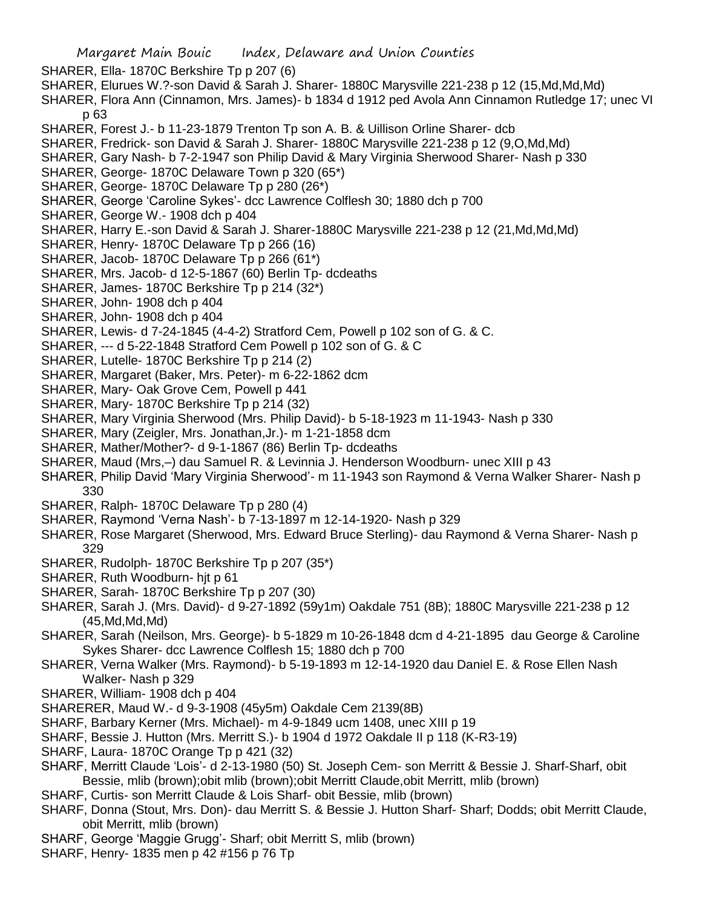SHARER, Ella- 1870C Berkshire Tp p 207 (6)

- SHARER, Elurues W.?-son David & Sarah J. Sharer- 1880C Marysville 221-238 p 12 (15,Md,Md,Md)
- SHARER, Flora Ann (Cinnamon, Mrs. James)- b 1834 d 1912 ped Avola Ann Cinnamon Rutledge 17; unec VI p 63
- SHARER, Forest J.- b 11-23-1879 Trenton Tp son A. B. & Uillison Orline Sharer- dcb
- SHARER, Fredrick- son David & Sarah J. Sharer- 1880C Marysville 221-238 p 12 (9,O,Md,Md)
- SHARER, Gary Nash- b 7-2-1947 son Philip David & Mary Virginia Sherwood Sharer- Nash p 330
- SHARER, George- 1870C Delaware Town p 320 (65\*)
- SHARER, George- 1870C Delaware Tp p 280 (26\*)
- SHARER, George 'Caroline Sykes'- dcc Lawrence Colflesh 30; 1880 dch p 700
- SHARER, George W.- 1908 dch p 404
- SHARER, Harry E.-son David & Sarah J. Sharer-1880C Marysville 221-238 p 12 (21,Md,Md,Md)
- SHARER, Henry- 1870C Delaware Tp p 266 (16)
- SHARER, Jacob- 1870C Delaware Tp p 266 (61\*)
- SHARER, Mrs. Jacob- d 12-5-1867 (60) Berlin Tp- dcdeaths
- SHARER, James- 1870C Berkshire Tp p 214 (32\*)
- SHARER, John- 1908 dch p 404
- SHARER, John- 1908 dch p 404
- SHARER, Lewis- d 7-24-1845 (4-4-2) Stratford Cem, Powell p 102 son of G. & C.
- SHARER, --- d 5-22-1848 Stratford Cem Powell p 102 son of G. & C
- SHARER, Lutelle- 1870C Berkshire Tp p 214 (2)
- SHARER, Margaret (Baker, Mrs. Peter)- m 6-22-1862 dcm
- SHARER, Mary- Oak Grove Cem, Powell p 441
- SHARER, Mary- 1870C Berkshire Tp p 214 (32)
- SHARER, Mary Virginia Sherwood (Mrs. Philip David)- b 5-18-1923 m 11-1943- Nash p 330
- SHARER, Mary (Zeigler, Mrs. Jonathan,Jr.)- m 1-21-1858 dcm
- SHARER, Mather/Mother?- d 9-1-1867 (86) Berlin Tp- dcdeaths
- SHARER, Maud (Mrs,–) dau Samuel R. & Levinnia J. Henderson Woodburn- unec XIII p 43
- SHARER, Philip David 'Mary Virginia Sherwood'- m 11-1943 son Raymond & Verna Walker Sharer- Nash p 330
- SHARER, Ralph- 1870C Delaware Tp p 280 (4)
- SHARER, Raymond 'Verna Nash'- b 7-13-1897 m 12-14-1920- Nash p 329
- SHARER, Rose Margaret (Sherwood, Mrs. Edward Bruce Sterling)- dau Raymond & Verna Sharer- Nash p 329
- SHARER, Rudolph- 1870C Berkshire Tp p 207 (35\*)
- SHARER, Ruth Woodburn- hjt p 61
- SHARER, Sarah- 1870C Berkshire Tp p 207 (30)
- SHARER, Sarah J. (Mrs. David)- d 9-27-1892 (59y1m) Oakdale 751 (8B); 1880C Marysville 221-238 p 12 (45,Md,Md,Md)
- SHARER, Sarah (Neilson, Mrs. George)- b 5-1829 m 10-26-1848 dcm d 4-21-1895 dau George & Caroline Sykes Sharer- dcc Lawrence Colflesh 15; 1880 dch p 700
- SHARER, Verna Walker (Mrs. Raymond)- b 5-19-1893 m 12-14-1920 dau Daniel E. & Rose Ellen Nash Walker- Nash p 329
- SHARER, William- 1908 dch p 404
- SHARERER, Maud W.- d 9-3-1908 (45y5m) Oakdale Cem 2139(8B)
- SHARF, Barbary Kerner (Mrs. Michael)- m 4-9-1849 ucm 1408, unec XIII p 19
- SHARF, Bessie J. Hutton (Mrs. Merritt S.)- b 1904 d 1972 Oakdale II p 118 (K-R3-19)
- SHARF, Laura- 1870C Orange Tp p 421 (32)
- SHARF, Merritt Claude 'Lois'- d 2-13-1980 (50) St. Joseph Cem- son Merritt & Bessie J. Sharf-Sharf, obit Bessie, mlib (brown);obit mlib (brown);obit Merritt Claude,obit Merritt, mlib (brown)
- SHARF, Curtis- son Merritt Claude & Lois Sharf- obit Bessie, mlib (brown)
- SHARF, Donna (Stout, Mrs. Don)- dau Merritt S. & Bessie J. Hutton Sharf- Sharf; Dodds; obit Merritt Claude, obit Merritt, mlib (brown)
- SHARF, George 'Maggie Grugg'- Sharf; obit Merritt S, mlib (brown)
- SHARF, Henry- 1835 men p 42 #156 p 76 Tp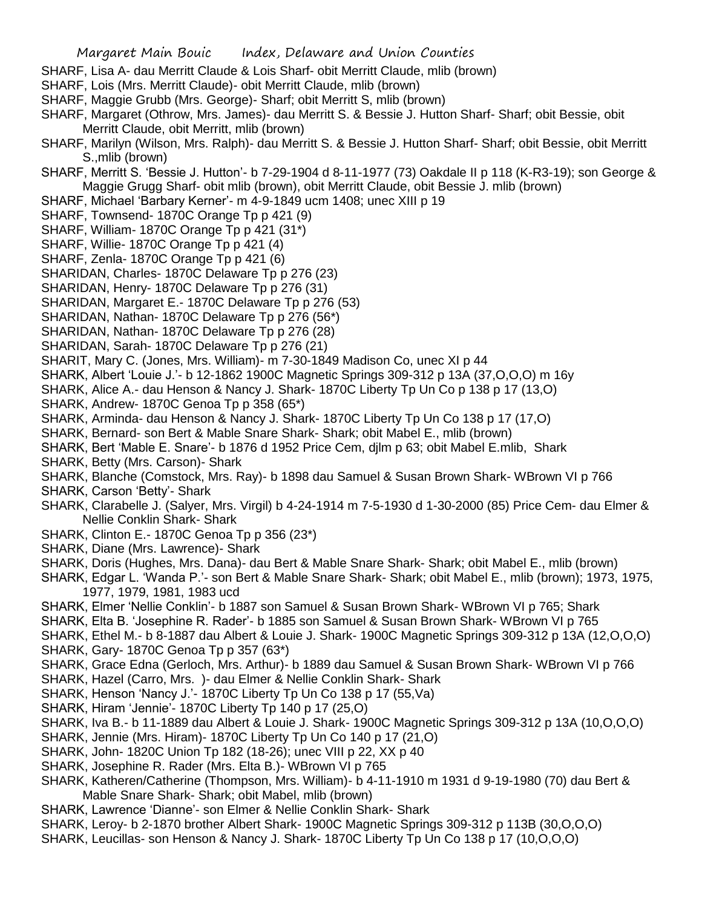- SHARF, Lisa A- dau Merritt Claude & Lois Sharf- obit Merritt Claude, mlib (brown)
- SHARF, Lois (Mrs. Merritt Claude)- obit Merritt Claude, mlib (brown)
- SHARF, Maggie Grubb (Mrs. George)- Sharf; obit Merritt S, mlib (brown)
- SHARF, Margaret (Othrow, Mrs. James)- dau Merritt S. & Bessie J. Hutton Sharf- Sharf; obit Bessie, obit Merritt Claude, obit Merritt, mlib (brown)
- SHARF, Marilyn (Wilson, Mrs. Ralph)- dau Merritt S. & Bessie J. Hutton Sharf- Sharf; obit Bessie, obit Merritt S.,mlib (brown)
- SHARF, Merritt S. 'Bessie J. Hutton'- b 7-29-1904 d 8-11-1977 (73) Oakdale II p 118 (K-R3-19); son George & Maggie Grugg Sharf- obit mlib (brown), obit Merritt Claude, obit Bessie J. mlib (brown)
- SHARF, Michael 'Barbary Kerner'- m 4-9-1849 ucm 1408; unec XIII p 19
- SHARF, Townsend- 1870C Orange Tp p 421 (9)
- SHARF, William- 1870C Orange Tp p 421 (31\*)
- SHARF, Willie- 1870C Orange Tp p 421 (4)
- SHARF, Zenla- 1870C Orange Tp p 421 (6)
- SHARIDAN, Charles- 1870C Delaware Tp p 276 (23)
- SHARIDAN, Henry- 1870C Delaware Tp p 276 (31)
- SHARIDAN, Margaret E.- 1870C Delaware Tp p 276 (53)
- SHARIDAN, Nathan- 1870C Delaware Tp p 276 (56\*)
- SHARIDAN, Nathan- 1870C Delaware Tp p 276 (28)
- SHARIDAN, Sarah- 1870C Delaware Tp p 276 (21)
- SHARIT, Mary C. (Jones, Mrs. William)- m 7-30-1849 Madison Co, unec XI p 44
- SHARK, Albert 'Louie J.'- b 12-1862 1900C Magnetic Springs 309-312 p 13A (37,O,O,O) m 16y
- SHARK, Alice A.- dau Henson & Nancy J. Shark- 1870C Liberty Tp Un Co p 138 p 17 (13,O)
- SHARK, Andrew- 1870C Genoa Tp p 358 (65\*)
- SHARK, Arminda- dau Henson & Nancy J. Shark- 1870C Liberty Tp Un Co 138 p 17 (17,O)
- SHARK, Bernard- son Bert & Mable Snare Shark- Shark; obit Mabel E., mlib (brown)
- SHARK, Bert 'Mable E. Snare'- b 1876 d 1952 Price Cem, djlm p 63; obit Mabel E.mlib, Shark
- SHARK, Betty (Mrs. Carson)- Shark
- SHARK, Blanche (Comstock, Mrs. Ray)- b 1898 dau Samuel & Susan Brown Shark- WBrown VI p 766
- SHARK, Carson 'Betty'- Shark
- SHARK, Clarabelle J. (Salyer, Mrs. Virgil) b 4-24-1914 m 7-5-1930 d 1-30-2000 (85) Price Cem- dau Elmer & Nellie Conklin Shark- Shark
- SHARK, Clinton E.- 1870C Genoa Tp p 356 (23\*)
- SHARK, Diane (Mrs. Lawrence)- Shark
- SHARK, Doris (Hughes, Mrs. Dana)- dau Bert & Mable Snare Shark- Shark; obit Mabel E., mlib (brown)
- SHARK, Edgar L. 'Wanda P.'- son Bert & Mable Snare Shark- Shark; obit Mabel E., mlib (brown); 1973, 1975, 1977, 1979, 1981, 1983 ucd
- SHARK, Elmer 'Nellie Conklin'- b 1887 son Samuel & Susan Brown Shark- WBrown VI p 765; Shark
- SHARK, Elta B. 'Josephine R. Rader'- b 1885 son Samuel & Susan Brown Shark- WBrown VI p 765
- SHARK, Ethel M.- b 8-1887 dau Albert & Louie J. Shark- 1900C Magnetic Springs 309-312 p 13A (12,O,O,O) SHARK, Gary- 1870C Genoa Tp p 357 (63\*)
- SHARK, Grace Edna (Gerloch, Mrs. Arthur)- b 1889 dau Samuel & Susan Brown Shark- WBrown VI p 766
- SHARK, Hazel (Carro, Mrs. )- dau Elmer & Nellie Conklin Shark- Shark
- SHARK, Henson 'Nancy J.'- 1870C Liberty Tp Un Co 138 p 17 (55,Va)
- SHARK, Hiram 'Jennie'- 1870C Liberty Tp 140 p 17 (25,O)
- SHARK, Iva B.- b 11-1889 dau Albert & Louie J. Shark- 1900C Magnetic Springs 309-312 p 13A (10,O,O,O)
- SHARK, Jennie (Mrs. Hiram)- 1870C Liberty Tp Un Co 140 p 17 (21,O)
- SHARK, John- 1820C Union Tp 182 (18-26); unec VIII p 22, XX p 40
- SHARK, Josephine R. Rader (Mrs. Elta B.)- WBrown VI p 765
- SHARK, Katheren/Catherine (Thompson, Mrs. William)- b 4-11-1910 m 1931 d 9-19-1980 (70) dau Bert & Mable Snare Shark- Shark; obit Mabel, mlib (brown)
- SHARK, Lawrence 'Dianne'- son Elmer & Nellie Conklin Shark- Shark
- SHARK, Leroy- b 2-1870 brother Albert Shark- 1900C Magnetic Springs 309-312 p 113B (30,O,O,O)
- SHARK, Leucillas- son Henson & Nancy J. Shark- 1870C Liberty Tp Un Co 138 p 17 (10,O,O,O)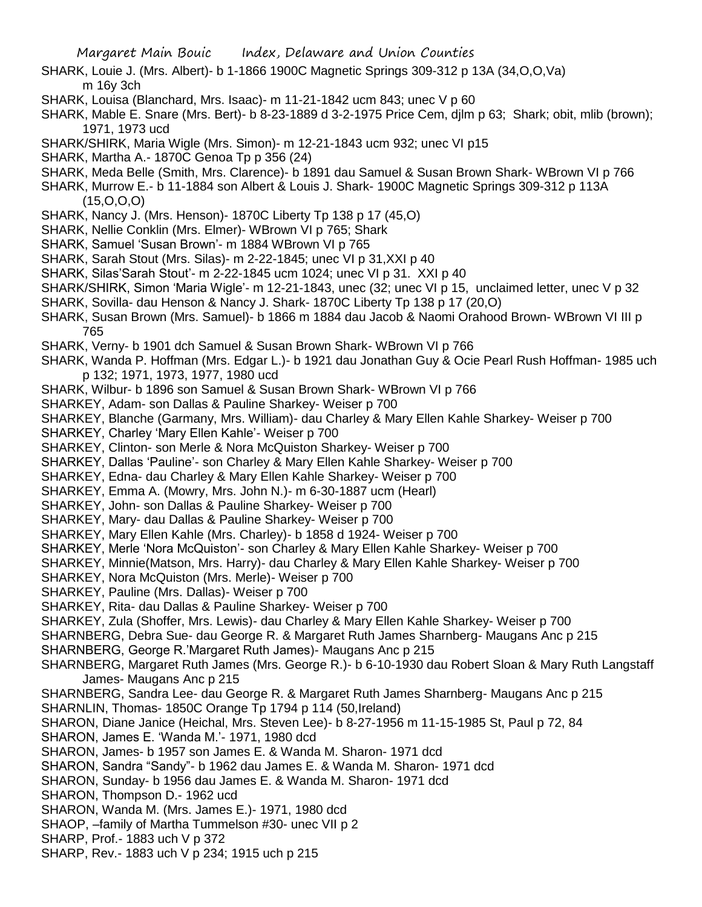- SHARK, Louie J. (Mrs. Albert)- b 1-1866 1900C Magnetic Springs 309-312 p 13A (34,O,O,Va) m 16y 3ch
- SHARK, Louisa (Blanchard, Mrs. Isaac)- m 11-21-1842 ucm 843; unec V p 60
- SHARK, Mable E. Snare (Mrs. Bert)- b 8-23-1889 d 3-2-1975 Price Cem, djlm p 63; Shark; obit, mlib (brown); 1971, 1973 ucd
- SHARK/SHIRK, Maria Wigle (Mrs. Simon)- m 12-21-1843 ucm 932; unec VI p15
- SHARK, Martha A.- 1870C Genoa Tp p 356 (24)
- SHARK, Meda Belle (Smith, Mrs. Clarence)- b 1891 dau Samuel & Susan Brown Shark- WBrown VI p 766
- SHARK, Murrow E.- b 11-1884 son Albert & Louis J. Shark- 1900C Magnetic Springs 309-312 p 113A (15,O,O,O)
- SHARK, Nancy J. (Mrs. Henson)- 1870C Liberty Tp 138 p 17 (45,O)
- SHARK, Nellie Conklin (Mrs. Elmer)- WBrown VI p 765; Shark
- SHARK, Samuel 'Susan Brown'- m 1884 WBrown VI p 765
- SHARK, Sarah Stout (Mrs. Silas)- m 2-22-1845; unec VI p 31,XXI p 40
- SHARK, Silas'Sarah Stout'- m 2-22-1845 ucm 1024; unec VI p 31. XXI p 40
- SHARK/SHIRK, Simon 'Maria Wigle'- m 12-21-1843, unec (32; unec VI p 15, unclaimed letter, unec V p 32
- SHARK, Sovilla- dau Henson & Nancy J. Shark- 1870C Liberty Tp 138 p 17 (20,O)
- SHARK, Susan Brown (Mrs. Samuel)- b 1866 m 1884 dau Jacob & Naomi Orahood Brown- WBrown VI III p 765
- SHARK, Verny- b 1901 dch Samuel & Susan Brown Shark- WBrown VI p 766
- SHARK, Wanda P. Hoffman (Mrs. Edgar L.)- b 1921 dau Jonathan Guy & Ocie Pearl Rush Hoffman- 1985 uch p 132; 1971, 1973, 1977, 1980 ucd
- SHARK, Wilbur- b 1896 son Samuel & Susan Brown Shark- WBrown VI p 766
- SHARKEY, Adam- son Dallas & Pauline Sharkey- Weiser p 700
- SHARKEY, Blanche (Garmany, Mrs. William)- dau Charley & Mary Ellen Kahle Sharkey- Weiser p 700
- SHARKEY, Charley 'Mary Ellen Kahle'- Weiser p 700
- SHARKEY, Clinton- son Merle & Nora McQuiston Sharkey- Weiser p 700
- SHARKEY, Dallas 'Pauline'- son Charley & Mary Ellen Kahle Sharkey- Weiser p 700
- SHARKEY, Edna- dau Charley & Mary Ellen Kahle Sharkey- Weiser p 700
- SHARKEY, Emma A. (Mowry, Mrs. John N.)- m 6-30-1887 ucm (Hearl)
- SHARKEY, John- son Dallas & Pauline Sharkey- Weiser p 700
- SHARKEY, Mary- dau Dallas & Pauline Sharkey- Weiser p 700
- SHARKEY, Mary Ellen Kahle (Mrs. Charley)- b 1858 d 1924- Weiser p 700
- SHARKEY, Merle 'Nora McQuiston'- son Charley & Mary Ellen Kahle Sharkey- Weiser p 700
- SHARKEY, Minnie(Matson, Mrs. Harry)- dau Charley & Mary Ellen Kahle Sharkey- Weiser p 700
- SHARKEY, Nora McQuiston (Mrs. Merle)- Weiser p 700
- SHARKEY, Pauline (Mrs. Dallas)- Weiser p 700
- SHARKEY, Rita- dau Dallas & Pauline Sharkey- Weiser p 700
- SHARKEY, Zula (Shoffer, Mrs. Lewis)- dau Charley & Mary Ellen Kahle Sharkey- Weiser p 700
- SHARNBERG, Debra Sue- dau George R. & Margaret Ruth James Sharnberg- Maugans Anc p 215
- SHARNBERG, George R.'Margaret Ruth James)- Maugans Anc p 215
- SHARNBERG, Margaret Ruth James (Mrs. George R.)- b 6-10-1930 dau Robert Sloan & Mary Ruth Langstaff James- Maugans Anc p 215
- SHARNBERG, Sandra Lee- dau George R. & Margaret Ruth James Sharnberg- Maugans Anc p 215 SHARNLIN, Thomas- 1850C Orange Tp 1794 p 114 (50,Ireland)
- SHARON, Diane Janice (Heichal, Mrs. Steven Lee)- b 8-27-1956 m 11-15-1985 St, Paul p 72, 84
- SHARON, James E. 'Wanda M.'- 1971, 1980 dcd
- SHARON, James- b 1957 son James E. & Wanda M. Sharon- 1971 dcd
- SHARON, Sandra "Sandy"- b 1962 dau James E. & Wanda M. Sharon- 1971 dcd
- SHARON, Sunday- b 1956 dau James E. & Wanda M. Sharon- 1971 dcd
- SHARON, Thompson D.- 1962 ucd
- SHARON, Wanda M. (Mrs. James E.)- 1971, 1980 dcd
- SHAOP, –family of Martha Tummelson #30- unec VII p 2
- SHARP, Prof.- 1883 uch V p 372
- SHARP, Rev.- 1883 uch V p 234; 1915 uch p 215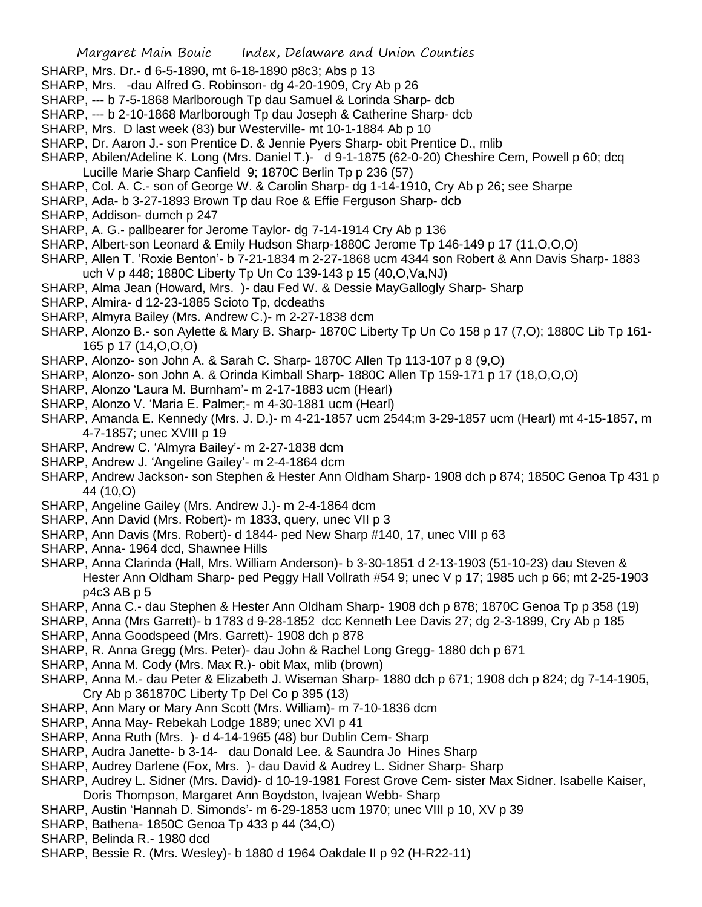- SHARP, Mrs. Dr.- d 6-5-1890, mt 6-18-1890 p8c3; Abs p 13
- SHARP, Mrs. -dau Alfred G. Robinson- dg 4-20-1909, Cry Ab p 26
- SHARP, --- b 7-5-1868 Marlborough Tp dau Samuel & Lorinda Sharp- dcb
- SHARP, --- b 2-10-1868 Marlborough Tp dau Joseph & Catherine Sharp- dcb
- SHARP, Mrs. D last week (83) bur Westerville- mt 10-1-1884 Ab p 10
- SHARP, Dr. Aaron J.- son Prentice D. & Jennie Pyers Sharp- obit Prentice D., mlib
- SHARP, Abilen/Adeline K. Long (Mrs. Daniel T.)- d 9-1-1875 (62-0-20) Cheshire Cem, Powell p 60; dcq Lucille Marie Sharp Canfield 9; 1870C Berlin Tp p 236 (57)
- SHARP, Col. A. C.- son of George W. & Carolin Sharp- dg 1-14-1910, Cry Ab p 26; see Sharpe
- SHARP, Ada- b 3-27-1893 Brown Tp dau Roe & Effie Ferguson Sharp- dcb
- SHARP, Addison- dumch p 247
- SHARP, A. G.- pallbearer for Jerome Taylor- dg 7-14-1914 Cry Ab p 136
- SHARP, Albert-son Leonard & Emily Hudson Sharp-1880C Jerome Tp 146-149 p 17 (11,O,O,O)
- SHARP, Allen T. 'Roxie Benton'- b 7-21-1834 m 2-27-1868 ucm 4344 son Robert & Ann Davis Sharp- 1883 uch V p 448; 1880C Liberty Tp Un Co 139-143 p 15 (40,O,Va,NJ)
- SHARP, Alma Jean (Howard, Mrs. )- dau Fed W. & Dessie MayGallogly Sharp- Sharp
- SHARP, Almira- d 12-23-1885 Scioto Tp, dcdeaths
- SHARP, Almyra Bailey (Mrs. Andrew C.)- m 2-27-1838 dcm
- SHARP, Alonzo B.- son Aylette & Mary B. Sharp- 1870C Liberty Tp Un Co 158 p 17 (7,O); 1880C Lib Tp 161- 165 p 17 (14,O,O,O)
- SHARP, Alonzo- son John A. & Sarah C. Sharp- 1870C Allen Tp 113-107 p 8 (9,O)
- SHARP, Alonzo- son John A. & Orinda Kimball Sharp- 1880C Allen Tp 159-171 p 17 (18,O,O,O)
- SHARP, Alonzo 'Laura M. Burnham'- m 2-17-1883 ucm (Hearl)
- SHARP, Alonzo V. 'Maria E. Palmer;- m 4-30-1881 ucm (Hearl)
- SHARP, Amanda E. Kennedy (Mrs. J. D.)- m 4-21-1857 ucm 2544;m 3-29-1857 ucm (Hearl) mt 4-15-1857, m 4-7-1857; unec XVIII p 19
- SHARP, Andrew C. 'Almyra Bailey'- m 2-27-1838 dcm
- SHARP, Andrew J. 'Angeline Gailey'- m 2-4-1864 dcm
- SHARP, Andrew Jackson- son Stephen & Hester Ann Oldham Sharp- 1908 dch p 874; 1850C Genoa Tp 431 p 44 (10,O)
- SHARP, Angeline Gailey (Mrs. Andrew J.)- m 2-4-1864 dcm
- SHARP, Ann David (Mrs. Robert)- m 1833, query, unec VII p 3
- SHARP, Ann Davis (Mrs. Robert)- d 1844- ped New Sharp #140, 17, unec VIII p 63
- SHARP, Anna- 1964 dcd, Shawnee Hills
- SHARP, Anna Clarinda (Hall, Mrs. William Anderson)- b 3-30-1851 d 2-13-1903 (51-10-23) dau Steven & Hester Ann Oldham Sharp- ped Peggy Hall Vollrath #54 9; unec V p 17; 1985 uch p 66; mt 2-25-1903 p4c3 AB p 5
- SHARP, Anna C.- dau Stephen & Hester Ann Oldham Sharp- 1908 dch p 878; 1870C Genoa Tp p 358 (19)
- SHARP, Anna (Mrs Garrett)- b 1783 d 9-28-1852 dcc Kenneth Lee Davis 27; dg 2-3-1899, Cry Ab p 185
- SHARP, Anna Goodspeed (Mrs. Garrett)- 1908 dch p 878
- SHARP, R. Anna Gregg (Mrs. Peter)- dau John & Rachel Long Gregg- 1880 dch p 671
- SHARP, Anna M. Cody (Mrs. Max R.)- obit Max, mlib (brown)
- SHARP, Anna M.- dau Peter & Elizabeth J. Wiseman Sharp- 1880 dch p 671; 1908 dch p 824; dg 7-14-1905, Cry Ab p 361870C Liberty Tp Del Co p 395 (13)
- SHARP, Ann Mary or Mary Ann Scott (Mrs. William)- m 7-10-1836 dcm
- SHARP, Anna May- Rebekah Lodge 1889; unec XVI p 41
- SHARP, Anna Ruth (Mrs. )- d 4-14-1965 (48) bur Dublin Cem- Sharp
- SHARP, Audra Janette- b 3-14- dau Donald Lee. & Saundra Jo Hines Sharp
- SHARP, Audrey Darlene (Fox, Mrs. )- dau David & Audrey L. Sidner Sharp- Sharp
- SHARP, Audrey L. Sidner (Mrs. David)- d 10-19-1981 Forest Grove Cem- sister Max Sidner. Isabelle Kaiser, Doris Thompson, Margaret Ann Boydston, Ivajean Webb- Sharp
- SHARP, Austin 'Hannah D. Simonds'- m 6-29-1853 ucm 1970; unec VIII p 10, XV p 39
- SHARP, Bathena- 1850C Genoa Tp 433 p 44 (34,O)
- SHARP, Belinda R.- 1980 dcd
- SHARP, Bessie R. (Mrs. Wesley)- b 1880 d 1964 Oakdale II p 92 (H-R22-11)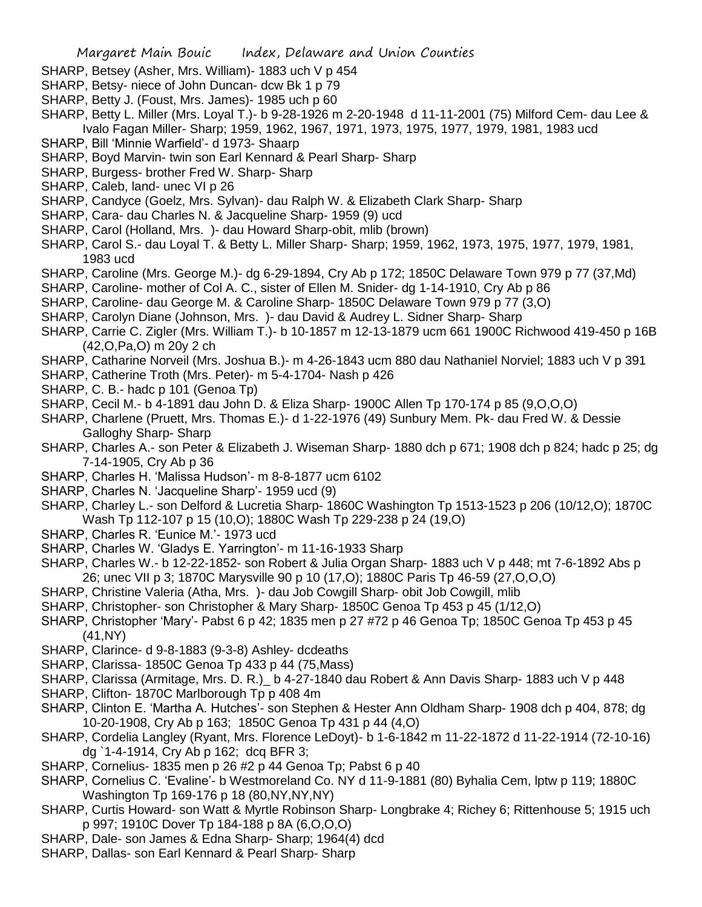- SHARP, Betsey (Asher, Mrs. William)- 1883 uch V p 454
- SHARP, Betsy- niece of John Duncan- dcw Bk 1 p 79
- SHARP, Betty J. (Foust, Mrs. James)- 1985 uch p 60
- SHARP, Betty L. Miller (Mrs. Loyal T.)- b 9-28-1926 m 2-20-1948 d 11-11-2001 (75) Milford Cem- dau Lee & Ivalo Fagan Miller- Sharp; 1959, 1962, 1967, 1971, 1973, 1975, 1977, 1979, 1981, 1983 ucd
- SHARP, Bill 'Minnie Warfield'- d 1973- Shaarp
- SHARP, Boyd Marvin- twin son Earl Kennard & Pearl Sharp- Sharp
- SHARP, Burgess- brother Fred W. Sharp- Sharp
- SHARP, Caleb, land- unec VI p 26
- SHARP, Candyce (Goelz, Mrs. Sylvan)- dau Ralph W. & Elizabeth Clark Sharp- Sharp
- SHARP, Cara- dau Charles N. & Jacqueline Sharp- 1959 (9) ucd
- SHARP, Carol (Holland, Mrs. )- dau Howard Sharp-obit, mlib (brown)
- SHARP, Carol S.- dau Loyal T. & Betty L. Miller Sharp- Sharp; 1959, 1962, 1973, 1975, 1977, 1979, 1981, 1983 ucd
- SHARP, Caroline (Mrs. George M.)- dg 6-29-1894, Cry Ab p 172; 1850C Delaware Town 979 p 77 (37,Md)
- SHARP, Caroline- mother of Col A. C., sister of Ellen M. Snider- dg 1-14-1910, Cry Ab p 86
- SHARP, Caroline- dau George M. & Caroline Sharp- 1850C Delaware Town 979 p 77 (3,O)
- SHARP, Carolyn Diane (Johnson, Mrs. )- dau David & Audrey L. Sidner Sharp- Sharp
- SHARP, Carrie C. Zigler (Mrs. William T.)- b 10-1857 m 12-13-1879 ucm 661 1900C Richwood 419-450 p 16B (42,O,Pa,O) m 20y 2 ch
- SHARP, Catharine Norveil (Mrs. Joshua B.)- m 4-26-1843 ucm 880 dau Nathaniel Norviel; 1883 uch V p 391
- SHARP, Catherine Troth (Mrs. Peter)- m 5-4-1704- Nash p 426
- SHARP, C. B.- hadc p 101 (Genoa Tp)
- SHARP, Cecil M.- b 4-1891 dau John D. & Eliza Sharp- 1900C Allen Tp 170-174 p 85 (9,O,O,O)
- SHARP, Charlene (Pruett, Mrs. Thomas E.)- d 1-22-1976 (49) Sunbury Mem. Pk- dau Fred W. & Dessie Galloghy Sharp- Sharp
- SHARP, Charles A.- son Peter & Elizabeth J. Wiseman Sharp- 1880 dch p 671; 1908 dch p 824; hadc p 25; dg 7-14-1905, Cry Ab p 36
- SHARP, Charles H. 'Malissa Hudson'- m 8-8-1877 ucm 6102
- SHARP, Charles N. 'Jacqueline Sharp'- 1959 ucd (9)
- SHARP, Charley L.- son Delford & Lucretia Sharp- 1860C Washington Tp 1513-1523 p 206 (10/12,O); 1870C Wash Tp 112-107 p 15 (10,O); 1880C Wash Tp 229-238 p 24 (19,O)
- SHARP, Charles R. 'Eunice M.'- 1973 ucd
- SHARP, Charles W. 'Gladys E. Yarrington'- m 11-16-1933 Sharp
- SHARP, Charles W.- b 12-22-1852- son Robert & Julia Organ Sharp- 1883 uch V p 448; mt 7-6-1892 Abs p 26; unec VII p 3; 1870C Marysville 90 p 10 (17,O); 1880C Paris Tp 46-59 (27,O,O,O)
- SHARP, Christine Valeria (Atha, Mrs. )- dau Job Cowgill Sharp- obit Job Cowgill, mlib
- SHARP, Christopher- son Christopher & Mary Sharp- 1850C Genoa Tp 453 p 45 (1/12,O)
- SHARP, Christopher 'Mary'- Pabst 6 p 42; 1835 men p 27 #72 p 46 Genoa Tp; 1850C Genoa Tp 453 p 45 (41,NY)
- SHARP, Clarince- d 9-8-1883 (9-3-8) Ashley- dcdeaths
- SHARP, Clarissa- 1850C Genoa Tp 433 p 44 (75,Mass)
- SHARP, Clarissa (Armitage, Mrs. D. R.) b 4-27-1840 dau Robert & Ann Davis Sharp- 1883 uch V p 448
- SHARP, Clifton- 1870C Marlborough Tp p 408 4m
- SHARP, Clinton E. 'Martha A. Hutches'- son Stephen & Hester Ann Oldham Sharp- 1908 dch p 404, 878; dg 10-20-1908, Cry Ab p 163; 1850C Genoa Tp 431 p 44 (4,O)
- SHARP, Cordelia Langley (Ryant, Mrs. Florence LeDoyt)- b 1-6-1842 m 11-22-1872 d 11-22-1914 (72-10-16) dg `1-4-1914, Cry Ab p 162; dcq BFR 3;
- SHARP, Cornelius- 1835 men p 26 #2 p 44 Genoa Tp; Pabst 6 p 40
- SHARP, Cornelius C. 'Evaline'- b Westmoreland Co. NY d 11-9-1881 (80) Byhalia Cem, lptw p 119; 1880C Washington Tp 169-176 p 18 (80,NY,NY,NY)
- SHARP, Curtis Howard- son Watt & Myrtle Robinson Sharp- Longbrake 4; Richey 6; Rittenhouse 5; 1915 uch p 997; 1910C Dover Tp 184-188 p 8A (6,O,O,O)
- SHARP, Dale- son James & Edna Sharp- Sharp; 1964(4) dcd
- SHARP, Dallas- son Earl Kennard & Pearl Sharp- Sharp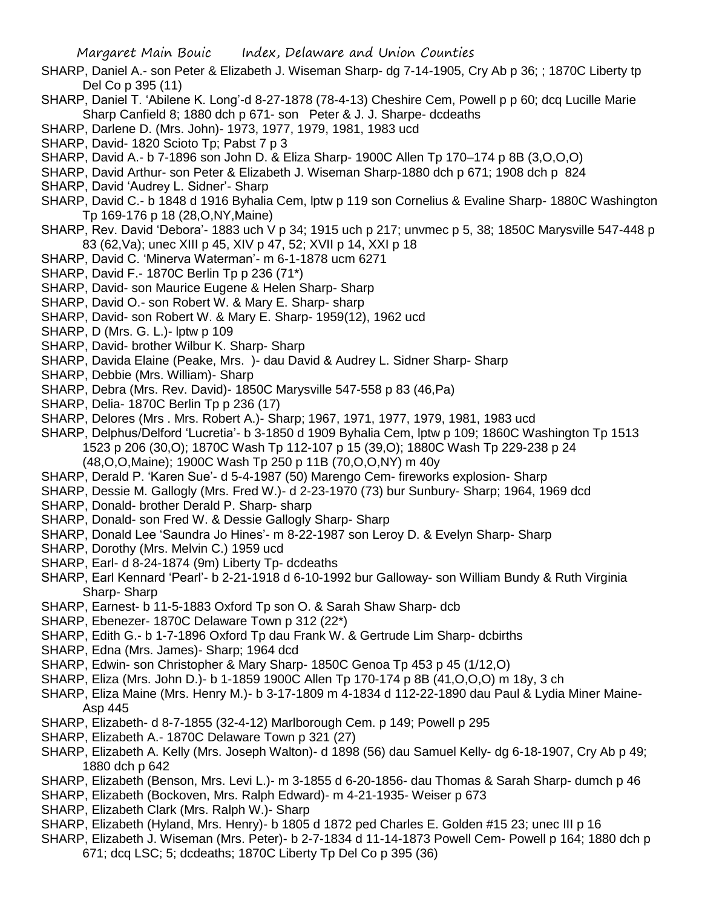- SHARP, Daniel A.- son Peter & Elizabeth J. Wiseman Sharp- dg 7-14-1905, Cry Ab p 36; ; 1870C Liberty tp Del Co p 395 (11)
- SHARP, Daniel T. 'Abilene K. Long'-d 8-27-1878 (78-4-13) Cheshire Cem, Powell p p 60; dcq Lucille Marie Sharp Canfield 8; 1880 dch p 671- son Peter & J. J. Sharpe- dcdeaths
- SHARP, Darlene D. (Mrs. John)- 1973, 1977, 1979, 1981, 1983 ucd
- SHARP, David- 1820 Scioto Tp; Pabst 7 p 3
- SHARP, David A.- b 7-1896 son John D. & Eliza Sharp- 1900C Allen Tp 170–174 p 8B (3,O,O,O)
- SHARP, David Arthur- son Peter & Elizabeth J. Wiseman Sharp-1880 dch p 671; 1908 dch p 824
- SHARP, David 'Audrey L. Sidner'- Sharp
- SHARP, David C.- b 1848 d 1916 Byhalia Cem, lptw p 119 son Cornelius & Evaline Sharp- 1880C Washington Tp 169-176 p 18 (28,O,NY,Maine)
- SHARP, Rev. David 'Debora'- 1883 uch V p 34; 1915 uch p 217; unvmec p 5, 38; 1850C Marysville 547-448 p 83 (62,Va); unec XIII p 45, XIV p 47, 52; XVII p 14, XXI p 18
- SHARP, David C. 'Minerva Waterman'- m 6-1-1878 ucm 6271
- SHARP, David F.- 1870C Berlin Tp p 236 (71\*)
- SHARP, David- son Maurice Eugene & Helen Sharp- Sharp
- SHARP, David O.- son Robert W. & Mary E. Sharp- sharp
- SHARP, David- son Robert W. & Mary E. Sharp- 1959(12), 1962 ucd
- SHARP, D (Mrs. G. L.)- lptw p 109
- SHARP, David- brother Wilbur K. Sharp- Sharp
- SHARP, Davida Elaine (Peake, Mrs. )- dau David & Audrey L. Sidner Sharp- Sharp
- SHARP, Debbie (Mrs. William)- Sharp
- SHARP, Debra (Mrs. Rev. David)- 1850C Marysville 547-558 p 83 (46,Pa)
- SHARP, Delia- 1870C Berlin Tp p 236 (17)
- SHARP, Delores (Mrs . Mrs. Robert A.)- Sharp; 1967, 1971, 1977, 1979, 1981, 1983 ucd
- SHARP, Delphus/Delford 'Lucretia'- b 3-1850 d 1909 Byhalia Cem, lptw p 109; 1860C Washington Tp 1513 1523 p 206 (30,O); 1870C Wash Tp 112-107 p 15 (39,O); 1880C Wash Tp 229-238 p 24
	- (48,O,O,Maine); 1900C Wash Tp 250 p 11B (70,O,O,NY) m 40y
- SHARP, Derald P. 'Karen Sue'- d 5-4-1987 (50) Marengo Cem- fireworks explosion- Sharp
- SHARP, Dessie M. Gallogly (Mrs. Fred W.)- d 2-23-1970 (73) bur Sunbury- Sharp; 1964, 1969 dcd
- SHARP, Donald- brother Derald P. Sharp- sharp
- SHARP, Donald- son Fred W. & Dessie Gallogly Sharp- Sharp
- SHARP, Donald Lee 'Saundra Jo Hines'- m 8-22-1987 son Leroy D. & Evelyn Sharp- Sharp
- SHARP, Dorothy (Mrs. Melvin C.) 1959 ucd
- SHARP, Earl- d 8-24-1874 (9m) Liberty Tp- dcdeaths
- SHARP, Earl Kennard 'Pearl'- b 2-21-1918 d 6-10-1992 bur Galloway- son William Bundy & Ruth Virginia Sharp- Sharp
- SHARP, Earnest- b 11-5-1883 Oxford Tp son O. & Sarah Shaw Sharp- dcb
- SHARP, Ebenezer- 1870C Delaware Town p 312 (22\*)
- SHARP, Edith G.- b 1-7-1896 Oxford Tp dau Frank W. & Gertrude Lim Sharp- dcbirths
- SHARP, Edna (Mrs. James)- Sharp; 1964 dcd
- SHARP, Edwin- son Christopher & Mary Sharp- 1850C Genoa Tp 453 p 45 (1/12,O)
- SHARP, Eliza (Mrs. John D.)- b 1-1859 1900C Allen Tp 170-174 p 8B (41,O,O,O) m 18y, 3 ch
- SHARP, Eliza Maine (Mrs. Henry M.)- b 3-17-1809 m 4-1834 d 112-22-1890 dau Paul & Lydia Miner Maine-Asp 445
- SHARP, Elizabeth- d 8-7-1855 (32-4-12) Marlborough Cem. p 149; Powell p 295
- SHARP, Elizabeth A.- 1870C Delaware Town p 321 (27)
- SHARP, Elizabeth A. Kelly (Mrs. Joseph Walton)- d 1898 (56) dau Samuel Kelly- dg 6-18-1907, Cry Ab p 49; 1880 dch p 642
- SHARP, Elizabeth (Benson, Mrs. Levi L.)- m 3-1855 d 6-20-1856- dau Thomas & Sarah Sharp- dumch p 46
- SHARP, Elizabeth (Bockoven, Mrs. Ralph Edward)- m 4-21-1935- Weiser p 673
- SHARP, Elizabeth Clark (Mrs. Ralph W.)- Sharp
- SHARP, Elizabeth (Hyland, Mrs. Henry)- b 1805 d 1872 ped Charles E. Golden #15 23; unec III p 16
- SHARP, Elizabeth J. Wiseman (Mrs. Peter)- b 2-7-1834 d 11-14-1873 Powell Cem- Powell p 164; 1880 dch p 671; dcq LSC; 5; dcdeaths; 1870C Liberty Tp Del Co p 395 (36)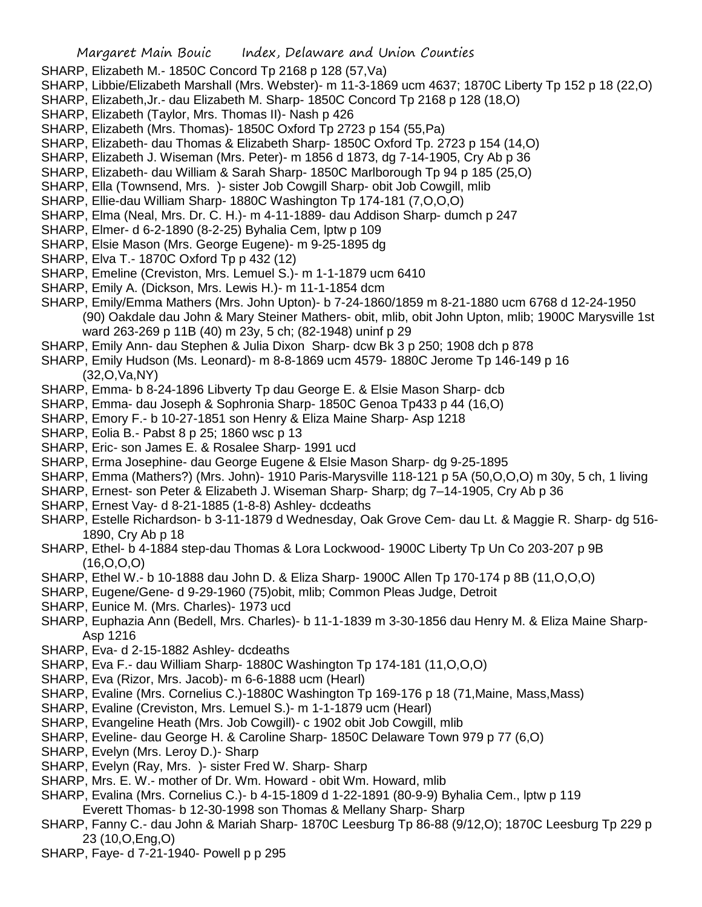- SHARP, Elizabeth M.- 1850C Concord Tp 2168 p 128 (57,Va)
- SHARP, Libbie/Elizabeth Marshall (Mrs. Webster)- m 11-3-1869 ucm 4637; 1870C Liberty Tp 152 p 18 (22,O)
- SHARP, Elizabeth,Jr.- dau Elizabeth M. Sharp- 1850C Concord Tp 2168 p 128 (18,O)
- SHARP, Elizabeth (Taylor, Mrs. Thomas II)- Nash p 426
- SHARP, Elizabeth (Mrs. Thomas)- 1850C Oxford Tp 2723 p 154 (55,Pa)
- SHARP, Elizabeth- dau Thomas & Elizabeth Sharp- 1850C Oxford Tp. 2723 p 154 (14,O)
- SHARP, Elizabeth J. Wiseman (Mrs. Peter)- m 1856 d 1873, dg 7-14-1905, Cry Ab p 36
- SHARP, Elizabeth- dau William & Sarah Sharp- 1850C Marlborough Tp 94 p 185 (25,O)
- SHARP, Ella (Townsend, Mrs. )- sister Job Cowgill Sharp- obit Job Cowgill, mlib
- SHARP, Ellie-dau William Sharp- 1880C Washington Tp 174-181 (7,O,O,O)
- SHARP, Elma (Neal, Mrs. Dr. C. H.)- m 4-11-1889- dau Addison Sharp- dumch p 247
- SHARP, Elmer- d 6-2-1890 (8-2-25) Byhalia Cem, lptw p 109
- SHARP, Elsie Mason (Mrs. George Eugene)- m 9-25-1895 dg
- SHARP, Elva T.- 1870C Oxford Tp p 432 (12)
- SHARP, Emeline (Creviston, Mrs. Lemuel S.)- m 1-1-1879 ucm 6410
- SHARP, Emily A. (Dickson, Mrs. Lewis H.)- m 11-1-1854 dcm
- SHARP, Emily/Emma Mathers (Mrs. John Upton)- b 7-24-1860/1859 m 8-21-1880 ucm 6768 d 12-24-1950 (90) Oakdale dau John & Mary Steiner Mathers- obit, mlib, obit John Upton, mlib; 1900C Marysville 1st ward 263-269 p 11B (40) m 23y, 5 ch; (82-1948) uninf p 29
- SHARP, Emily Ann- dau Stephen & Julia Dixon Sharp- dcw Bk 3 p 250; 1908 dch p 878
- SHARP, Emily Hudson (Ms. Leonard)- m 8-8-1869 ucm 4579- 1880C Jerome Tp 146-149 p 16 (32,O,Va,NY)
- SHARP, Emma- b 8-24-1896 Libverty Tp dau George E. & Elsie Mason Sharp- dcb
- SHARP, Emma- dau Joseph & Sophronia Sharp- 1850C Genoa Tp433 p 44 (16,O)
- SHARP, Emory F.- b 10-27-1851 son Henry & Eliza Maine Sharp- Asp 1218
- SHARP, Eolia B.- Pabst 8 p 25; 1860 wsc p 13
- SHARP, Eric- son James E. & Rosalee Sharp- 1991 ucd
- SHARP, Erma Josephine- dau George Eugene & Elsie Mason Sharp- dg 9-25-1895
- SHARP, Emma (Mathers?) (Mrs. John)- 1910 Paris-Marysville 118-121 p 5A (50,O,O,O) m 30y, 5 ch, 1 living
- SHARP, Ernest- son Peter & Elizabeth J. Wiseman Sharp- Sharp; dg 7–14-1905, Cry Ab p 36
- SHARP, Ernest Vay- d 8-21-1885 (1-8-8) Ashley- dcdeaths
- SHARP, Estelle Richardson- b 3-11-1879 d Wednesday, Oak Grove Cem- dau Lt. & Maggie R. Sharp- dg 516- 1890, Cry Ab p 18
- SHARP, Ethel- b 4-1884 step-dau Thomas & Lora Lockwood- 1900C Liberty Tp Un Co 203-207 p 9B (16,O,O,O)
- SHARP, Ethel W.- b 10-1888 dau John D. & Eliza Sharp- 1900C Allen Tp 170-174 p 8B (11,O,O,O)
- SHARP, Eugene/Gene- d 9-29-1960 (75)obit, mlib; Common Pleas Judge, Detroit
- SHARP, Eunice M. (Mrs. Charles)- 1973 ucd
- SHARP, Euphazia Ann (Bedell, Mrs. Charles)- b 11-1-1839 m 3-30-1856 dau Henry M. & Eliza Maine Sharp-Asp 1216
- SHARP, Eva- d 2-15-1882 Ashley- dcdeaths
- SHARP, Eva F.- dau William Sharp- 1880C Washington Tp 174-181 (11,O,O,O)
- SHARP, Eva (Rizor, Mrs. Jacob)- m 6-6-1888 ucm (Hearl)
- SHARP, Evaline (Mrs. Cornelius C.)-1880C Washington Tp 169-176 p 18 (71,Maine, Mass,Mass)
- SHARP, Evaline (Creviston, Mrs. Lemuel S.)- m 1-1-1879 ucm (Hearl)
- SHARP, Evangeline Heath (Mrs. Job Cowgill)- c 1902 obit Job Cowgill, mlib
- SHARP, Eveline- dau George H. & Caroline Sharp- 1850C Delaware Town 979 p 77 (6,O)
- SHARP, Evelyn (Mrs. Leroy D.)- Sharp
- SHARP, Evelyn (Ray, Mrs. )- sister Fred W. Sharp- Sharp
- SHARP, Mrs. E. W.- mother of Dr. Wm. Howard obit Wm. Howard, mlib
- SHARP, Evalina (Mrs. Cornelius C.)- b 4-15-1809 d 1-22-1891 (80-9-9) Byhalia Cem., lptw p 119
- Everett Thomas- b 12-30-1998 son Thomas & Mellany Sharp- Sharp
- SHARP, Fanny C.- dau John & Mariah Sharp- 1870C Leesburg Tp 86-88 (9/12,O); 1870C Leesburg Tp 229 p 23 (10,O,Eng,O)
- SHARP, Faye- d 7-21-1940- Powell p p 295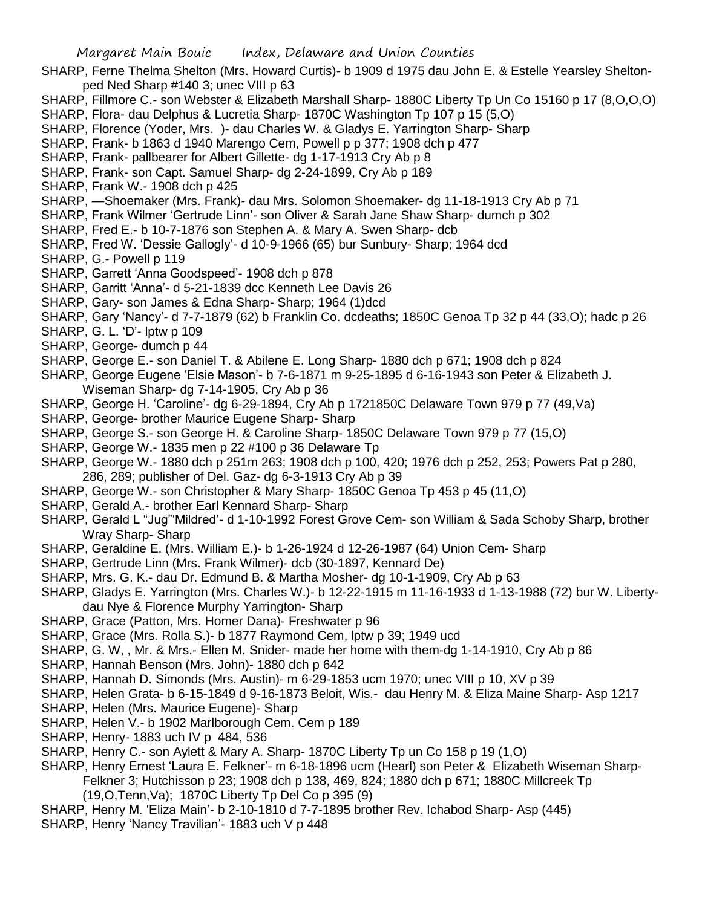- SHARP, Ferne Thelma Shelton (Mrs. Howard Curtis)- b 1909 d 1975 dau John E. & Estelle Yearsley Sheltonped Ned Sharp #140 3; unec VIII p 63
- SHARP, Fillmore C.- son Webster & Elizabeth Marshall Sharp- 1880C Liberty Tp Un Co 15160 p 17 (8,O,O,O)
- SHARP, Flora- dau Delphus & Lucretia Sharp- 1870C Washington Tp 107 p 15 (5,O)
- SHARP, Florence (Yoder, Mrs. )- dau Charles W. & Gladys E. Yarrington Sharp- Sharp
- SHARP, Frank- b 1863 d 1940 Marengo Cem, Powell p p 377; 1908 dch p 477
- SHARP, Frank- pallbearer for Albert Gillette- dg 1-17-1913 Cry Ab p 8
- SHARP, Frank- son Capt. Samuel Sharp- dg 2-24-1899, Cry Ab p 189
- SHARP, Frank W.- 1908 dch p 425
- SHARP, —Shoemaker (Mrs. Frank)- dau Mrs. Solomon Shoemaker- dg 11-18-1913 Cry Ab p 71
- SHARP, Frank Wilmer 'Gertrude Linn'- son Oliver & Sarah Jane Shaw Sharp- dumch p 302
- SHARP, Fred E.- b 10-7-1876 son Stephen A. & Mary A. Swen Sharp- dcb
- SHARP, Fred W. 'Dessie Gallogly'- d 10-9-1966 (65) bur Sunbury- Sharp; 1964 dcd
- SHARP, G.- Powell p 119
- SHARP, Garrett 'Anna Goodspeed'- 1908 dch p 878
- SHARP, Garritt 'Anna'- d 5-21-1839 dcc Kenneth Lee Davis 26
- SHARP, Gary- son James & Edna Sharp- Sharp; 1964 (1)dcd
- SHARP, Gary 'Nancy'- d 7-7-1879 (62) b Franklin Co. dcdeaths; 1850C Genoa Tp 32 p 44 (33,O); hadc p 26
- SHARP, G. L. 'D'- lptw p 109
- SHARP, George- dumch p 44
- SHARP, George E.- son Daniel T. & Abilene E. Long Sharp- 1880 dch p 671; 1908 dch p 824
- SHARP, George Eugene 'Elsie Mason'- b 7-6-1871 m 9-25-1895 d 6-16-1943 son Peter & Elizabeth J. Wiseman Sharp- dg 7-14-1905, Cry Ab p 36
- SHARP, George H. 'Caroline'- dg 6-29-1894, Cry Ab p 1721850C Delaware Town 979 p 77 (49,Va)
- SHARP, George- brother Maurice Eugene Sharp- Sharp
- SHARP, George S.- son George H. & Caroline Sharp- 1850C Delaware Town 979 p 77 (15,O)
- SHARP, George W.- 1835 men p 22 #100 p 36 Delaware Tp
- SHARP, George W.- 1880 dch p 251m 263; 1908 dch p 100, 420; 1976 dch p 252, 253; Powers Pat p 280, 286, 289; publisher of Del. Gaz- dg 6-3-1913 Cry Ab p 39
- SHARP, George W.- son Christopher & Mary Sharp- 1850C Genoa Tp 453 p 45 (11,O)
- SHARP, Gerald A.- brother Earl Kennard Sharp- Sharp
- SHARP, Gerald L "Jug"'Mildred'- d 1-10-1992 Forest Grove Cem- son William & Sada Schoby Sharp, brother Wray Sharp- Sharp
- SHARP, Geraldine E. (Mrs. William E.)- b 1-26-1924 d 12-26-1987 (64) Union Cem- Sharp
- SHARP, Gertrude Linn (Mrs. Frank Wilmer)- dcb (30-1897, Kennard De)
- SHARP, Mrs. G. K.- dau Dr. Edmund B. & Martha Mosher- dg 10-1-1909, Cry Ab p 63
- SHARP, Gladys E. Yarrington (Mrs. Charles W.)- b 12-22-1915 m 11-16-1933 d 1-13-1988 (72) bur W. Libertydau Nye & Florence Murphy Yarrington- Sharp
- SHARP, Grace (Patton, Mrs. Homer Dana)- Freshwater p 96
- SHARP, Grace (Mrs. Rolla S.)- b 1877 Raymond Cem, lptw p 39; 1949 ucd
- SHARP, G. W, , Mr. & Mrs.- Ellen M. Snider- made her home with them-dg 1-14-1910, Cry Ab p 86
- SHARP, Hannah Benson (Mrs. John)- 1880 dch p 642
- SHARP, Hannah D. Simonds (Mrs. Austin)- m 6-29-1853 ucm 1970; unec VIII p 10, XV p 39
- SHARP, Helen Grata- b 6-15-1849 d 9-16-1873 Beloit, Wis.- dau Henry M. & Eliza Maine Sharp- Asp 1217
- SHARP, Helen (Mrs. Maurice Eugene)- Sharp
- SHARP, Helen V.- b 1902 Marlborough Cem. Cem p 189
- SHARP, Henry- 1883 uch IV p 484, 536
- SHARP, Henry C.- son Aylett & Mary A. Sharp- 1870C Liberty Tp un Co 158 p 19 (1,O)
- SHARP, Henry Ernest 'Laura E. Felkner'- m 6-18-1896 ucm (Hearl) son Peter & Elizabeth Wiseman Sharp-Felkner 3; Hutchisson p 23; 1908 dch p 138, 469, 824; 1880 dch p 671; 1880C Millcreek Tp (19,O,Tenn,Va); 1870C Liberty Tp Del Co p 395 (9)
- SHARP, Henry M. 'Eliza Main'- b 2-10-1810 d 7-7-1895 brother Rev. Ichabod Sharp- Asp (445)
- SHARP, Henry 'Nancy Travilian'- 1883 uch V p 448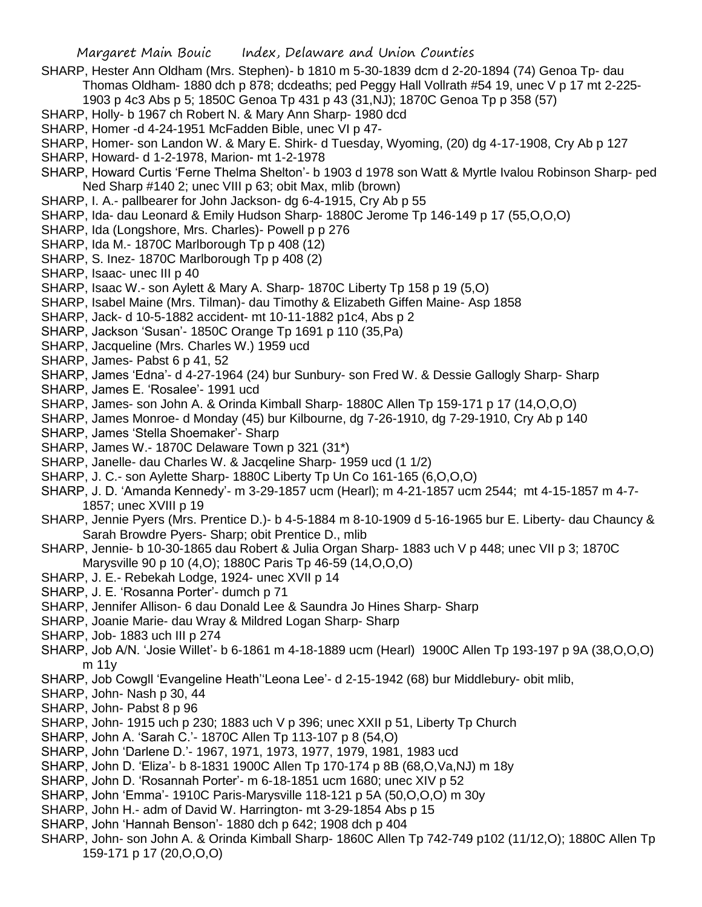- SHARP, Hester Ann Oldham (Mrs. Stephen)- b 1810 m 5-30-1839 dcm d 2-20-1894 (74) Genoa Tp- dau Thomas Oldham- 1880 dch p 878; dcdeaths; ped Peggy Hall Vollrath #54 19, unec V p 17 mt 2-225- 1903 p 4c3 Abs p 5; 1850C Genoa Tp 431 p 43 (31,NJ); 1870C Genoa Tp p 358 (57)
- SHARP, Holly- b 1967 ch Robert N. & Mary Ann Sharp- 1980 dcd
- SHARP, Homer -d 4-24-1951 McFadden Bible, unec VI p 47-
- SHARP, Homer- son Landon W. & Mary E. Shirk- d Tuesday, Wyoming, (20) dg 4-17-1908, Cry Ab p 127
- SHARP, Howard- d 1-2-1978, Marion- mt 1-2-1978
- SHARP, Howard Curtis 'Ferne Thelma Shelton'- b 1903 d 1978 son Watt & Myrtle Ivalou Robinson Sharp- ped Ned Sharp #140 2; unec VIII p 63; obit Max, mlib (brown)
- SHARP, I. A.- pallbearer for John Jackson- dg 6-4-1915, Cry Ab p 55
- SHARP, Ida- dau Leonard & Emily Hudson Sharp- 1880C Jerome Tp 146-149 p 17 (55,O,O,O)
- SHARP, Ida (Longshore, Mrs. Charles)- Powell p p 276
- SHARP, Ida M.- 1870C Marlborough Tp p 408 (12)
- SHARP, S. Inez- 1870C Marlborough Tp p 408 (2)
- SHARP, Isaac- unec III p 40
- SHARP, Isaac W.- son Aylett & Mary A. Sharp- 1870C Liberty Tp 158 p 19 (5,O)
- SHARP, Isabel Maine (Mrs. Tilman)- dau Timothy & Elizabeth Giffen Maine- Asp 1858
- SHARP, Jack- d 10-5-1882 accident- mt 10-11-1882 p1c4, Abs p 2
- SHARP, Jackson 'Susan'- 1850C Orange Tp 1691 p 110 (35,Pa)
- SHARP, Jacqueline (Mrs. Charles W.) 1959 ucd
- SHARP, James- Pabst 6 p 41, 52
- SHARP, James 'Edna'- d 4-27-1964 (24) bur Sunbury- son Fred W. & Dessie Gallogly Sharp- Sharp
- SHARP, James E. 'Rosalee'- 1991 ucd
- SHARP, James- son John A. & Orinda Kimball Sharp- 1880C Allen Tp 159-171 p 17 (14,O,O,O)
- SHARP, James Monroe- d Monday (45) bur Kilbourne, dg 7-26-1910, dg 7-29-1910, Cry Ab p 140
- SHARP, James 'Stella Shoemaker'- Sharp
- SHARP, James W.- 1870C Delaware Town p 321 (31\*)
- SHARP, Janelle- dau Charles W. & Jacqeline Sharp- 1959 ucd (1 1/2)
- SHARP, J. C.- son Aylette Sharp- 1880C Liberty Tp Un Co 161-165 (6,O,O,O)
- SHARP, J. D. 'Amanda Kennedy'- m 3-29-1857 ucm (Hearl); m 4-21-1857 ucm 2544; mt 4-15-1857 m 4-7- 1857; unec XVIII p 19
- SHARP, Jennie Pyers (Mrs. Prentice D.)- b 4-5-1884 m 8-10-1909 d 5-16-1965 bur E. Liberty- dau Chauncy & Sarah Browdre Pyers- Sharp; obit Prentice D., mlib
- SHARP, Jennie- b 10-30-1865 dau Robert & Julia Organ Sharp- 1883 uch V p 448; unec VII p 3; 1870C Marysville 90 p 10 (4,O); 1880C Paris Tp 46-59 (14,O,O,O)
- SHARP, J. E.- Rebekah Lodge, 1924- unec XVII p 14
- SHARP, J. E. 'Rosanna Porter'- dumch p 71
- SHARP, Jennifer Allison- 6 dau Donald Lee & Saundra Jo Hines Sharp- Sharp
- SHARP, Joanie Marie- dau Wray & Mildred Logan Sharp- Sharp
- SHARP, Job- 1883 uch III p 274
- SHARP, Job A/N. 'Josie Willet'- b 6-1861 m 4-18-1889 ucm (Hearl) 1900C Allen Tp 193-197 p 9A (38,O,O,O) m 11y
- SHARP, Job Cowgll 'Evangeline Heath''Leona Lee'- d 2-15-1942 (68) bur Middlebury- obit mlib,
- SHARP, John- Nash p 30, 44
- SHARP, John- Pabst 8 p 96
- SHARP, John- 1915 uch p 230; 1883 uch V p 396; unec XXII p 51, Liberty Tp Church
- SHARP, John A. 'Sarah C.'- 1870C Allen Tp 113-107 p 8 (54,O)
- SHARP, John 'Darlene D.'- 1967, 1971, 1973, 1977, 1979, 1981, 1983 ucd
- SHARP, John D. 'Eliza'- b 8-1831 1900C Allen Tp 170-174 p 8B (68,O,Va,NJ) m 18y
- SHARP, John D. 'Rosannah Porter'- m 6-18-1851 ucm 1680; unec XIV p 52
- SHARP, John 'Emma'- 1910C Paris-Marysville 118-121 p 5A (50,O,O,O) m 30y
- SHARP, John H.- adm of David W. Harrington- mt 3-29-1854 Abs p 15
- SHARP, John 'Hannah Benson'- 1880 dch p 642; 1908 dch p 404
- SHARP, John- son John A. & Orinda Kimball Sharp- 1860C Allen Tp 742-749 p102 (11/12,O); 1880C Allen Tp 159-171 p 17 (20,O,O,O)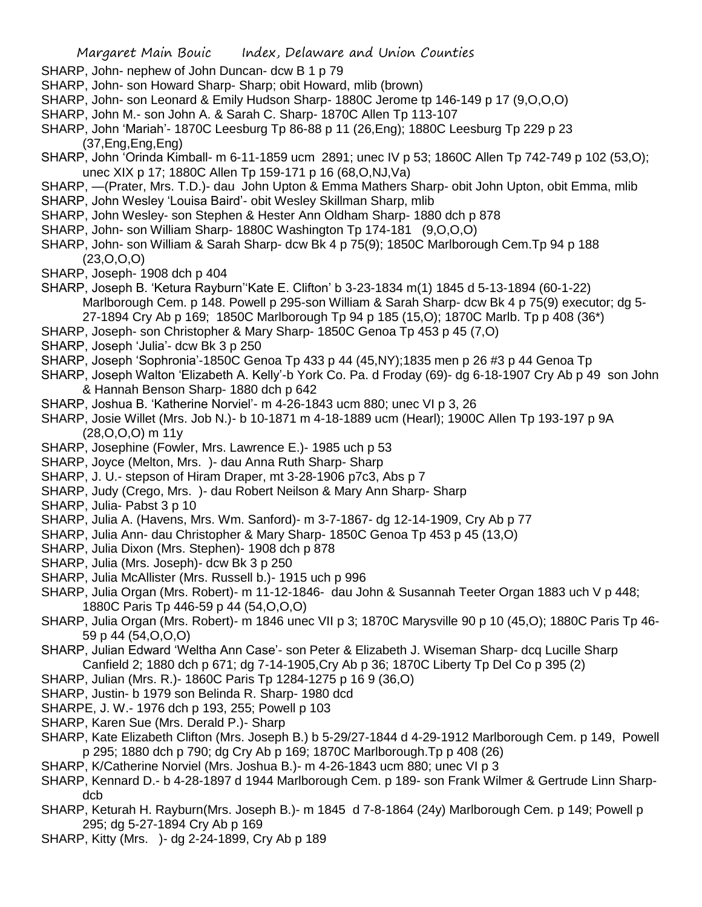- SHARP, John- nephew of John Duncan- dcw B 1 p 79
- SHARP, John- son Howard Sharp- Sharp; obit Howard, mlib (brown)
- SHARP, John- son Leonard & Emily Hudson Sharp- 1880C Jerome tp 146-149 p 17 (9,O,O,O)
- SHARP, John M.- son John A. & Sarah C. Sharp- 1870C Allen Tp 113-107
- SHARP, John 'Mariah'- 1870C Leesburg Tp 86-88 p 11 (26,Eng); 1880C Leesburg Tp 229 p 23 (37,Eng,Eng,Eng)
- SHARP, John 'Orinda Kimball- m 6-11-1859 ucm 2891; unec IV p 53; 1860C Allen Tp 742-749 p 102 (53,O); unec XIX p 17; 1880C Allen Tp 159-171 p 16 (68,O,NJ,Va)
- SHARP, —(Prater, Mrs. T.D.)- dau John Upton & Emma Mathers Sharp- obit John Upton, obit Emma, mlib
- SHARP, John Wesley 'Louisa Baird'- obit Wesley Skillman Sharp, mlib
- SHARP, John Wesley- son Stephen & Hester Ann Oldham Sharp- 1880 dch p 878
- SHARP, John- son William Sharp- 1880C Washington Tp 174-181 (9,O,O,O)
- SHARP, John- son William & Sarah Sharp- dcw Bk 4 p 75(9); 1850C Marlborough Cem.Tp 94 p 188 (23,O,O,O)
- SHARP, Joseph- 1908 dch p 404
- SHARP, Joseph B. 'Ketura Rayburn''Kate E. Clifton' b 3-23-1834 m(1) 1845 d 5-13-1894 (60-1-22) Marlborough Cem. p 148. Powell p 295-son William & Sarah Sharp- dcw Bk 4 p 75(9) executor; dg 5- 27-1894 Cry Ab p 169; 1850C Marlborough Tp 94 p 185 (15,O); 1870C Marlb. Tp p 408 (36\*)
- SHARP, Joseph- son Christopher & Mary Sharp- 1850C Genoa Tp 453 p 45 (7,O)
- SHARP, Joseph 'Julia'- dcw Bk 3 p 250
- SHARP, Joseph 'Sophronia'-1850C Genoa Tp 433 p 44 (45,NY);1835 men p 26 #3 p 44 Genoa Tp
- SHARP, Joseph Walton 'Elizabeth A. Kelly'-b York Co. Pa. d Froday (69)- dg 6-18-1907 Cry Ab p 49 son John & Hannah Benson Sharp- 1880 dch p 642
- SHARP, Joshua B. 'Katherine Norviel'- m 4-26-1843 ucm 880; unec VI p 3, 26
- SHARP, Josie Willet (Mrs. Job N.)- b 10-1871 m 4-18-1889 ucm (Hearl); 1900C Allen Tp 193-197 p 9A (28,O,O,O) m 11y
- SHARP, Josephine (Fowler, Mrs. Lawrence E.)- 1985 uch p 53
- SHARP, Joyce (Melton, Mrs. )- dau Anna Ruth Sharp- Sharp
- SHARP, J. U.- stepson of Hiram Draper, mt 3-28-1906 p7c3, Abs p 7
- SHARP, Judy (Crego, Mrs. )- dau Robert Neilson & Mary Ann Sharp- Sharp
- SHARP, Julia- Pabst 3 p 10
- SHARP, Julia A. (Havens, Mrs. Wm. Sanford)- m 3-7-1867- dg 12-14-1909, Cry Ab p 77
- SHARP, Julia Ann- dau Christopher & Mary Sharp- 1850C Genoa Tp 453 p 45 (13,O)
- SHARP, Julia Dixon (Mrs. Stephen)- 1908 dch p 878
- SHARP, Julia (Mrs. Joseph)- dcw Bk 3 p 250
- SHARP, Julia McAllister (Mrs. Russell b.)- 1915 uch p 996
- SHARP, Julia Organ (Mrs. Robert)- m 11-12-1846- dau John & Susannah Teeter Organ 1883 uch V p 448; 1880C Paris Tp 446-59 p 44 (54,O,O,O)
- SHARP, Julia Organ (Mrs. Robert)- m 1846 unec VII p 3; 1870C Marysville 90 p 10 (45,O); 1880C Paris Tp 46- 59 p 44 (54,O,O,O)
- SHARP, Julian Edward 'Weltha Ann Case'- son Peter & Elizabeth J. Wiseman Sharp- dcq Lucille Sharp Canfield 2; 1880 dch p 671; dg 7-14-1905,Cry Ab p 36; 1870C Liberty Tp Del Co p 395 (2)
- SHARP, Julian (Mrs. R.)- 1860C Paris Tp 1284-1275 p 16 9 (36,O)
- SHARP, Justin- b 1979 son Belinda R. Sharp- 1980 dcd
- SHARPE, J. W.- 1976 dch p 193, 255; Powell p 103
- SHARP, Karen Sue (Mrs. Derald P.)- Sharp
- SHARP, Kate Elizabeth Clifton (Mrs. Joseph B.) b 5-29/27-1844 d 4-29-1912 Marlborough Cem. p 149, Powell p 295; 1880 dch p 790; dg Cry Ab p 169; 1870C Marlborough.Tp p 408 (26)
- SHARP, K/Catherine Norviel (Mrs. Joshua B.)- m 4-26-1843 ucm 880; unec VI p 3
- SHARP, Kennard D.- b 4-28-1897 d 1944 Marlborough Cem. p 189- son Frank Wilmer & Gertrude Linn Sharpdcb
- SHARP, Keturah H. Rayburn(Mrs. Joseph B.)- m 1845 d 7-8-1864 (24y) Marlborough Cem. p 149; Powell p 295; dg 5-27-1894 Cry Ab p 169
- SHARP, Kitty (Mrs. )- dg 2-24-1899, Cry Ab p 189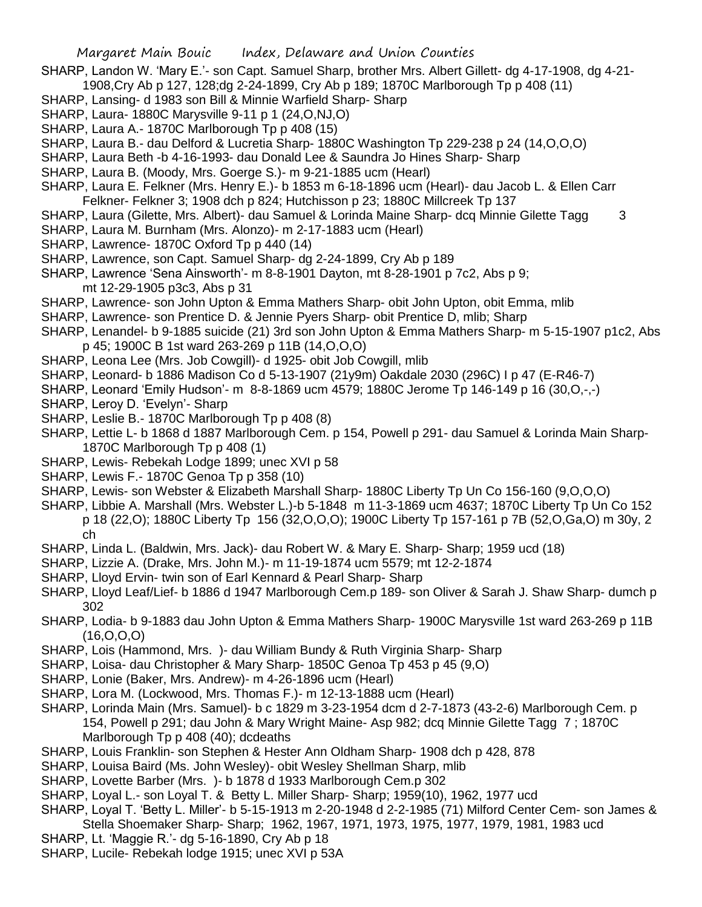- SHARP, Landon W. 'Mary E.'- son Capt. Samuel Sharp, brother Mrs. Albert Gillett- dg 4-17-1908, dg 4-21- 1908,Cry Ab p 127, 128;dg 2-24-1899, Cry Ab p 189; 1870C Marlborough Tp p 408 (11)
- SHARP, Lansing- d 1983 son Bill & Minnie Warfield Sharp- Sharp
- SHARP, Laura- 1880C Marysville 9-11 p 1 (24,O,NJ,O)
- SHARP, Laura A.- 1870C Marlborough Tp p 408 (15)
- SHARP, Laura B.- dau Delford & Lucretia Sharp- 1880C Washington Tp 229-238 p 24 (14,O,O,O)
- SHARP, Laura Beth -b 4-16-1993- dau Donald Lee & Saundra Jo Hines Sharp- Sharp
- SHARP, Laura B. (Moody, Mrs. Goerge S.)- m 9-21-1885 ucm (Hearl)
- SHARP, Laura E. Felkner (Mrs. Henry E.)- b 1853 m 6-18-1896 ucm (Hearl)- dau Jacob L. & Ellen Carr Felkner- Felkner 3; 1908 dch p 824; Hutchisson p 23; 1880C Millcreek Tp 137
- SHARP, Laura (Gilette, Mrs. Albert)- dau Samuel & Lorinda Maine Sharp- dcq Minnie Gilette Tagg 3
- SHARP, Laura M. Burnham (Mrs. Alonzo)- m 2-17-1883 ucm (Hearl)
- SHARP, Lawrence- 1870C Oxford Tp p 440 (14)
- SHARP, Lawrence, son Capt. Samuel Sharp- dg 2-24-1899, Cry Ab p 189
- SHARP, Lawrence 'Sena Ainsworth'- m 8-8-1901 Dayton, mt 8-28-1901 p 7c2, Abs p 9; mt 12-29-1905 p3c3, Abs p 31
- SHARP, Lawrence- son John Upton & Emma Mathers Sharp- obit John Upton, obit Emma, mlib
- SHARP, Lawrence- son Prentice D. & Jennie Pyers Sharp- obit Prentice D, mlib; Sharp
- SHARP, Lenandel- b 9-1885 suicide (21) 3rd son John Upton & Emma Mathers Sharp- m 5-15-1907 p1c2, Abs p 45; 1900C B 1st ward 263-269 p 11B (14,O,O,O)
- SHARP, Leona Lee (Mrs. Job Cowgill)- d 1925- obit Job Cowgill, mlib
- SHARP, Leonard- b 1886 Madison Co d 5-13-1907 (21y9m) Oakdale 2030 (296C) I p 47 (E-R46-7)
- SHARP, Leonard 'Emily Hudson'- m 8-8-1869 ucm 4579; 1880C Jerome Tp 146-149 p 16 (30,O,-,-)
- SHARP, Leroy D. 'Evelyn'- Sharp
- SHARP, Leslie B.- 1870C Marlborough Tp p 408 (8)
- SHARP, Lettie L- b 1868 d 1887 Marlborough Cem. p 154, Powell p 291- dau Samuel & Lorinda Main Sharp-1870C Marlborough Tp p 408 (1)
- SHARP, Lewis- Rebekah Lodge 1899; unec XVI p 58
- SHARP, Lewis F.- 1870C Genoa Tp p 358 (10)
- SHARP, Lewis- son Webster & Elizabeth Marshall Sharp- 1880C Liberty Tp Un Co 156-160 (9,O,O,O)
- SHARP, Libbie A. Marshall (Mrs. Webster L.)-b 5-1848 m 11-3-1869 ucm 4637; 1870C Liberty Tp Un Co 152 p 18 (22,O); 1880C Liberty Tp 156 (32,O,O,O); 1900C Liberty Tp 157-161 p 7B (52,O,Ga,O) m 30y, 2 ch
- SHARP, Linda L. (Baldwin, Mrs. Jack)- dau Robert W. & Mary E. Sharp- Sharp; 1959 ucd (18)
- SHARP, Lizzie A. (Drake, Mrs. John M.)- m 11-19-1874 ucm 5579; mt 12-2-1874
- SHARP, Lloyd Ervin- twin son of Earl Kennard & Pearl Sharp- Sharp
- SHARP, Lloyd Leaf/Lief- b 1886 d 1947 Marlborough Cem.p 189- son Oliver & Sarah J. Shaw Sharp- dumch p 302
- SHARP, Lodia- b 9-1883 dau John Upton & Emma Mathers Sharp- 1900C Marysville 1st ward 263-269 p 11B (16,O,O,O)
- SHARP, Lois (Hammond, Mrs. )- dau William Bundy & Ruth Virginia Sharp- Sharp
- SHARP, Loisa- dau Christopher & Mary Sharp- 1850C Genoa Tp 453 p 45 (9,O)
- SHARP, Lonie (Baker, Mrs. Andrew)- m 4-26-1896 ucm (Hearl)
- SHARP, Lora M. (Lockwood, Mrs. Thomas F.)- m 12-13-1888 ucm (Hearl)
- SHARP, Lorinda Main (Mrs. Samuel)- b c 1829 m 3-23-1954 dcm d 2-7-1873 (43-2-6) Marlborough Cem. p 154, Powell p 291; dau John & Mary Wright Maine- Asp 982; dcq Minnie Gilette Tagg 7 ; 1870C Marlborough Tp p 408 (40); dcdeaths
- SHARP, Louis Franklin- son Stephen & Hester Ann Oldham Sharp- 1908 dch p 428, 878
- SHARP, Louisa Baird (Ms. John Wesley)- obit Wesley Shellman Sharp, mlib
- SHARP, Lovette Barber (Mrs. )- b 1878 d 1933 Marlborough Cem.p 302
- SHARP, Loyal L.- son Loyal T. & Betty L. Miller Sharp- Sharp; 1959(10), 1962, 1977 ucd
- SHARP, Loyal T. 'Betty L. Miller'- b 5-15-1913 m 2-20-1948 d 2-2-1985 (71) Milford Center Cem- son James &
- Stella Shoemaker Sharp- Sharp; 1962, 1967, 1971, 1973, 1975, 1977, 1979, 1981, 1983 ucd
- SHARP, Lt. 'Maggie R.'- dg 5-16-1890, Cry Ab p 18
- SHARP, Lucile- Rebekah lodge 1915; unec XVI p 53A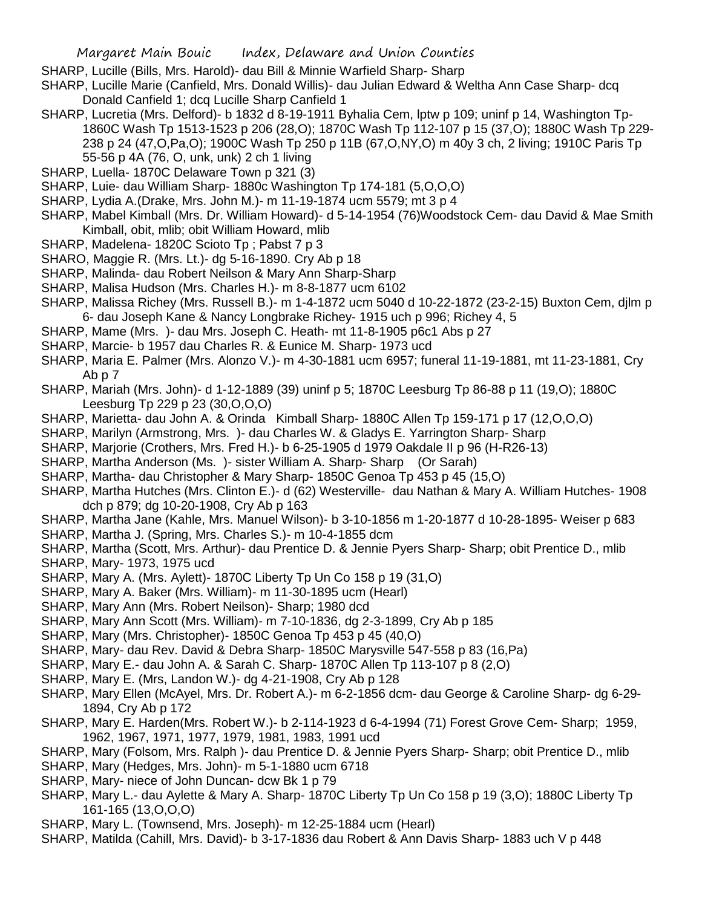- SHARP, Lucille (Bills, Mrs. Harold)- dau Bill & Minnie Warfield Sharp- Sharp
- SHARP, Lucille Marie (Canfield, Mrs. Donald Willis)- dau Julian Edward & Weltha Ann Case Sharp- dcq Donald Canfield 1; dcq Lucille Sharp Canfield 1
- SHARP, Lucretia (Mrs. Delford)- b 1832 d 8-19-1911 Byhalia Cem, lptw p 109; uninf p 14, Washington Tp-1860C Wash Tp 1513-1523 p 206 (28,O); 1870C Wash Tp 112-107 p 15 (37,O); 1880C Wash Tp 229- 238 p 24 (47,O,Pa,O); 1900C Wash Tp 250 p 11B (67,O,NY,O) m 40y 3 ch, 2 living; 1910C Paris Tp 55-56 p 4A (76, O, unk, unk) 2 ch 1 living
- SHARP, Luella- 1870C Delaware Town p 321 (3)
- SHARP, Luie- dau William Sharp- 1880c Washington Tp 174-181 (5,O,O,O)
- SHARP, Lydia A.(Drake, Mrs. John M.)- m 11-19-1874 ucm 5579; mt 3 p 4
- SHARP, Mabel Kimball (Mrs. Dr. William Howard)- d 5-14-1954 (76)Woodstock Cem- dau David & Mae Smith Kimball, obit, mlib; obit William Howard, mlib
- SHARP, Madelena- 1820C Scioto Tp ; Pabst 7 p 3
- SHARO, Maggie R. (Mrs. Lt.)- dg 5-16-1890. Cry Ab p 18
- SHARP, Malinda- dau Robert Neilson & Mary Ann Sharp-Sharp
- SHARP, Malisa Hudson (Mrs. Charles H.)- m 8-8-1877 ucm 6102
- SHARP, Malissa Richey (Mrs. Russell B.)- m 1-4-1872 ucm 5040 d 10-22-1872 (23-2-15) Buxton Cem, djlm p 6- dau Joseph Kane & Nancy Longbrake Richey- 1915 uch p 996; Richey 4, 5
- SHARP, Mame (Mrs. )- dau Mrs. Joseph C. Heath- mt 11-8-1905 p6c1 Abs p 27
- SHARP, Marcie- b 1957 dau Charles R. & Eunice M. Sharp- 1973 ucd
- SHARP, Maria E. Palmer (Mrs. Alonzo V.)- m 4-30-1881 ucm 6957; funeral 11-19-1881, mt 11-23-1881, Cry Ab p 7
- SHARP, Mariah (Mrs. John)- d 1-12-1889 (39) uninf p 5; 1870C Leesburg Tp 86-88 p 11 (19,O); 1880C Leesburg Tp 229 p 23 (30,O,O,O)
- SHARP, Marietta- dau John A. & Orinda Kimball Sharp- 1880C Allen Tp 159-171 p 17 (12,O,O,O)
- SHARP, Marilyn (Armstrong, Mrs. )- dau Charles W. & Gladys E. Yarrington Sharp- Sharp
- SHARP, Marjorie (Crothers, Mrs. Fred H.)- b 6-25-1905 d 1979 Oakdale II p 96 (H-R26-13)
- SHARP, Martha Anderson (Ms. )- sister William A. Sharp- Sharp (Or Sarah)
- SHARP, Martha- dau Christopher & Mary Sharp- 1850C Genoa Tp 453 p 45 (15,O)
- SHARP, Martha Hutches (Mrs. Clinton E.)- d (62) Westerville- dau Nathan & Mary A. William Hutches- 1908 dch p 879; dg 10-20-1908, Cry Ab p 163
- SHARP, Martha Jane (Kahle, Mrs. Manuel Wilson)- b 3-10-1856 m 1-20-1877 d 10-28-1895- Weiser p 683
- SHARP, Martha J. (Spring, Mrs. Charles S.)- m 10-4-1855 dcm
- SHARP, Martha (Scott, Mrs. Arthur)- dau Prentice D. & Jennie Pyers Sharp- Sharp; obit Prentice D., mlib
- SHARP, Mary- 1973, 1975 ucd
- SHARP, Mary A. (Mrs. Aylett)- 1870C Liberty Tp Un Co 158 p 19 (31,O)
- SHARP, Mary A. Baker (Mrs. William)- m 11-30-1895 ucm (Hearl)
- SHARP, Mary Ann (Mrs. Robert Neilson)- Sharp; 1980 dcd
- SHARP, Mary Ann Scott (Mrs. William)- m 7-10-1836, dg 2-3-1899, Cry Ab p 185
- SHARP, Mary (Mrs. Christopher)- 1850C Genoa Tp 453 p 45 (40,O)
- SHARP, Mary- dau Rev. David & Debra Sharp- 1850C Marysville 547-558 p 83 (16,Pa)
- SHARP, Mary E.- dau John A. & Sarah C. Sharp- 1870C Allen Tp 113-107 p 8 (2,O)
- SHARP, Mary E. (Mrs, Landon W.)- dg 4-21-1908, Cry Ab p 128
- SHARP, Mary Ellen (McAyel, Mrs. Dr. Robert A.)- m 6-2-1856 dcm- dau George & Caroline Sharp- dg 6-29- 1894, Cry Ab p 172
- SHARP, Mary E. Harden(Mrs. Robert W.)- b 2-114-1923 d 6-4-1994 (71) Forest Grove Cem- Sharp; 1959, 1962, 1967, 1971, 1977, 1979, 1981, 1983, 1991 ucd
- SHARP, Mary (Folsom, Mrs. Ralph )- dau Prentice D. & Jennie Pyers Sharp- Sharp; obit Prentice D., mlib
- SHARP, Mary (Hedges, Mrs. John)- m 5-1-1880 ucm 6718
- SHARP, Mary- niece of John Duncan- dcw Bk 1 p 79
- SHARP, Mary L.- dau Aylette & Mary A. Sharp- 1870C Liberty Tp Un Co 158 p 19 (3,O); 1880C Liberty Tp 161-165 (13,O,O,O)
- SHARP, Mary L. (Townsend, Mrs. Joseph)- m 12-25-1884 ucm (Hearl)
- SHARP, Matilda (Cahill, Mrs. David)- b 3-17-1836 dau Robert & Ann Davis Sharp- 1883 uch V p 448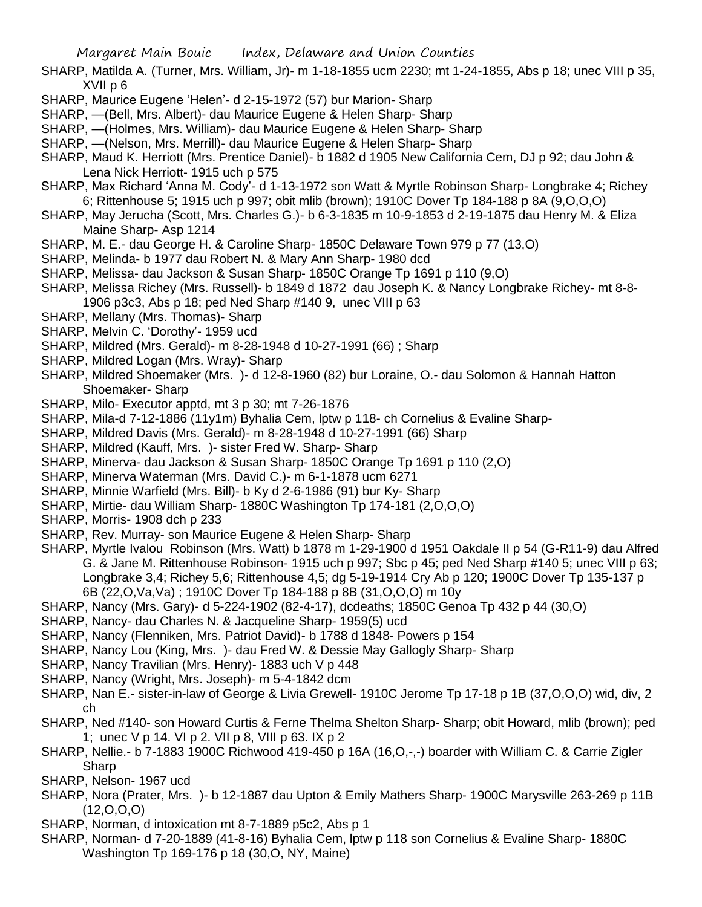- SHARP, Matilda A. (Turner, Mrs. William, Jr)- m 1-18-1855 ucm 2230; mt 1-24-1855, Abs p 18; unec VIII p 35, XVII p 6
- SHARP, Maurice Eugene 'Helen'- d 2-15-1972 (57) bur Marion- Sharp
- SHARP, —(Bell, Mrs. Albert)- dau Maurice Eugene & Helen Sharp- Sharp
- SHARP, —(Holmes, Mrs. William)- dau Maurice Eugene & Helen Sharp- Sharp
- SHARP, —(Nelson, Mrs. Merrill)- dau Maurice Eugene & Helen Sharp- Sharp
- SHARP, Maud K. Herriott (Mrs. Prentice Daniel)- b 1882 d 1905 New California Cem, DJ p 92; dau John & Lena Nick Herriott- 1915 uch p 575
- SHARP, Max Richard 'Anna M. Cody'- d 1-13-1972 son Watt & Myrtle Robinson Sharp- Longbrake 4; Richey 6; Rittenhouse 5; 1915 uch p 997; obit mlib (brown); 1910C Dover Tp 184-188 p 8A (9,O,O,O)
- SHARP, May Jerucha (Scott, Mrs. Charles G.)- b 6-3-1835 m 10-9-1853 d 2-19-1875 dau Henry M. & Eliza Maine Sharp- Asp 1214
- SHARP, M. E.- dau George H. & Caroline Sharp- 1850C Delaware Town 979 p 77 (13,O)
- SHARP, Melinda- b 1977 dau Robert N. & Mary Ann Sharp- 1980 dcd
- SHARP, Melissa- dau Jackson & Susan Sharp- 1850C Orange Tp 1691 p 110 (9,O)
- SHARP, Melissa Richey (Mrs. Russell)- b 1849 d 1872 dau Joseph K. & Nancy Longbrake Richey- mt 8-8- 1906 p3c3, Abs p 18; ped Ned Sharp #140 9, unec VIII p 63
- SHARP, Mellany (Mrs. Thomas)- Sharp
- SHARP, Melvin C. 'Dorothy'- 1959 ucd
- SHARP, Mildred (Mrs. Gerald)- m 8-28-1948 d 10-27-1991 (66) ; Sharp
- SHARP, Mildred Logan (Mrs. Wray)- Sharp
- SHARP, Mildred Shoemaker (Mrs. )- d 12-8-1960 (82) bur Loraine, O.- dau Solomon & Hannah Hatton Shoemaker- Sharp
- SHARP, Milo- Executor apptd, mt 3 p 30; mt 7-26-1876
- SHARP, Mila-d 7-12-1886 (11y1m) Byhalia Cem, lptw p 118- ch Cornelius & Evaline Sharp-
- SHARP, Mildred Davis (Mrs. Gerald)- m 8-28-1948 d 10-27-1991 (66) Sharp
- SHARP, Mildred (Kauff, Mrs. )- sister Fred W. Sharp- Sharp
- SHARP, Minerva- dau Jackson & Susan Sharp- 1850C Orange Tp 1691 p 110 (2,O)
- SHARP, Minerva Waterman (Mrs. David C.)- m 6-1-1878 ucm 6271
- SHARP, Minnie Warfield (Mrs. Bill)- b Ky d 2-6-1986 (91) bur Ky- Sharp
- SHARP, Mirtie- dau William Sharp- 1880C Washington Tp 174-181 (2,O,O,O)
- SHARP, Morris- 1908 dch p 233
- SHARP, Rev. Murray- son Maurice Eugene & Helen Sharp- Sharp
- SHARP, Myrtle Ivalou Robinson (Mrs. Watt) b 1878 m 1-29-1900 d 1951 Oakdale II p 54 (G-R11-9) dau Alfred G. & Jane M. Rittenhouse Robinson- 1915 uch p 997; Sbc p 45; ped Ned Sharp #140 5; unec VIII p 63; Longbrake 3,4; Richey 5,6; Rittenhouse 4,5; dg 5-19-1914 Cry Ab p 120; 1900C Dover Tp 135-137 p 6B (22,O,Va,Va) ; 1910C Dover Tp 184-188 p 8B (31,O,O,O) m 10y
- SHARP, Nancy (Mrs. Gary)- d 5-224-1902 (82-4-17), dcdeaths; 1850C Genoa Tp 432 p 44 (30,O)
- SHARP, Nancy- dau Charles N. & Jacqueline Sharp- 1959(5) ucd
- SHARP, Nancy (Flenniken, Mrs. Patriot David)- b 1788 d 1848- Powers p 154
- SHARP, Nancy Lou (King, Mrs. )- dau Fred W. & Dessie May Gallogly Sharp- Sharp
- SHARP, Nancy Travilian (Mrs. Henry)- 1883 uch V p 448
- SHARP, Nancy (Wright, Mrs. Joseph)- m 5-4-1842 dcm
- SHARP, Nan E.- sister-in-law of George & Livia Grewell- 1910C Jerome Tp 17-18 p 1B (37,O,O,O) wid, div, 2 ch
- SHARP, Ned #140- son Howard Curtis & Ferne Thelma Shelton Sharp- Sharp; obit Howard, mlib (brown); ped 1; unec V p 14. VI p 2. VII p 8, VIII p 63. IX p 2
- SHARP, Nellie.- b 7-1883 1900C Richwood 419-450 p 16A (16,O,-,-) boarder with William C. & Carrie Zigler Sharp
- SHARP, Nelson- 1967 ucd
- SHARP, Nora (Prater, Mrs. )- b 12-1887 dau Upton & Emily Mathers Sharp- 1900C Marysville 263-269 p 11B  $(12,0,0,0)$
- SHARP, Norman, d intoxication mt 8-7-1889 p5c2, Abs p 1
- SHARP, Norman- d 7-20-1889 (41-8-16) Byhalia Cem, lptw p 118 son Cornelius & Evaline Sharp- 1880C Washington Tp 169-176 p 18 (30,O, NY, Maine)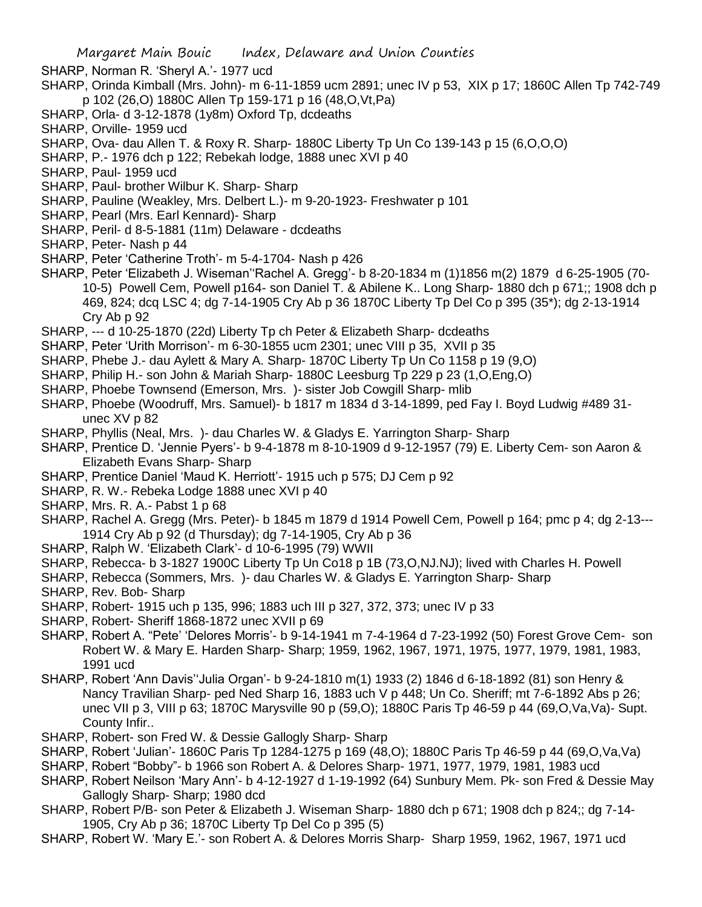- SHARP, Norman R. 'Sheryl A.'- 1977 ucd
- SHARP, Orinda Kimball (Mrs. John)- m 6-11-1859 ucm 2891; unec IV p 53, XIX p 17; 1860C Allen Tp 742-749 p 102 (26,O) 1880C Allen Tp 159-171 p 16 (48,O,Vt,Pa)
- SHARP, Orla- d 3-12-1878 (1y8m) Oxford Tp, dcdeaths
- SHARP, Orville- 1959 ucd
- SHARP, Ova- dau Allen T. & Roxy R. Sharp- 1880C Liberty Tp Un Co 139-143 p 15 (6,O,O,O)
- SHARP, P.- 1976 dch p 122; Rebekah lodge, 1888 unec XVI p 40
- SHARP, Paul- 1959 ucd
- SHARP, Paul- brother Wilbur K. Sharp- Sharp
- SHARP, Pauline (Weakley, Mrs. Delbert L.)- m 9-20-1923- Freshwater p 101
- SHARP, Pearl (Mrs. Earl Kennard)- Sharp
- SHARP, Peril- d 8-5-1881 (11m) Delaware dcdeaths
- SHARP, Peter- Nash p 44
- SHARP, Peter 'Catherine Troth'- m 5-4-1704- Nash p 426
- SHARP, Peter 'Elizabeth J. Wiseman''Rachel A. Gregg'- b 8-20-1834 m (1)1856 m(2) 1879 d 6-25-1905 (70- 10-5) Powell Cem, Powell p164- son Daniel T. & Abilene K.. Long Sharp- 1880 dch p 671;; 1908 dch p 469, 824; dcq LSC 4; dg 7-14-1905 Cry Ab p 36 1870C Liberty Tp Del Co p 395 (35\*); dg 2-13-1914 Cry Ab p 92
- SHARP, --- d 10-25-1870 (22d) Liberty Tp ch Peter & Elizabeth Sharp- dcdeaths
- SHARP, Peter 'Urith Morrison'- m 6-30-1855 ucm 2301; unec VIII p 35, XVII p 35
- SHARP, Phebe J.- dau Aylett & Mary A. Sharp- 1870C Liberty Tp Un Co 1158 p 19 (9,O)
- SHARP, Philip H.- son John & Mariah Sharp- 1880C Leesburg Tp 229 p 23 (1,O,Eng,O)
- SHARP, Phoebe Townsend (Emerson, Mrs. )- sister Job Cowgill Sharp- mlib
- SHARP, Phoebe (Woodruff, Mrs. Samuel)- b 1817 m 1834 d 3-14-1899, ped Fay I. Boyd Ludwig #489 31 unec XV p 82
- SHARP, Phyllis (Neal, Mrs. )- dau Charles W. & Gladys E. Yarrington Sharp- Sharp
- SHARP, Prentice D. 'Jennie Pyers'- b 9-4-1878 m 8-10-1909 d 9-12-1957 (79) E. Liberty Cem- son Aaron & Elizabeth Evans Sharp- Sharp
- SHARP, Prentice Daniel 'Maud K. Herriott'- 1915 uch p 575; DJ Cem p 92
- SHARP, R. W.- Rebeka Lodge 1888 unec XVI p 40
- SHARP, Mrs. R. A.- Pabst 1 p 68
- SHARP, Rachel A. Gregg (Mrs. Peter)- b 1845 m 1879 d 1914 Powell Cem, Powell p 164; pmc p 4; dg 2-13--- 1914 Cry Ab p 92 (d Thursday); dg 7-14-1905, Cry Ab p 36
- SHARP, Ralph W. 'Elizabeth Clark'- d 10-6-1995 (79) WWII
- SHARP, Rebecca- b 3-1827 1900C Liberty Tp Un Co18 p 1B (73, O, NJ. NJ); lived with Charles H. Powell
- SHARP, Rebecca (Sommers, Mrs. )- dau Charles W. & Gladys E. Yarrington Sharp- Sharp
- SHARP, Rev. Bob- Sharp
- SHARP, Robert- 1915 uch p 135, 996; 1883 uch III p 327, 372, 373; unec IV p 33
- SHARP, Robert- Sheriff 1868-1872 unec XVII p 69
- SHARP, Robert A. "Pete' 'Delores Morris'- b 9-14-1941 m 7-4-1964 d 7-23-1992 (50) Forest Grove Cem- son Robert W. & Mary E. Harden Sharp- Sharp; 1959, 1962, 1967, 1971, 1975, 1977, 1979, 1981, 1983, 1991 ucd
- SHARP, Robert 'Ann Davis''Julia Organ'- b 9-24-1810 m(1) 1933 (2) 1846 d 6-18-1892 (81) son Henry & Nancy Travilian Sharp- ped Ned Sharp 16, 1883 uch V p 448; Un Co. Sheriff; mt 7-6-1892 Abs p 26; unec VII p 3, VIII p 63; 1870C Marysville 90 p (59,O); 1880C Paris Tp 46-59 p 44 (69,O,Va,Va)- Supt. County Infir..
- SHARP, Robert- son Fred W. & Dessie Gallogly Sharp- Sharp
- SHARP, Robert 'Julian'- 1860C Paris Tp 1284-1275 p 169 (48,O); 1880C Paris Tp 46-59 p 44 (69,O,Va,Va)
- SHARP, Robert "Bobby"- b 1966 son Robert A. & Delores Sharp- 1971, 1977, 1979, 1981, 1983 ucd
- SHARP, Robert Neilson 'Mary Ann'- b 4-12-1927 d 1-19-1992 (64) Sunbury Mem. Pk- son Fred & Dessie May Gallogly Sharp- Sharp; 1980 dcd
- SHARP, Robert P/B- son Peter & Elizabeth J. Wiseman Sharp- 1880 dch p 671; 1908 dch p 824;; dg 7-14- 1905, Cry Ab p 36; 1870C Liberty Tp Del Co p 395 (5)
- SHARP, Robert W. 'Mary E.'- son Robert A. & Delores Morris Sharp- Sharp 1959, 1962, 1967, 1971 ucd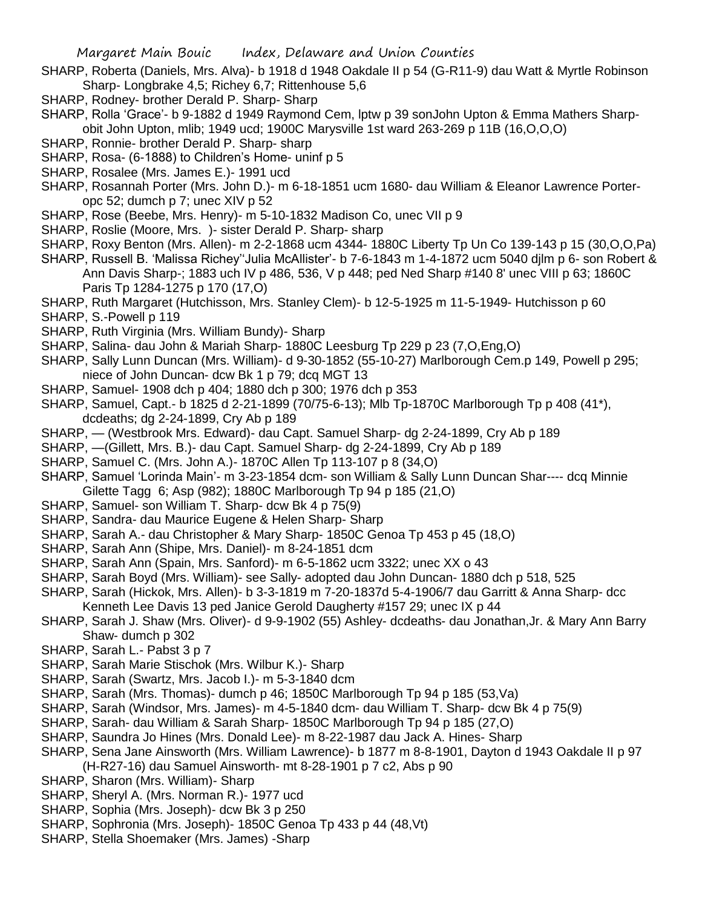- SHARP, Roberta (Daniels, Mrs. Alva)- b 1918 d 1948 Oakdale II p 54 (G-R11-9) dau Watt & Myrtle Robinson Sharp- Longbrake 4,5; Richey 6,7; Rittenhouse 5,6
- SHARP, Rodney- brother Derald P. Sharp- Sharp
- SHARP, Rolla 'Grace'- b 9-1882 d 1949 Raymond Cem, lptw p 39 sonJohn Upton & Emma Mathers Sharpobit John Upton, mlib; 1949 ucd; 1900C Marysville 1st ward 263-269 p 11B (16,O,O,O)
- SHARP, Ronnie- brother Derald P. Sharp- sharp
- SHARP, Rosa- (6-1888) to Children's Home- uninf p 5
- SHARP, Rosalee (Mrs. James E.)- 1991 ucd
- SHARP, Rosannah Porter (Mrs. John D.)- m 6-18-1851 ucm 1680- dau William & Eleanor Lawrence Porteropc 52; dumch p 7; unec XIV p 52
- SHARP, Rose (Beebe, Mrs. Henry)- m 5-10-1832 Madison Co, unec VII p 9
- SHARP, Roslie (Moore, Mrs. )- sister Derald P. Sharp- sharp
- SHARP, Roxy Benton (Mrs. Allen)- m 2-2-1868 ucm 4344- 1880C Liberty Tp Un Co 139-143 p 15 (30,O,O,Pa)
- SHARP, Russell B. 'Malissa Richey''Julia McAllister'- b 7-6-1843 m 1-4-1872 ucm 5040 djlm p 6- son Robert & Ann Davis Sharp-; 1883 uch IV p 486, 536, V p 448; ped Ned Sharp #140 8' unec VIII p 63; 1860C Paris Tp 1284-1275 p 170 (17,O)
- SHARP, Ruth Margaret (Hutchisson, Mrs. Stanley Clem)- b 12-5-1925 m 11-5-1949- Hutchisson p 60
- SHARP, S.-Powell p 119
- SHARP, Ruth Virginia (Mrs. William Bundy)- Sharp
- SHARP, Salina- dau John & Mariah Sharp- 1880C Leesburg Tp 229 p 23 (7,O,Eng,O)
- SHARP, Sally Lunn Duncan (Mrs. William)- d 9-30-1852 (55-10-27) Marlborough Cem.p 149, Powell p 295; niece of John Duncan- dcw Bk 1 p 79; dcq MGT 13
- SHARP, Samuel- 1908 dch p 404; 1880 dch p 300; 1976 dch p 353
- SHARP, Samuel, Capt.- b 1825 d 2-21-1899 (70/75-6-13); Mlb Tp-1870C Marlborough Tp p 408 (41\*), dcdeaths; dg 2-24-1899, Cry Ab p 189
- SHARP, (Westbrook Mrs. Edward)- dau Capt. Samuel Sharp- dg 2-24-1899, Cry Ab p 189
- SHARP, —(Gillett, Mrs. B.)- dau Capt. Samuel Sharp- dg 2-24-1899, Cry Ab p 189
- SHARP, Samuel C. (Mrs. John A.)- 1870C Allen Tp 113-107 p 8 (34,O)
- SHARP, Samuel 'Lorinda Main'- m 3-23-1854 dcm- son William & Sally Lunn Duncan Shar---- dcq Minnie Gilette Tagg 6; Asp (982); 1880C Marlborough Tp 94 p 185 (21,O)
- SHARP, Samuel- son William T. Sharp- dcw Bk 4 p 75(9)
- SHARP, Sandra- dau Maurice Eugene & Helen Sharp- Sharp
- SHARP, Sarah A.- dau Christopher & Mary Sharp- 1850C Genoa Tp 453 p 45 (18,O)
- SHARP, Sarah Ann (Shipe, Mrs. Daniel)- m 8-24-1851 dcm
- SHARP, Sarah Ann (Spain, Mrs. Sanford)- m 6-5-1862 ucm 3322; unec XX o 43
- SHARP, Sarah Boyd (Mrs. William)- see Sally- adopted dau John Duncan- 1880 dch p 518, 525
- SHARP, Sarah (Hickok, Mrs. Allen)- b 3-3-1819 m 7-20-1837d 5-4-1906/7 dau Garritt & Anna Sharp- dcc
- Kenneth Lee Davis 13 ped Janice Gerold Daugherty #157 29; unec IX p 44
- SHARP, Sarah J. Shaw (Mrs. Oliver)- d 9-9-1902 (55) Ashley- dcdeaths- dau Jonathan,Jr. & Mary Ann Barry Shaw- dumch p 302
- SHARP, Sarah L.- Pabst 3 p 7
- SHARP, Sarah Marie Stischok (Mrs. Wilbur K.)- Sharp
- SHARP, Sarah (Swartz, Mrs. Jacob I.)- m 5-3-1840 dcm
- SHARP, Sarah (Mrs. Thomas)- dumch p 46; 1850C Marlborough Tp 94 p 185 (53,Va)
- SHARP, Sarah (Windsor, Mrs. James)- m 4-5-1840 dcm- dau William T. Sharp- dcw Bk 4 p 75(9)
- SHARP, Sarah- dau William & Sarah Sharp- 1850C Marlborough Tp 94 p 185 (27,O)
- SHARP, Saundra Jo Hines (Mrs. Donald Lee)- m 8-22-1987 dau Jack A. Hines- Sharp
- SHARP, Sena Jane Ainsworth (Mrs. William Lawrence)- b 1877 m 8-8-1901, Dayton d 1943 Oakdale II p 97
	- (H-R27-16) dau Samuel Ainsworth- mt 8-28-1901 p 7 c2, Abs p 90
- SHARP, Sharon (Mrs. William)- Sharp
- SHARP, Sheryl A. (Mrs. Norman R.)- 1977 ucd
- SHARP, Sophia (Mrs. Joseph)- dcw Bk 3 p 250
- SHARP, Sophronia (Mrs. Joseph)- 1850C Genoa Tp 433 p 44 (48,Vt)
- SHARP, Stella Shoemaker (Mrs. James) -Sharp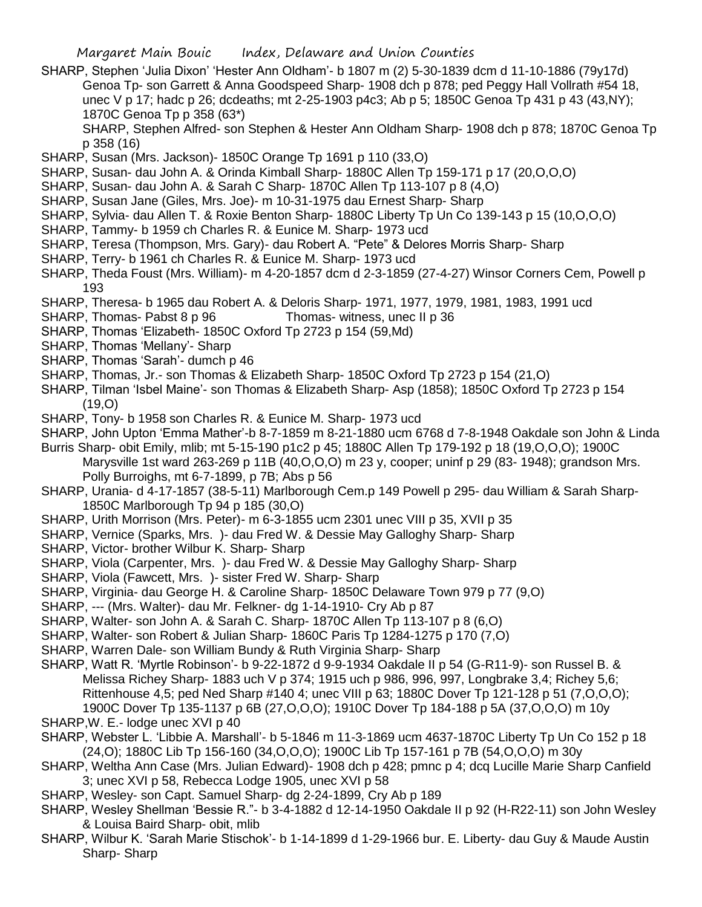- SHARP, Stephen 'Julia Dixon' 'Hester Ann Oldham'- b 1807 m (2) 5-30-1839 dcm d 11-10-1886 (79y17d) Genoa Tp- son Garrett & Anna Goodspeed Sharp- 1908 dch p 878; ped Peggy Hall Vollrath #54 18, unec V p 17; hadc p 26; dcdeaths; mt 2-25-1903 p4c3; Ab p 5; 1850C Genoa Tp 431 p 43 (43,NY); 1870C Genoa Tp p 358 (63\*)
	- SHARP, Stephen Alfred- son Stephen & Hester Ann Oldham Sharp- 1908 dch p 878; 1870C Genoa Tp p 358 (16)
- SHARP, Susan (Mrs. Jackson)- 1850C Orange Tp 1691 p 110 (33,O)
- SHARP, Susan- dau John A. & Orinda Kimball Sharp- 1880C Allen Tp 159-171 p 17 (20,O,O,O)
- SHARP, Susan- dau John A. & Sarah C Sharp- 1870C Allen Tp 113-107 p 8 (4,O)
- SHARP, Susan Jane (Giles, Mrs. Joe)- m 10-31-1975 dau Ernest Sharp- Sharp
- SHARP, Sylvia- dau Allen T. & Roxie Benton Sharp- 1880C Liberty Tp Un Co 139-143 p 15 (10,O,O,O)
- SHARP, Tammy- b 1959 ch Charles R. & Eunice M. Sharp- 1973 ucd
- SHARP, Teresa (Thompson, Mrs. Gary)- dau Robert A. "Pete" & Delores Morris Sharp- Sharp
- SHARP, Terry- b 1961 ch Charles R. & Eunice M. Sharp- 1973 ucd
- SHARP, Theda Foust (Mrs. William)- m 4-20-1857 dcm d 2-3-1859 (27-4-27) Winsor Corners Cem, Powell p 193
- SHARP, Theresa- b 1965 dau Robert A. & Deloris Sharp- 1971, 1977, 1979, 1981, 1983, 1991 ucd
- SHARP, Thomas- Pabst 8 p 96 Thomas- witness, unec II p 36
- SHARP, Thomas 'Elizabeth- 1850C Oxford Tp 2723 p 154 (59,Md)
- SHARP, Thomas 'Mellany'- Sharp
- SHARP, Thomas 'Sarah'- dumch p 46
- SHARP, Thomas, Jr.- son Thomas & Elizabeth Sharp- 1850C Oxford Tp 2723 p 154 (21,O)
- SHARP, Tilman 'Isbel Maine'- son Thomas & Elizabeth Sharp- Asp (1858); 1850C Oxford Tp 2723 p 154 (19,O)
- SHARP, Tony- b 1958 son Charles R. & Eunice M. Sharp- 1973 ucd
- SHARP, John Upton 'Emma Mather'-b 8-7-1859 m 8-21-1880 ucm 6768 d 7-8-1948 Oakdale son John & Linda
- Burris Sharp- obit Emily, mlib; mt 5-15-190 p1c2 p 45; 1880C Allen Tp 179-192 p 18 (19,O,O,O); 1900C Marysville 1st ward 263-269 p 11B (40,O,O,O) m 23 y, cooper; uninf p 29 (83- 1948); grandson Mrs.
	- Polly Burroighs, mt 6-7-1899, p 7B; Abs p 56
- SHARP, Urania- d 4-17-1857 (38-5-11) Marlborough Cem.p 149 Powell p 295- dau William & Sarah Sharp-1850C Marlborough Tp 94 p 185 (30,O)
- SHARP, Urith Morrison (Mrs. Peter)- m 6-3-1855 ucm 2301 unec VIII p 35, XVII p 35
- SHARP, Vernice (Sparks, Mrs. )- dau Fred W. & Dessie May Galloghy Sharp- Sharp
- SHARP, Victor- brother Wilbur K. Sharp- Sharp
- SHARP, Viola (Carpenter, Mrs. )- dau Fred W. & Dessie May Galloghy Sharp- Sharp
- SHARP, Viola (Fawcett, Mrs. )- sister Fred W. Sharp- Sharp
- SHARP, Virginia- dau George H. & Caroline Sharp- 1850C Delaware Town 979 p 77 (9,O)
- SHARP, --- (Mrs. Walter)- dau Mr. Felkner- dg 1-14-1910- Cry Ab p 87
- SHARP, Walter- son John A. & Sarah C. Sharp- 1870C Allen Tp 113-107 p 8 (6,O)
- SHARP, Walter- son Robert & Julian Sharp- 1860C Paris Tp 1284-1275 p 170 (7,O)
- SHARP, Warren Dale- son William Bundy & Ruth Virginia Sharp- Sharp
- SHARP, Watt R. 'Myrtle Robinson'- b 9-22-1872 d 9-9-1934 Oakdale II p 54 (G-R11-9)- son Russel B. & Melissa Richey Sharp- 1883 uch V p 374; 1915 uch p 986, 996, 997, Longbrake 3,4; Richey 5,6; Rittenhouse 4,5; ped Ned Sharp #140 4; unec VIII p 63; 1880C Dover Tp 121-128 p 51 (7,O,O,O); 1900C Dover Tp 135-1137 p 6B (27,O,O,O); 1910C Dover Tp 184-188 p 5A (37,O,O,O) m 10y
- SHARP,W. E.- lodge unec XVI p 40
- SHARP, Webster L. 'Libbie A. Marshall'- b 5-1846 m 11-3-1869 ucm 4637-1870C Liberty Tp Un Co 152 p 18 (24,O); 1880C Lib Tp 156-160 (34,O,O,O); 1900C Lib Tp 157-161 p 7B (54,O,O,O) m 30y
- SHARP, Weltha Ann Case (Mrs. Julian Edward)- 1908 dch p 428; pmnc p 4; dcq Lucille Marie Sharp Canfield 3; unec XVI p 58, Rebecca Lodge 1905, unec XVI p 58
- SHARP, Wesley- son Capt. Samuel Sharp- dg 2-24-1899, Cry Ab p 189
- SHARP, Wesley Shellman 'Bessie R."- b 3-4-1882 d 12-14-1950 Oakdale II p 92 (H-R22-11) son John Wesley & Louisa Baird Sharp- obit, mlib
- SHARP, Wilbur K. 'Sarah Marie Stischok'- b 1-14-1899 d 1-29-1966 bur. E. Liberty- dau Guy & Maude Austin Sharp- Sharp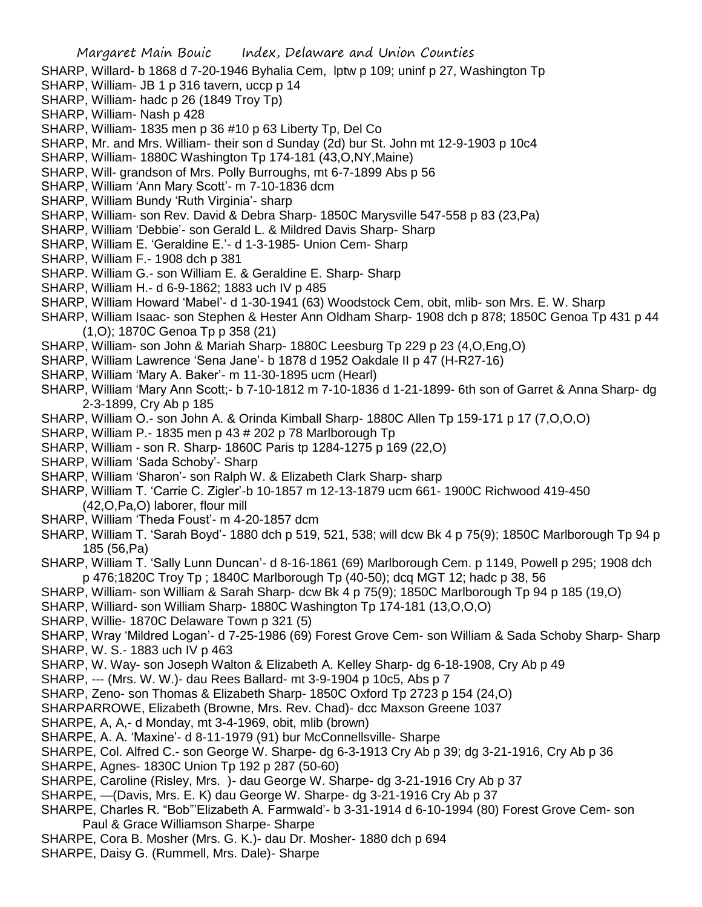- SHARP, Willard- b 1868 d 7-20-1946 Byhalia Cem, lptw p 109; uninf p 27, Washington Tp
- SHARP, William- JB 1 p 316 tavern, uccp p 14
- SHARP, William- hadc p 26 (1849 Troy Tp)
- SHARP, William- Nash p 428
- SHARP, William- 1835 men p 36 #10 p 63 Liberty Tp, Del Co
- SHARP, Mr. and Mrs. William- their son d Sunday (2d) bur St. John mt 12-9-1903 p 10c4
- SHARP, William- 1880C Washington Tp 174-181 (43,O,NY,Maine)
- SHARP, Will- grandson of Mrs. Polly Burroughs, mt 6-7-1899 Abs p 56
- SHARP, William 'Ann Mary Scott'- m 7-10-1836 dcm
- SHARP, William Bundy 'Ruth Virginia'- sharp
- SHARP, William- son Rev. David & Debra Sharp- 1850C Marysville 547-558 p 83 (23,Pa)
- SHARP, William 'Debbie'- son Gerald L. & Mildred Davis Sharp- Sharp
- SHARP, William E. 'Geraldine E.'- d 1-3-1985- Union Cem- Sharp
- SHARP, William F.- 1908 dch p 381
- SHARP. William G.- son William E. & Geraldine E. Sharp- Sharp
- SHARP, William H.- d 6-9-1862; 1883 uch IV p 485
- SHARP, William Howard 'Mabel'- d 1-30-1941 (63) Woodstock Cem, obit, mlib- son Mrs. E. W. Sharp
- SHARP, William Isaac- son Stephen & Hester Ann Oldham Sharp- 1908 dch p 878; 1850C Genoa Tp 431 p 44 (1,O); 1870C Genoa Tp p 358 (21)
- SHARP, William- son John & Mariah Sharp- 1880C Leesburg Tp 229 p 23 (4,O,Eng,O)
- SHARP, William Lawrence 'Sena Jane'- b 1878 d 1952 Oakdale II p 47 (H-R27-16)
- SHARP, William 'Mary A. Baker'- m 11-30-1895 ucm (Hearl)
- SHARP, William 'Mary Ann Scott;- b 7-10-1812 m 7-10-1836 d 1-21-1899- 6th son of Garret & Anna Sharp- dg 2-3-1899, Cry Ab p 185
- SHARP, William O.- son John A. & Orinda Kimball Sharp- 1880C Allen Tp 159-171 p 17 (7,O,O,O)
- SHARP, William P.- 1835 men p 43 # 202 p 78 Marlborough Tp
- SHARP, William son R. Sharp- 1860C Paris tp 1284-1275 p 169 (22,O)
- SHARP, William 'Sada Schoby'- Sharp
- SHARP, William 'Sharon'- son Ralph W. & Elizabeth Clark Sharp- sharp
- SHARP, William T. 'Carrie C. Zigler'-b 10-1857 m 12-13-1879 ucm 661- 1900C Richwood 419-450 (42,O,Pa,O) laborer, flour mill
- SHARP, William 'Theda Foust'- m 4-20-1857 dcm
- SHARP, William T. 'Sarah Boyd'- 1880 dch p 519, 521, 538; will dcw Bk 4 p 75(9); 1850C Marlborough Tp 94 p 185 (56,Pa)
- SHARP, William T. 'Sally Lunn Duncan'- d 8-16-1861 (69) Marlborough Cem. p 1149, Powell p 295; 1908 dch p 476;1820C Troy Tp ; 1840C Marlborough Tp (40-50); dcq MGT 12; hadc p 38, 56
- SHARP, William- son William & Sarah Sharp- dcw Bk 4 p 75(9); 1850C Marlborough Tp 94 p 185 (19,O)
- SHARP, Williard- son William Sharp- 1880C Washington Tp 174-181 (13,O,O,O)
- SHARP, Willie- 1870C Delaware Town p 321 (5)

SHARP, Wray 'Mildred Logan'- d 7-25-1986 (69) Forest Grove Cem- son William & Sada Schoby Sharp- Sharp SHARP, W. S.- 1883 uch IV p 463

- SHARP, W. Way- son Joseph Walton & Elizabeth A. Kelley Sharp- dg 6-18-1908, Cry Ab p 49
- SHARP, --- (Mrs. W. W.)- dau Rees Ballard- mt 3-9-1904 p 10c5, Abs p 7
- SHARP, Zeno- son Thomas & Elizabeth Sharp- 1850C Oxford Tp 2723 p 154 (24,O)
- SHARPARROWE, Elizabeth (Browne, Mrs. Rev. Chad)- dcc Maxson Greene 1037
- SHARPE, A, A,- d Monday, mt 3-4-1969, obit, mlib (brown)
- SHARPE, A. A. 'Maxine'- d 8-11-1979 (91) bur McConnellsville- Sharpe
- SHARPE, Col. Alfred C.- son George W. Sharpe- dg 6-3-1913 Cry Ab p 39; dg 3-21-1916, Cry Ab p 36
- SHARPE, Agnes- 1830C Union Tp 192 p 287 (50-60)
- SHARPE, Caroline (Risley, Mrs. )- dau George W. Sharpe- dg 3-21-1916 Cry Ab p 37
- SHARPE, —(Davis, Mrs. E. K) dau George W. Sharpe- dg 3-21-1916 Cry Ab p 37
- SHARPE, Charles R. "Bob"'Elizabeth A. Farmwald'- b 3-31-1914 d 6-10-1994 (80) Forest Grove Cem- son Paul & Grace Williamson Sharpe- Sharpe
- SHARPE, Cora B. Mosher (Mrs. G. K.)- dau Dr. Mosher- 1880 dch p 694
- SHARPE, Daisy G. (Rummell, Mrs. Dale)- Sharpe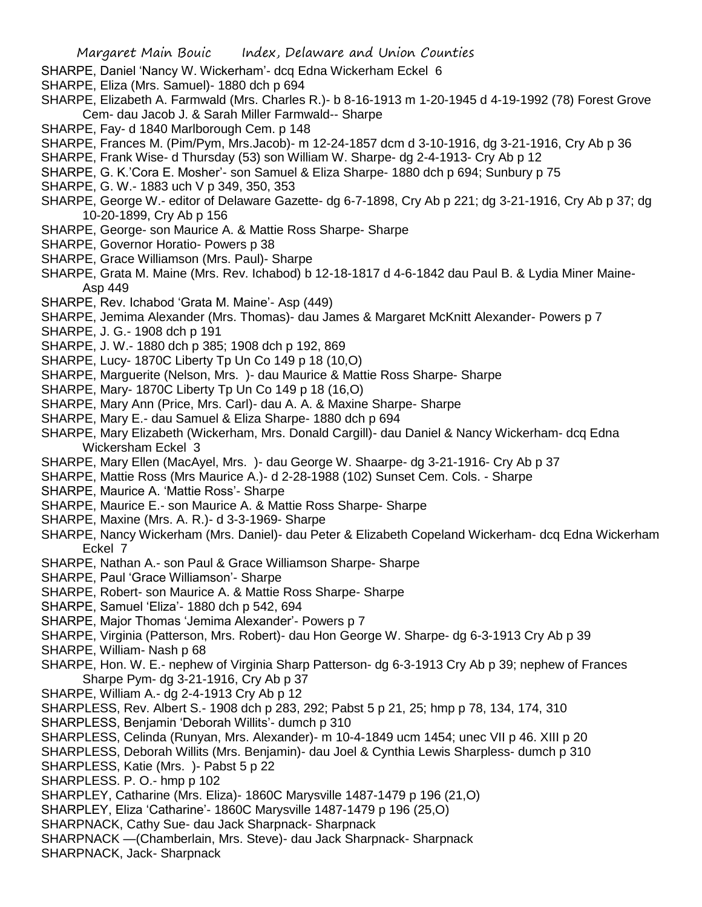- SHARPE, Daniel 'Nancy W. Wickerham'- dcq Edna Wickerham Eckel 6
- SHARPE, Eliza (Mrs. Samuel)- 1880 dch p 694
- SHARPE, Elizabeth A. Farmwald (Mrs. Charles R.)- b 8-16-1913 m 1-20-1945 d 4-19-1992 (78) Forest Grove Cem- dau Jacob J. & Sarah Miller Farmwald-- Sharpe
- SHARPE, Fay- d 1840 Marlborough Cem. p 148
- SHARPE, Frances M. (Pim/Pym, Mrs.Jacob)- m 12-24-1857 dcm d 3-10-1916, dg 3-21-1916, Cry Ab p 36
- SHARPE, Frank Wise- d Thursday (53) son William W. Sharpe- dg 2-4-1913- Cry Ab p 12
- SHARPE, G. K.'Cora E. Mosher'- son Samuel & Eliza Sharpe- 1880 dch p 694; Sunbury p 75
- SHARPE, G. W.- 1883 uch V p 349, 350, 353
- SHARPE, George W.- editor of Delaware Gazette- dg 6-7-1898, Cry Ab p 221; dg 3-21-1916, Cry Ab p 37; dg 10-20-1899, Cry Ab p 156
- SHARPE, George- son Maurice A. & Mattie Ross Sharpe- Sharpe
- SHARPE, Governor Horatio- Powers p 38
- SHARPE, Grace Williamson (Mrs. Paul)- Sharpe
- SHARPE, Grata M. Maine (Mrs. Rev. Ichabod) b 12-18-1817 d 4-6-1842 dau Paul B. & Lydia Miner Maine-Asp 449
- SHARPE, Rev. Ichabod 'Grata M. Maine'- Asp (449)
- SHARPE, Jemima Alexander (Mrs. Thomas)- dau James & Margaret McKnitt Alexander- Powers p 7
- SHARPE, J. G.- 1908 dch p 191
- SHARPE, J. W.- 1880 dch p 385; 1908 dch p 192, 869
- SHARPE, Lucy- 1870C Liberty Tp Un Co 149 p 18 (10,O)
- SHARPE, Marguerite (Nelson, Mrs. )- dau Maurice & Mattie Ross Sharpe- Sharpe
- SHARPE, Mary- 1870C Liberty Tp Un Co 149 p 18 (16,O)
- SHARPE, Mary Ann (Price, Mrs. Carl)- dau A. A. & Maxine Sharpe- Sharpe
- SHARPE, Mary E.- dau Samuel & Eliza Sharpe- 1880 dch p 694
- SHARPE, Mary Elizabeth (Wickerham, Mrs. Donald Cargill)- dau Daniel & Nancy Wickerham- dcq Edna Wickersham Eckel 3
- SHARPE, Mary Ellen (MacAyel, Mrs. )- dau George W. Shaarpe- dg 3-21-1916- Cry Ab p 37
- SHARPE, Mattie Ross (Mrs Maurice A.)- d 2-28-1988 (102) Sunset Cem. Cols. Sharpe
- SHARPE, Maurice A. 'Mattie Ross'- Sharpe
- SHARPE, Maurice E.- son Maurice A. & Mattie Ross Sharpe- Sharpe
- SHARPE, Maxine (Mrs. A. R.)- d 3-3-1969- Sharpe
- SHARPE, Nancy Wickerham (Mrs. Daniel)- dau Peter & Elizabeth Copeland Wickerham- dcq Edna Wickerham Eckel 7
- SHARPE, Nathan A.- son Paul & Grace Williamson Sharpe- Sharpe
- SHARPE, Paul 'Grace Williamson'- Sharpe
- SHARPE, Robert- son Maurice A. & Mattie Ross Sharpe- Sharpe
- SHARPE, Samuel 'Eliza'- 1880 dch p 542, 694
- SHARPE, Major Thomas 'Jemima Alexander'- Powers p 7
- SHARPE, Virginia (Patterson, Mrs. Robert)- dau Hon George W. Sharpe- dg 6-3-1913 Cry Ab p 39
- SHARPE, William- Nash p 68
- SHARPE, Hon. W. E.- nephew of Virginia Sharp Patterson- dg 6-3-1913 Cry Ab p 39; nephew of Frances Sharpe Pym- dg 3-21-1916, Cry Ab p 37
- SHARPE, William A.- dg 2-4-1913 Cry Ab p 12
- SHARPLESS, Rev. Albert S.- 1908 dch p 283, 292; Pabst 5 p 21, 25; hmp p 78, 134, 174, 310
- SHARPLESS, Benjamin 'Deborah Willits'- dumch p 310
- SHARPLESS, Celinda (Runyan, Mrs. Alexander)- m 10-4-1849 ucm 1454; unec VII p 46. XIII p 20
- SHARPLESS, Deborah Willits (Mrs. Benjamin)- dau Joel & Cynthia Lewis Sharpless- dumch p 310
- SHARPLESS, Katie (Mrs. )- Pabst 5 p 22
- SHARPLESS. P. O.- hmp p 102
- SHARPLEY, Catharine (Mrs. Eliza)- 1860C Marysville 1487-1479 p 196 (21,O)
- SHARPLEY, Eliza 'Catharine'- 1860C Marysville 1487-1479 p 196 (25,O)
- SHARPNACK, Cathy Sue- dau Jack Sharpnack- Sharpnack
- SHARPNACK —(Chamberlain, Mrs. Steve)- dau Jack Sharpnack- Sharpnack
- SHARPNACK, Jack- Sharpnack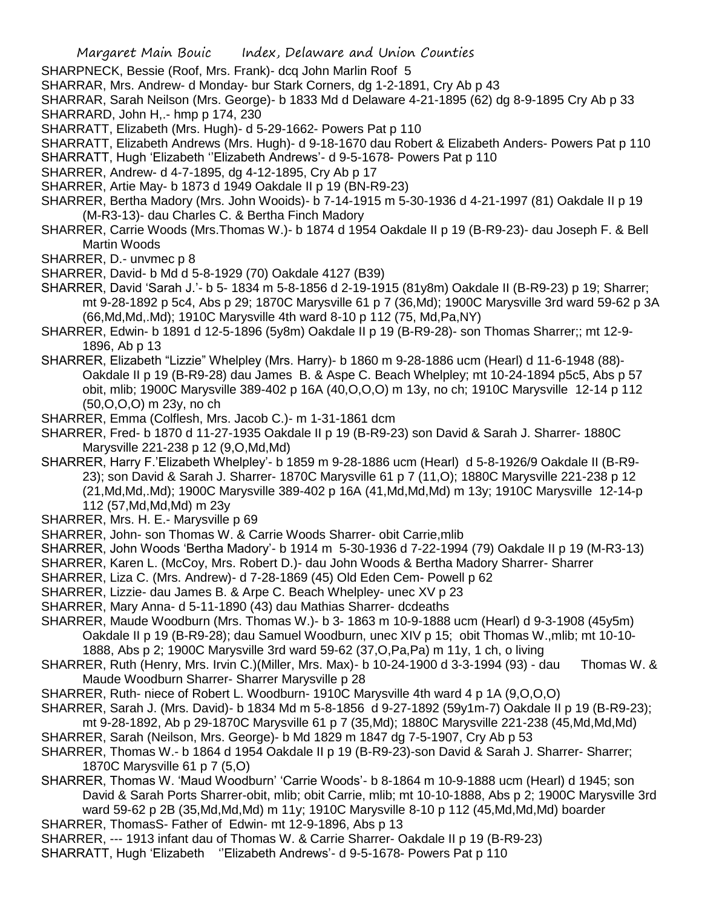- SHARPNECK, Bessie (Roof, Mrs. Frank)- dcq John Marlin Roof 5
- SHARRAR, Mrs. Andrew- d Monday- bur Stark Corners, dg 1-2-1891, Cry Ab p 43

SHARRAR, Sarah Neilson (Mrs. George)- b 1833 Md d Delaware 4-21-1895 (62) dg 8-9-1895 Cry Ab p 33 SHARRARD, John H,.- hmp p 174, 230

- SHARRATT, Elizabeth (Mrs. Hugh)- d 5-29-1662- Powers Pat p 110
- SHARRATT, Elizabeth Andrews (Mrs. Hugh)- d 9-18-1670 dau Robert & Elizabeth Anders- Powers Pat p 110 SHARRATT, Hugh 'Elizabeth ''Elizabeth Andrews'- d 9-5-1678- Powers Pat p 110
- SHARRER, Andrew- d 4-7-1895, dg 4-12-1895, Cry Ab p 17
- SHARRER, Artie May- b 1873 d 1949 Oakdale II p 19 (BN-R9-23)
- SHARRER, Bertha Madory (Mrs. John Wooids)- b 7-14-1915 m 5-30-1936 d 4-21-1997 (81) Oakdale II p 19 (M-R3-13)- dau Charles C. & Bertha Finch Madory
- SHARRER, Carrie Woods (Mrs.Thomas W.)- b 1874 d 1954 Oakdale II p 19 (B-R9-23)- dau Joseph F. & Bell Martin Woods
- SHARRER, D.- unvmec p 8
- SHARRER, David- b Md d 5-8-1929 (70) Oakdale 4127 (B39)
- SHARRER, David 'Sarah J.'- b 5- 1834 m 5-8-1856 d 2-19-1915 (81y8m) Oakdale II (B-R9-23) p 19; Sharrer; mt 9-28-1892 p 5c4, Abs p 29; 1870C Marysville 61 p 7 (36,Md); 1900C Marysville 3rd ward 59-62 p 3A (66,Md,Md,.Md); 1910C Marysville 4th ward 8-10 p 112 (75, Md,Pa,NY)
- SHARRER, Edwin- b 1891 d 12-5-1896 (5y8m) Oakdale II p 19 (B-R9-28)- son Thomas Sharrer;; mt 12-9- 1896, Ab p 13
- SHARRER, Elizabeth "Lizzie" Whelpley (Mrs. Harry)- b 1860 m 9-28-1886 ucm (Hearl) d 11-6-1948 (88)- Oakdale II p 19 (B-R9-28) dau James B. & Aspe C. Beach Whelpley; mt 10-24-1894 p5c5, Abs p 57 obit, mlib; 1900C Marysville 389-402 p 16A (40,O,O,O) m 13y, no ch; 1910C Marysville 12-14 p 112 (50,O,O,O) m 23y, no ch
- SHARRER, Emma (Colflesh, Mrs. Jacob C.)- m 1-31-1861 dcm
- SHARRER, Fred- b 1870 d 11-27-1935 Oakdale II p 19 (B-R9-23) son David & Sarah J. Sharrer- 1880C Marysville 221-238 p 12 (9,O,Md,Md)
- SHARRER, Harry F.'Elizabeth Whelpley'- b 1859 m 9-28-1886 ucm (Hearl) d 5-8-1926/9 Oakdale II (B-R9- 23); son David & Sarah J. Sharrer- 1870C Marysville 61 p 7 (11,O); 1880C Marysville 221-238 p 12 (21,Md,Md,.Md); 1900C Marysville 389-402 p 16A (41,Md,Md,Md) m 13y; 1910C Marysville 12-14-p 112 (57,Md,Md,Md) m 23y
- SHARRER, Mrs. H. E.- Marysville p 69
- SHARRER, John- son Thomas W. & Carrie Woods Sharrer- obit Carrie,mlib
- SHARRER, John Woods 'Bertha Madory'- b 1914 m 5-30-1936 d 7-22-1994 (79) Oakdale II p 19 (M-R3-13)
- SHARRER, Karen L. (McCoy, Mrs. Robert D.)- dau John Woods & Bertha Madory Sharrer- Sharrer
- SHARRER, Liza C. (Mrs. Andrew)- d 7-28-1869 (45) Old Eden Cem- Powell p 62
- SHARRER, Lizzie- dau James B. & Arpe C. Beach Whelpley- unec XV p 23
- SHARRER, Mary Anna- d 5-11-1890 (43) dau Mathias Sharrer- dcdeaths
- SHARRER, Maude Woodburn (Mrs. Thomas W.)- b 3- 1863 m 10-9-1888 ucm (Hearl) d 9-3-1908 (45y5m) Oakdale II p 19 (B-R9-28); dau Samuel Woodburn, unec XIV p 15; obit Thomas W.,mlib; mt 10-10- 1888, Abs p 2; 1900C Marysville 3rd ward 59-62 (37,O,Pa,Pa) m 11y, 1 ch, o living
- SHARRER, Ruth (Henry, Mrs. Irvin C.)(Miller, Mrs. Max)- b 10-24-1900 d 3-3-1994 (93) dau Thomas W. & Maude Woodburn Sharrer- Sharrer Marysville p 28
- SHARRER, Ruth- niece of Robert L. Woodburn- 1910C Marysville 4th ward 4 p 1A (9,O,O,O)
- SHARRER, Sarah J. (Mrs. David)- b 1834 Md m 5-8-1856 d 9-27-1892 (59y1m-7) Oakdale II p 19 (B-R9-23);
- mt 9-28-1892, Ab p 29-1870C Marysville 61 p 7 (35,Md); 1880C Marysville 221-238 (45,Md,Md,Md) SHARRER, Sarah (Neilson, Mrs. George)- b Md 1829 m 1847 dg 7-5-1907, Cry Ab p 53
- SHARRER, Thomas W.- b 1864 d 1954 Oakdale II p 19 (B-R9-23)-son David & Sarah J. Sharrer- Sharrer;
- 1870C Marysville 61 p 7 (5,O)
- SHARRER, Thomas W. 'Maud Woodburn' 'Carrie Woods'- b 8-1864 m 10-9-1888 ucm (Hearl) d 1945; son David & Sarah Ports Sharrer-obit, mlib; obit Carrie, mlib; mt 10-10-1888, Abs p 2; 1900C Marysville 3rd ward 59-62 p 2B (35,Md,Md,Md) m 11y; 1910C Marysville 8-10 p 112 (45,Md,Md,Md) boarder SHARRER, ThomasS- Father of Edwin- mt 12-9-1896, Abs p 13
- SHARRER, --- 1913 infant dau of Thomas W. & Carrie Sharrer- Oakdale II p 19 (B-R9-23)
- SHARRATT, Hugh 'Elizabeth ''Elizabeth Andrews'- d 9-5-1678- Powers Pat p 110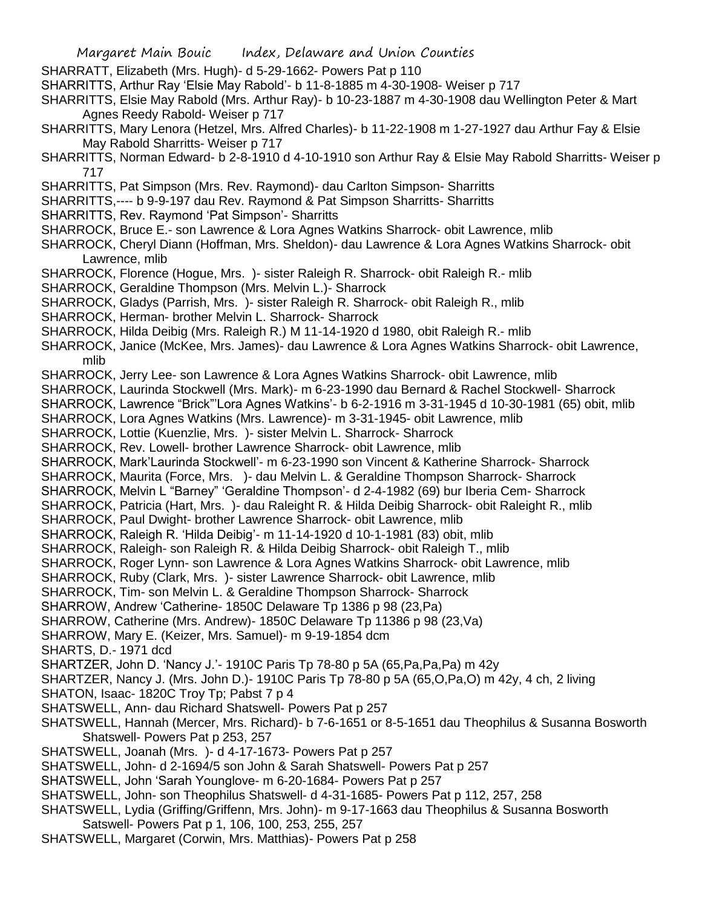Margaret Main Bouic Index, Delaware and Union Counties SHARRATT, Elizabeth (Mrs. Hugh)- d 5-29-1662- Powers Pat p 110 SHARRITTS, Arthur Ray 'Elsie May Rabold'- b 11-8-1885 m 4-30-1908- Weiser p 717 SHARRITTS, Elsie May Rabold (Mrs. Arthur Ray)- b 10-23-1887 m 4-30-1908 dau Wellington Peter & Mart Agnes Reedy Rabold- Weiser p 717 SHARRITTS, Mary Lenora (Hetzel, Mrs. Alfred Charles)- b 11-22-1908 m 1-27-1927 dau Arthur Fay & Elsie May Rabold Sharritts- Weiser p 717 SHARRITTS, Norman Edward- b 2-8-1910 d 4-10-1910 son Arthur Ray & Elsie May Rabold Sharritts- Weiser p 717 SHARRITTS, Pat Simpson (Mrs. Rev. Raymond)- dau Carlton Simpson- Sharritts SHARRITTS,---- b 9-9-197 dau Rev. Raymond & Pat Simpson Sharritts- Sharritts SHARRITTS, Rev. Raymond 'Pat Simpson'- Sharritts SHARROCK, Bruce E.- son Lawrence & Lora Agnes Watkins Sharrock- obit Lawrence, mlib SHARROCK, Cheryl Diann (Hoffman, Mrs. Sheldon)- dau Lawrence & Lora Agnes Watkins Sharrock- obit Lawrence, mlib SHARROCK, Florence (Hogue, Mrs. )- sister Raleigh R. Sharrock- obit Raleigh R.- mlib SHARROCK, Geraldine Thompson (Mrs. Melvin L.)- Sharrock SHARROCK, Gladys (Parrish, Mrs. )- sister Raleigh R. Sharrock- obit Raleigh R., mlib SHARROCK, Herman- brother Melvin L. Sharrock- Sharrock SHARROCK, Hilda Deibig (Mrs. Raleigh R.) M 11-14-1920 d 1980, obit Raleigh R.- mlib SHARROCK, Janice (McKee, Mrs. James)- dau Lawrence & Lora Agnes Watkins Sharrock- obit Lawrence, mlib SHARROCK, Jerry Lee- son Lawrence & Lora Agnes Watkins Sharrock- obit Lawrence, mlib SHARROCK, Laurinda Stockwell (Mrs. Mark)- m 6-23-1990 dau Bernard & Rachel Stockwell- Sharrock SHARROCK, Lawrence "Brick"'Lora Agnes Watkins'- b 6-2-1916 m 3-31-1945 d 10-30-1981 (65) obit, mlib SHARROCK, Lora Agnes Watkins (Mrs. Lawrence)- m 3-31-1945- obit Lawrence, mlib SHARROCK, Lottie (Kuenzlie, Mrs. )- sister Melvin L. Sharrock- Sharrock SHARROCK, Rev. Lowell- brother Lawrence Sharrock- obit Lawrence, mlib SHARROCK, Mark'Laurinda Stockwell'- m 6-23-1990 son Vincent & Katherine Sharrock- Sharrock SHARROCK, Maurita (Force, Mrs. )- dau Melvin L. & Geraldine Thompson Sharrock- Sharrock SHARROCK, Melvin L "Barney" 'Geraldine Thompson'- d 2-4-1982 (69) bur Iberia Cem- Sharrock SHARROCK, Patricia (Hart, Mrs. )- dau Raleight R. & Hilda Deibig Sharrock- obit Raleight R., mlib SHARROCK, Paul Dwight- brother Lawrence Sharrock- obit Lawrence, mlib SHARROCK, Raleigh R. 'Hilda Deibig'- m 11-14-1920 d 10-1-1981 (83) obit, mlib SHARROCK, Raleigh- son Raleigh R. & Hilda Deibig Sharrock- obit Raleigh T., mlib SHARROCK, Roger Lynn- son Lawrence & Lora Agnes Watkins Sharrock- obit Lawrence, mlib SHARROCK, Ruby (Clark, Mrs. )- sister Lawrence Sharrock- obit Lawrence, mlib SHARROCK, Tim- son Melvin L. & Geraldine Thompson Sharrock- Sharrock SHARROW, Andrew 'Catherine- 1850C Delaware Tp 1386 p 98 (23,Pa) SHARROW, Catherine (Mrs. Andrew)- 1850C Delaware Tp 11386 p 98 (23,Va) SHARROW, Mary E. (Keizer, Mrs. Samuel)- m 9-19-1854 dcm SHARTS, D.- 1971 dcd SHARTZER, John D. 'Nancy J.'- 1910C Paris Tp 78-80 p 5A (65,Pa,Pa,Pa) m 42y SHARTZER, Nancy J. (Mrs. John D.)- 1910C Paris Tp 78-80 p 5A (65,O,Pa,O) m 42y, 4 ch, 2 living SHATON, Isaac- 1820C Troy Tp; Pabst 7 p 4 SHATSWELL, Ann- dau Richard Shatswell- Powers Pat p 257 SHATSWELL, Hannah (Mercer, Mrs. Richard)- b 7-6-1651 or 8-5-1651 dau Theophilus & Susanna Bosworth Shatswell- Powers Pat p 253, 257 SHATSWELL, Joanah (Mrs. )- d 4-17-1673- Powers Pat p 257 SHATSWELL, John- d 2-1694/5 son John & Sarah Shatswell- Powers Pat p 257 SHATSWELL, John 'Sarah Younglove- m 6-20-1684- Powers Pat p 257 SHATSWELL, John- son Theophilus Shatswell- d 4-31-1685- Powers Pat p 112, 257, 258 SHATSWELL, Lydia (Griffing/Griffenn, Mrs. John)- m 9-17-1663 dau Theophilus & Susanna Bosworth Satswell- Powers Pat p 1, 106, 100, 253, 255, 257 SHATSWELL, Margaret (Corwin, Mrs. Matthias)- Powers Pat p 258